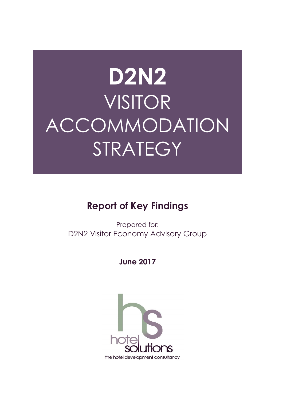# **D2N2** VISITOR ACCOMMODATION STRATEGY

# **Report of Key Findings**

Prepared for: D2N2 Visitor Economy Advisory Group

**June 2017** 

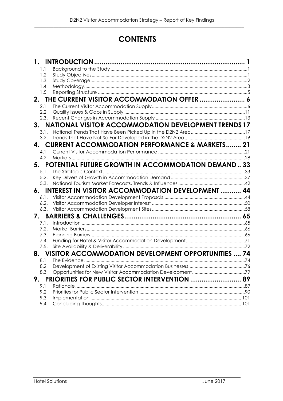## **CONTENTS**

|    | 1.   |                                                             |  |
|----|------|-------------------------------------------------------------|--|
|    | 1.1  |                                                             |  |
|    | 1.2  |                                                             |  |
|    | 1.3  |                                                             |  |
|    | 1.4  |                                                             |  |
|    | 1.5  |                                                             |  |
|    | 2.   | THE CURRENT VISITOR ACCOMMODATION OFFER  6                  |  |
|    | 2.1  |                                                             |  |
|    | 2.2  |                                                             |  |
|    | 2.3. |                                                             |  |
|    | 3.   | <b>NATIONAL VISITOR ACCOMMODATION DEVELOPMENT TRENDS 17</b> |  |
|    | 3.1. |                                                             |  |
|    | 3.2. |                                                             |  |
| 4. |      | <b>CURRENT ACCOMMODATION PERFORMANCE &amp; MARKETS 21</b>   |  |
|    | 4.1  |                                                             |  |
|    | 4.2  |                                                             |  |
|    | 5.   | POTENTIAL FUTURE GROWTH IN ACCOMMODATION DEMAND 33          |  |
|    | 5.1. |                                                             |  |
|    | 5.2. |                                                             |  |
|    | 5.3. |                                                             |  |
|    | 6.   | <b>INTEREST IN VISITOR ACCOMMODATION DEVELOPMENT  44</b>    |  |
|    | 6.1. |                                                             |  |
|    | 6.2. |                                                             |  |
|    | 6.3. |                                                             |  |
|    | 7.   |                                                             |  |
|    | 7.1. |                                                             |  |
|    | 7.2. |                                                             |  |
|    | 7.3. |                                                             |  |
|    | 7.4. |                                                             |  |
|    | 7.5. |                                                             |  |
|    |      | 8. VISITOR ACCOMMODATION DEVELOPMENT OPPORTUNITIES  74      |  |
|    | 8.1  |                                                             |  |
|    | 8.2  |                                                             |  |
|    | 8.3  |                                                             |  |
|    | 9.   | <b>PRIORITIES FOR PUBLIC SECTOR INTERVENTION  89</b>        |  |
|    | 9.1  |                                                             |  |
|    | 9.2  |                                                             |  |
|    | 9.3  |                                                             |  |
|    | 9.4  |                                                             |  |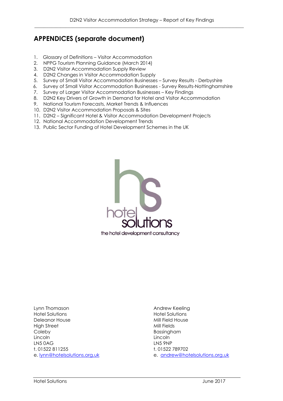## **APPENDICES (separate document)**

- 1. Glossary of Definitions Visitor Accommodation
- 2. NPPG Tourism Planning Guidance (March 2014)
- 3. D2N2 Visitor Accommodation Supply Review
- 4. D2N2 Changes in Visitor Accommodation Supply
- 5. Survey of Small Visitor Accommodation Businesses Survey Results Derbyshire
- 6. Survey of Small Visitor Accommodation Businesses Survey Results-Nottinghamshire
- 7. Survey of Larger Visitor Accommodation Businesses Key Findings
- 8. D2N2 Key Drivers of Growth in Demand for Hotel and Visitor Accommodation
- 9. National Tourism Forecasts, Market Trends & Influences
- 10. D2N2 Visitor Accommodation Proposals & Sites
- 11. D2N2 Significant Hotel & Visitor Accommodation Development Projects
- 12. National Accommodation Development Trends
- 13. Public Sector Funding of Hotel Development Schemes in the UK



Lynn Thomason **Andrew Keeling** Hotel Solutions Hotel Solutions Deleanor House High Street Mill Fields Coleby **Bassingham** Lincoln Lincoln LN5 0AG LN5 9NP t. 01522 811255 t. 01522 789702 e. lynn@hotelsolutions.org.uk e. andrew@hotelsolutions.org.uk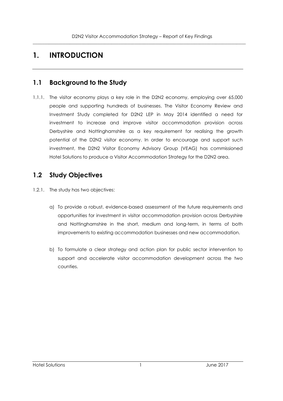## **1. INTRODUCTION**

## **1.1 Background to the Study**

1.1.1. The visitor economy plays a key role in the D2N2 economy, employing over 65,000 people and supporting hundreds of businesses. The Visitor Economy Review and Investment Study completed for D2N2 LEP in May 2014 identified a need for investment to increase and improve visitor accommodation provision across Derbyshire and Nottinghamshire as a key requirement for realising the growth potential of the D2N2 visitor economy. In order to encourage and support such investment, the D2N2 Visitor Economy Advisory Group (VEAG) has commissioned Hotel Solutions to produce a Visitor Accommodation Strategy for the D2N2 area.

## **1.2 Study Objectives**

- 1.2.1. The study has two objectives:
	- a) To provide a robust, evidence-based assessment of the future requirements and opportunities for investment in visitor accommodation provision across Derbyshire and Nottinghamshire in the short, medium and long-term, in terms of both improvements to existing accommodation businesses and new accommodation.
	- b) To formulate a clear strategy and action plan for public sector intervention to support and accelerate visitor accommodation development across the two counties.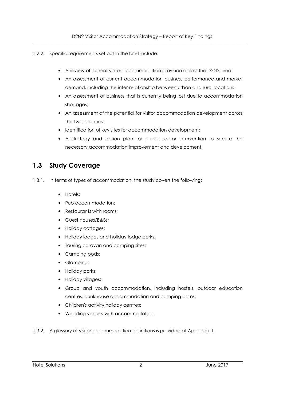- 1.2.2. Specific requirements set out in the brief include:
	- A review of current visitor accommodation provision across the D2N2 area;
	- An assessment of current accommodation business performance and market demand, including the inter-relationship between urban and rural locations;
	- An assessment of business that is currently being lost due to accommodation shortages;
	- An assessment of the potential for visitor accommodation development across the two counties;
	- Identification of key sites for accommodation development;
	- A strategy and action plan for public sector intervention to secure the necessary accommodation improvement and development.

## **1.3 Study Coverage**

- 1.3.1. In terms of types of accommodation, the study covers the following:
	- Hotels;
	- Pub accommodation;
	- Restaurants with rooms;
	- Guest houses/B&Bs;
	- Holiday cottages;
	- Holiday lodges and holiday lodge parks;
	- Touring caravan and camping sites;
	- Camping pods;
	- Glamping;
	- Holiday parks;
	- Holiday villages;
	- Group and youth accommodation, including hostels, outdoor education centres, bunkhouse accommodation and camping barns;
	- Children's activity holiday centres;
	- Wedding venues with accommodation.
- 1.3.2. A glossary of visitor accommodation definitions is provided at Appendix 1.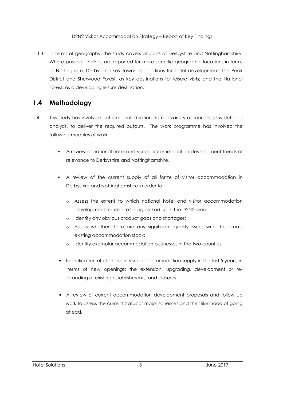1.3.3. In terms of geography, the study covers all parts of Derbyshire and Nottinghamshire. Where possible findings are reported for more specific geographic locations in terms of Nottingham, Derby and key towns as locations for hotel development; the Peak District and Sherwood Forest, as key destinations for leisure visits; and the National Forest, as a developing leisure destination.

## **1.4 Methodology**

- 1.4.1. This study has involved gathering information from a variety of sources, plus detailed analysis, to deliver the required outputs. The work programme has involved the following modules of work:
	- A review of national hotel and visitor accommodation development trends of relevance to Derbyshire and Nottinghamshire.
	- A review of the current supply of all forms of visitor accommodation in Derbyshire and Nottinghamshire in order to:
		- o Assess the extent to which national hotel and visitor accommodation development trends are being picked up in the D2N2 area;
		- o Identify any obvious product gaps and shortages;
		- o Assess whether there are any significant quality issues with the area's existing accommodation stock;
		- o Identify exemplar accommodation businesses in the two counties.
	- Identification of changes in visitor accommodation supply in the last 5 years, in terms of new openings; the extension, upgrading, development or rebranding of existing establishments; and closures.
	- A review of current accommodation development proposals and follow up work to assess the current status of major schemes and their likelihood of going ahead.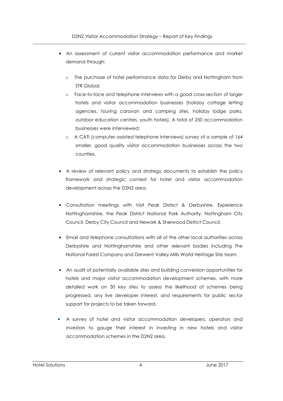- An assessment of current visitor accommodation performance and market demand through:
	- o The purchase of hotel performance data for Derby and Nottingham from STR Global;
	- o Face-to-face and telephone interviews with a good cross-section of larger hotels and visitor accommodation businesses (holiday cottage letting agencies, touring caravan and camping sites, holiday lodge parks, outdoor education centres, youth hotels). A total of 250 accommodation businesses were interviewed;
	- o A CATI (computer assisted telephone interviews) survey of a sample of 164 smaller, good quality visitor accommodation businesses across the two counties.
- A review of relevant policy and strategy documents to establish the policy framework and strategic context for hotel and visitor accommodation development across the D2N2 area.
- Consultation meetings with Visit Peak District & Derbyshire, Experience Nottinghamshire, the Peak District National Park Authority, Nottingham City Council, Derby City Council and Newark & Sherwood District Council.
- Email and telephone consultations with all of the other local authorities across Derbyshire and Nottinghamshire and other relevant bodies including The National Forest Company and Derwent Valley Mills World Heritage Site team.
- An audit of potentially available sites and building conversion opportunities for hotels and major visitor accommodation development schemes, with more detailed work on 30 key sites to assess the likelihood of schemes being progressed, any live developer interest, and requirements for public sector support for projects to be taken forward.
- A survey of hotel and visitor accommodation developers, operators and investors to gauge their interest in investing in new hotels and visitor accommodation schemes in the D2N2 area.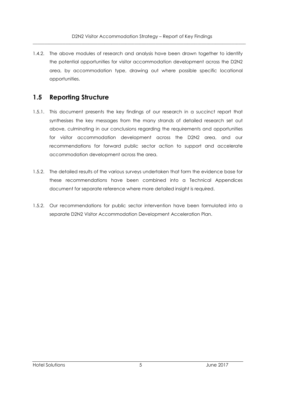1.4.2. The above modules of research and analysis have been drawn together to identify the potential opportunities for visitor accommodation development across the D2N2 area, by accommodation type, drawing out where possible specific locational opportunities.

## **1.5 Reporting Structure**

- 1.5.1. This document presents the key findings of our research in a succinct report that synthesises the key messages from the many strands of detailed research set out above, culminating in our conclusions regarding the requirements and opportunities for visitor accommodation development across the D2N2 area, and our recommendations for forward public sector action to support and accelerate accommodation development across the area.
- 1.5.2. The detailed results of the various surveys undertaken that form the evidence base for these recommendations have been combined into a Technical Appendices document for separate reference where more detailed insight is required.
- 1.5.2. Our recommendations for public sector intervention have been formulated into a separate D2N2 Visitor Accommodation Development Acceleration Plan.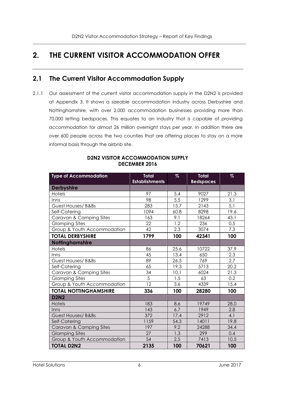## **2. THE CURRENT VISITOR ACCOMMODATION OFFER**

## **2.1 The Current Visitor Accommodation Supply**

2.1.1 Our assessment of the current visitor accommodation supply in the D2N2 is provided at Appendix 3. It shows a sizeable accommodation industry across Derbyshire and Nottinghamshire, with over 2,000 accommodation businesses providing more than 70,000 letting bedspaces. This equates to an industry that is capable of providing accommodation for almost 26 million overnight stays per year. In addition there are over 600 people across the two counties that are offering places to stay on a more informal basis through the airbnb site.

| <b>Type of Accommodation</b> | <b>Total</b><br><b>Establishments</b> | $\%$ | <b>Total</b><br><b>Bedspaces</b> | $\%$ |
|------------------------------|---------------------------------------|------|----------------------------------|------|
| <b>Derbyshire</b>            |                                       |      |                                  |      |
| Hotels                       | 97                                    | 5.4  | 9027                             | 21.3 |
| Inns                         | 98                                    | 5.5  | 1299                             | 3.1  |
| Guest Houses/ B&Bs           | 283                                   | 15.7 | 2143                             | 5.1  |
| Self-Catering                | 1094                                  | 60.8 | 8298                             | 19.6 |
| Caravan & Camping Sites      | 163                                   | 9.1  | 18264                            | 43.1 |
| <b>Glamping Sites</b>        | 22                                    | 1.2  | 236                              | 0.5  |
| Group & Youth Accommodation  | 42                                    | 2.3  | 3074                             | 7.3  |
| <b>TOTAL DERBYSHIRE</b>      | 1799                                  | 100  | 42341                            | 100  |
| <b>Nottinghamshire</b>       |                                       |      |                                  |      |
| <b>Hotels</b>                | 86                                    | 25.6 | 10722                            | 37.9 |
| Inns                         | 45                                    | 13.4 | 650                              | 2.3  |
| Guest Houses/ B&Bs           | 89                                    | 26.5 | 769                              | 2.7  |
| Self-Catering                | 65                                    | 19.3 | 5713                             | 20.2 |
| Caravan & Camping Sites      | 34                                    | 10.1 | 6024                             | 21.3 |
| <b>Glamping Sites</b>        | 5                                     | 1.5  | 63                               | 0.2  |
| Group & Youth Accommodation  | 12                                    | 3.6  | 4339                             | 15.4 |
| <b>TOTAL NOTTINGHAMSHIRE</b> | 336                                   | 100  | 28280                            | 100  |
| <b>D2N2</b>                  |                                       |      |                                  |      |
| <b>Hotels</b>                | 183                                   | 8.6  | 19749                            | 28.0 |
| Inns                         | 143                                   | 6.7  | 1949                             | 2.8  |
| Guest Houses/ B&Bs           | 372                                   | 17.4 | 2912                             | 4.1  |
| Self-Catering                | 1159                                  | 54.3 | 14011                            | 19.8 |
| Caravan & Camping Sites      | 197                                   | 9.2  | 24288                            | 34.4 |
| <b>Glamping Sites</b>        | 27                                    | 1.3  | 299                              | 0.4  |
| Group & Youth Accommodation  | 54                                    | 2.5  | 7413                             | 10.5 |
| <b>TOTAL D2N2</b>            | 2135                                  | 100  | 70621                            | 100  |

#### **D2N2 VISITOR ACCOMMODATION SUPPLY DECEMBER 2016**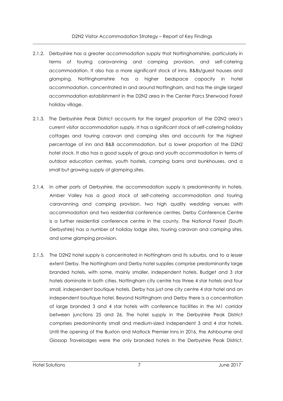- 2.1.2. Derbyshire has a greater accommodation supply that Nottinghamshire, particularly in terms of touring caravanning and camping provision, and self-catering accommodation. It also has a more significant stock of inns, B&Bs/guest houses and glamping. Nottinghamshire has a higher bedspace capacity in hotel accommodation, concentrated in and around Nottingham, and has the single largest accommodation establishment in the D2N2 area in the Center Parcs Sherwood Forest holiday village.
- 2.1.3. The Derbyshire Peak District accounts for the largest proportion of the D2N2 area's current visitor accommodation supply. It has a significant stock of self-catering holiday cottages and touring caravan and camping sites and accounts for the highest percentage of inn and B&B accommodation, but a lower proportion of the D2N2 hotel stock. It also has a good supply of group and youth accommodation in terms of outdoor education centres, youth hostels, camping barns and bunkhouses, and a small but growing supply of glamping sites.
- 2.1.4. In other parts of Derbyshire, the accommodation supply is predominantly in hotels. Amber Valley has a good stock of self-catering accommodation and touring caravanning and camping provision, two high quality wedding venues with accommodation and two residential conference centres. Derby Conference Centre is a further residential conference centre in the county. The National Forest (South Derbyshire) has a number of holiday lodge sites, touring caravan and camping sites, and some glamping provision.
- 2.1.5. The D2N2 hotel supply is concentrated in Nottingham and its suburbs, and to a lesser extent Derby. The Nottingham and Derby hotel supplies comprise predominantly large branded hotels, with some, mainly smaller, independent hotels. Budget and 3 star hotels dominate in both cities. Nottingham city centre has three 4 star hotels and four small, independent boutique hotels. Derby has just one city centre 4 star hotel and an independent boutique hotel. Beyond Nottingham and Derby there is a concentration of large branded 3 and 4 star hotels with conference facilities in the M1 corridor between junctions 25 and 26. The hotel supply in the Derbyshire Peak District comprises predominantly small and medium-sized independent 3 and 4 star hotels. Until the opening of the Buxton and Matlock Premier Inns in 2016, the Ashbourne and Glossop Travelodges were the only branded hotels in the Derbyshire Peak District.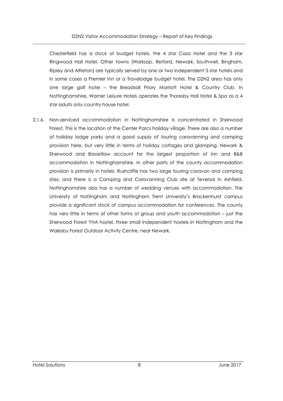Chesterfield has a stock of budget hotels, the 4 star Casa Hotel and the 3 star Ringwood Hall Hotel. Other towns (Worksop, Retford, Newark, Southwell, Bingham, Ripley and Alfreton) are typically served by one or two independent 3 star hotels and in some cases a Premier Inn or a Travelodge budget hotel. The D2N2 area has only one large golf hotel – the Breadsall Priory Marriott Hotel & Country Club. In Nottinghamshire, Warner Leisure Hotels operates the Thoresby Hall Hotel & Spa as a 4 star adults only country house hotel.

2.1.6. Non-serviced accommodation in Nottinghamshire is concentrated in Sherwood Forest. This is the location of the Center Parcs holiday village. There are also a number of holiday lodge parks and a good supply of touring caravanning and camping provision here, but very little in terms of holiday cottages and glamping. Newark & Sherwood and Bassetlaw account for the largest proportion of inn and B&B accommodation in Nottinghamshire. In other parts of the county accommodation provision is primarily in hotels. Rushcliffe has two large touring caravan and camping sites, and there is a Camping and Caravanning Club site at Teversal in Ashfield. Nottinghamshire also has a number of wedding venues with accommodation. The University of Nottingham and Nottingham Trent University's Brackenhurst campus provide a significant stock of campus accommodation for conferences. The county has very little in terms of other forms of group and youth accommodation – just the Sherwood Forest YHA hostel, three small independent hostels in Nottingham and the Walesby Forest Outdoor Activity Centre, near Newark.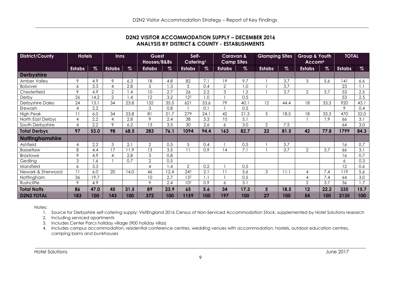| <b>D2N2 VISITOR ACCOMMODATION SUPPLY – DECEMBER 2016</b> |
|----------------------------------------------------------|
| ANALYSIS BY DISTRICT & COUNTY - ESTABLISHMENTS           |

| <b>District/County</b> |                  |                  | <b>Hotels</b>             |                  | <b>Inns</b>     |                  | Guest<br>Houses/B&Bs |                  | Self-<br>Catering <sup>1</sup> |                  | <b>Caravan &amp;</b><br><b>Camp Sites</b> |      | <b>Glamping Sites</b>   |                  | Group & Youth<br>Accom <sup>4</sup> |                  | <b>TOTAL</b> |  |
|------------------------|------------------|------------------|---------------------------|------------------|-----------------|------------------|----------------------|------------------|--------------------------------|------------------|-------------------------------------------|------|-------------------------|------------------|-------------------------------------|------------------|--------------|--|
|                        | <b>Estabs</b>    | $\%$             |                           | $\%$             | <b>Estabs</b>   | $\%$             | <b>Estabs</b>        | $\%$             | <b>Estabs</b>                  | $\%$             | <b>Estabs</b>                             | $\%$ | <b>Estabs</b>           | $\%$             | <b>Estabs</b>                       | $\%$             |              |  |
| <b>Derbyshire</b>      |                  |                  | <b>Estabs</b>             |                  |                 |                  |                      |                  |                                |                  |                                           |      |                         |                  |                                     |                  |              |  |
| Amber Valley           | 9                | 4.9              | 9                         | 6.3              | 18              | 4.8              | 82                   | 7.1              | 19                             | 9.7              |                                           | 3.7  | 3                       | 5.6              | 141                                 | 6.6              |              |  |
| <b>Bolsover</b>        | $\boldsymbol{6}$ | 3.3              | $\overline{4}$            | $\overline{2.8}$ | 5               | $\overline{1.3}$ | 5                    | 0.4              | $\overline{2}$                 | 1.0              |                                           | 3.7  |                         |                  | 23                                  | 1.1              |              |  |
| Chesterfield           | $\overline{9}$   | 4.9              | $\overline{2}$            | 1.4              | 10              | $\overline{2.7}$ | 26                   | 2.2              | $\overline{3}$                 | $\overline{1.5}$ |                                           | 3.7  | $\overline{2}$          | 3.7              | 53                                  | 2.5              |              |  |
| Derby                  | $\overline{26}$  | 14.2             | $\overline{2}$            | 1.4              | $\overline{12}$ | 3.2              | $\overline{12^2}$    | 1.0              |                                | 0.5              |                                           |      |                         |                  | 53                                  | 2.5              |              |  |
| Derbyshire Dales       | 24               | 13.1             | $\overline{34}$           | 23.8             | 132             | 35.5             | 621                  | 53.6             | 79                             | 40.1             | $\overline{12}$                           | 44.4 | 18                      | 33.3             | 920                                 | 43.1             |              |  |
| Erewash                | $\overline{4}$   | 2.2              |                           |                  | 3               | 0.8              |                      | 0.1              |                                | 0.5              |                                           |      |                         |                  | 9                                   | 0.4              |              |  |
| <b>High Peak</b>       | 11               | 6.0              | $\overline{34}$           | 23.8             | 81              | 21.7             | 279                  | 24.1             | 42                             | 21.3             | 5                                         | 18.5 | 18                      | 33.3             | 470                                 | 22.0             |              |  |
| North East Derbys      | $\overline{4}$   | 2.2              | $\overline{4}$            | 2.8              | 9               | $\overline{2.4}$ | 38                   | $\overline{3.3}$ | 10                             | $\overline{5.1}$ |                                           |      |                         | 1.9              | 66                                  | $\overline{3.1}$ |              |  |
| South Derbyshire       | $\overline{4}$   | $\overline{2.2}$ | $\overline{9}$            | 6.2              | $\overline{13}$ | $\overline{3.5}$ | 30                   | 2.6              | 6                              | 3.0              | $\overline{2}$                            | 7.5  |                         |                  | 64                                  | 3.0              |              |  |
| <b>Total Derbys</b>    | 97               | 53.0             | 98                        | 68.5             | 283             | 76.1             | 1094                 | 94.4             | 163                            | 82.7             | 22                                        | 81.5 | 42                      | 77.8             | 1799                                | 84.3             |              |  |
| Nottinghamshire        |                  |                  |                           |                  |                 |                  |                      |                  |                                |                  |                                           |      |                         |                  |                                     |                  |              |  |
| Ashfield               | $\overline{4}$   | 2.2              | $\ensuremath{\mathsf{3}}$ | 2.1              | $\overline{2}$  | 0.5              | $\sqrt{5}$           | 0.4              |                                | 0.5              |                                           | 3.7  |                         |                  | 16                                  | 0.7              |              |  |
| Bassetlaw              | 8                | 4.4              | 17                        | 11.9             | $\overline{13}$ | 3.5              | 11                   | 0.9              | $\overline{14}$                | 7.1              |                                           | 3.7  | $\overline{2}$          | 3.7              | 66                                  | 3.1              |              |  |
| <b>Broxtowe</b>        | $\overline{9}$   | 4.9              | $\overline{4}$            | $\overline{2.8}$ | $\overline{3}$  | 0.8              |                      |                  |                                |                  |                                           |      |                         |                  | 16                                  | 0.7              |              |  |
| Gedling                | 3                | 1.6              |                           | 0.7              | $\overline{2}$  | 0.5              |                      |                  |                                |                  |                                           |      |                         |                  | 6                                   | 0.3              |              |  |
| Mansfield              | 6                | 3.3              |                           |                  | 4               | 1.4              | $\overline{2}$       | 0.2              |                                | 0.5              |                                           |      |                         |                  | 12                                  | 0.6              |              |  |
| Newark & Sherwood      | 11               | 6.0              | 20                        | 14.0             | 46              | 12.4             | $24^{3}$             | 2.1              | 11                             | 5.6              | 3                                         | 11.1 | $\overline{4}$          | 7.4              | 119                                 | 5.6              |              |  |
| Nottingham             | 36               | 19.7             |                           |                  | $\overline{10}$ | $\overline{2.7}$ | 13 <sup>2</sup>      | 1.1              |                                | 0.5              |                                           |      | $\overline{\mathbf{4}}$ | 7.4              | 64                                  | 3.0              |              |  |
| Rushcliffe             | $\overline{9}$   | 4.9              |                           |                  | 9               | $\overline{2.4}$ | 10 <sup>2</sup>      | 0.9              | 6                              | $\overline{3.1}$ |                                           |      | $\overline{2}$          | $\overline{3.7}$ | $\overline{36}$                     | 1.7              |              |  |
| <b>Total Notts</b>     | 86               | 47.0             | 45                        | 31.5             | 89              | 23.9             | 65                   | 5.6              | 34                             | 17.3             | 5                                         | 18.5 | 12                      | 22.2             | 335                                 | 15.7             |              |  |
| <b>D2N2 TOTAL</b>      | 183              | 100              | 143                       | 100              | 372             | 100              | 1159                 | 100              | 197                            | 100              | 27                                        | 100  | 54                      | 100              | 2135                                | 100              |              |  |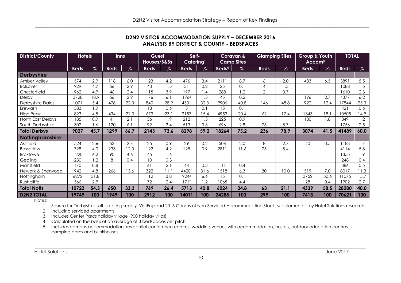| District/County         |             |      | <b>Hotels</b>   |      | <b>Inns</b> |                  | Guest<br>Houses/B&Bs |                  | Self-<br>Catering <sup>1</sup> |      |                 | <b>Caravan &amp;</b><br><b>Camp Sites</b> | <b>Glamping Sites</b> |      | Group & Youth<br>Accom <sup>5</sup> |      | <b>TOTAL</b> |  |
|-------------------------|-------------|------|-----------------|------|-------------|------------------|----------------------|------------------|--------------------------------|------|-----------------|-------------------------------------------|-----------------------|------|-------------------------------------|------|--------------|--|
|                         | <b>Beds</b> | %    | <b>Beds</b>     | $\%$ | <b>Beds</b> | $\%$             | <b>Beds</b>          | $\%$             | Beds <sup>4</sup>              | $\%$ | <b>Beds</b>     | %                                         | <b>Beds</b>           | $\%$ | <b>Beds</b>                         | $\%$ |              |  |
| <b>Derbyshire</b>       |             |      |                 |      |             |                  |                      |                  |                                |      |                 |                                           |                       |      |                                     |      |              |  |
| Amber Valley            | 574         | 2.9  | 118             | 6.0  | 123         | 4.2              | 476                  | 3.4              | 2111                           | 8.7  | 6               | 2.0                                       | 483                   | 6.5  | 3891                                | 5.5  |              |  |
| <b>Bolsover</b>         | 929         | 4.7  | 56              | 2.9  | 43          | 1.5              | 31                   | 0.2              | 25                             | 0.1  | $\overline{4}$  | 1.3                                       |                       |      | 1088                                | 1.5  |              |  |
| Chesterfield            | 962         | 4.9  | 46              | 2.4  | 115         | $\overline{3.9}$ | $\overline{197}$     | 1.4              | 288                            | 1.2  | $\overline{2}$  | 0.7                                       |                       |      | 1610                                | 2.3  |              |  |
| Derby                   | 3728        | 18.9 | 56              | 2.9  | 176         | 6.1              | 176 <sup>2</sup>     | 1.3              | 45                             | 0.2  |                 |                                           | 196                   | 2.7  | 4377                                | 6.2  |              |  |
| <b>Derbyshire Dales</b> | 1071        | 5.4  | 428             | 22.0 | 840         | 28.9             | 4531                 | 32.3             | 9906                           | 40.8 | 146             | 48.8                                      | 922                   | 12.4 | 17844                               | 25.3 |              |  |
| Erewash                 | 383         | 1.9  |                 |      | 18          | 0.6              | 5                    | 0.1              | 15                             | 0.1  |                 |                                           |                       |      | 421                                 | 0.6  |              |  |
| <b>High Peak</b>        | 893         | 4.5  | 434             | 22.3 | 673         | 23.1             | 2157                 | 15.4             | 4953                           | 20.4 | 62              | 17.4                                      | 1343                  | 18.1 | 10505                               | 14.9 |              |  |
| North East Derbys       | 185         | 0.9  | $\overline{41}$ | 2.1  | 56          | 1.9              | 212                  | 1.5              | $\overline{225}$               | 0.9  |                 |                                           | 130                   | 1.8  | 849                                 | 1.2  |              |  |
| South Derbyshire        | 302         | 1.6  | 120             | 6.1  | 99          | 3.4              | 513                  | $\overline{3.6}$ | 696                            | 2.8  | 26              | 8.7                                       |                       |      | 1756                                | 2.5  |              |  |
| <b>Total Derbys</b>     | 9027        | 45.7 | 1299            | 66.7 | 2143        | 73.6             | 8298                 | 59.2             | 18264                          | 75.2 | 236             | 78.9                                      | 3074                  | 41.5 | 41489                               | 60.0 |              |  |
| <b>Nottinghamshire</b>  |             |      |                 |      |             |                  |                      |                  |                                |      |                 |                                           |                       |      |                                     |      |              |  |
| Ashfield                | 524         | 2.6  | 53              | 2.7  | 25          | 0.9              | 29                   | 0.2              | 504                            | 2.0  | 8               | 2.7                                       | 40                    | 0.5  | 1183                                | 1.7  |              |  |
| Bassetlaw               | 798         | 4.0  | 233             | 12.0 | 122         | 4.2              | $\overline{125}$     | 0.9              | 2811                           | 11.6 | $\overline{25}$ | 8.4                                       |                       |      | 4114                                | 5.8  |              |  |
| Broxtowe                | 1220        | 6.2  | 90              | 4.6  | 45          | 1.6              |                      |                  |                                |      |                 |                                           |                       |      | 1355                                | 1.9  |              |  |
| Gedling                 | 230         | 1.2  | 8               | 0.4  | 10          | 0.3              |                      |                  |                                |      |                 |                                           |                       |      | 248                                 | 0.4  |              |  |
| Mansfield               | 170         | 0.8  |                 |      | 61          | $\overline{2.1}$ | 44                   | 0.3              | 111                            | 0.4  |                 |                                           |                       |      | 386                                 | 0.5  |              |  |
| Newark & Sherwood       | 942         | 4.8  | 266             | 13.6 | 322         | 11.1             | 44203                | 31.6             | 1518                           | 6.3  | 30              | 10.0                                      | 519                   | 7.0  | 8017                                | 11.3 |              |  |
| Nottingham              | 6272        | 31.8 |                 |      | 112         | 3.8              | 9242                 | 6.6              | 15                             | 0.1  |                 |                                           | 3752                  | 50.6 | 11075                               | 15.7 |              |  |
| Rushcliffe              | 566         | 2.9  |                 |      | 72          | 2.4              | 171 <sup>2</sup>     | 1.2              | 1065                           | 4.4  |                 |                                           | 28                    | 0.4  | 1902                                | 2.7  |              |  |
|                         | 10722       | 54.3 | 650             | 33.3 | 769         | 26.4             | 5713                 | 40.8             | 6024                           | 24.8 | 63              | 21.1                                      | 4339                  | 58.5 | 28280                               | 40.0 |              |  |
| <b>Total Notts</b>      |             | 100  | 1949            | 100  | 2912        | 100              | 14011                | 100              | 24288                          | 100  | 299             | 100                                       | 7413                  | 100  | 70621                               | 100  |              |  |

#### **D2N2 VISITOR ACCOMMODATION SUPPLY – DECEMBER 2016 ANALYSIS BY DISTRICT & COUNTY - BEDSPACES**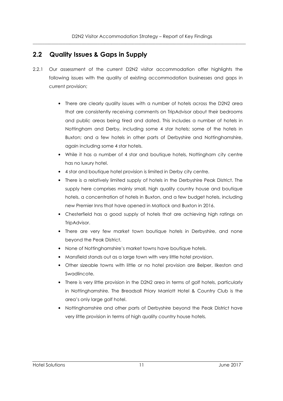## **2.2 Quality Issues & Gaps in Supply**

- 2.2.1 Our assessment of the current D2N2 visitor accommodation offer highlights the following issues with the quality of existing accommodation businesses and gaps in current provision;
	- There are clearly quality issues with a number of hotels across the D2N2 area that are consistently receiving comments on TripAdvisor about their bedrooms and public areas being tired and dated. This includes a number of hotels in Nottingham and Derby, including some 4 star hotels; some of the hotels in Buxton; and a few hotels in other parts of Derbyshire and Nottinghamshire, again including some 4 star hotels.
	- While it has a number of 4 star and boutique hotels, Nottingham city centre has no luxury hotel.
	- 4 star and boutique hotel provision is limited in Derby city centre.
	- There is a relatively limited supply of hotels in the Derbyshire Peak District. The supply here comprises mainly small, high quality country house and boutique hotels, a concentration of hotels in Buxton, and a few budget hotels, including new Premier Inns that have opened in Matlock and Buxton in 2016.
	- Chesterfield has a good supply of hotels that are achieving high ratings on TripAdvisor.
	- There are very few market town boutique hotels in Derbyshire, and none beyond the Peak District.
	- None of Nottinghamshire's market towns have boutique hotels.
	- Mansfield stands out as a large town with very little hotel provision.
	- Other sizeable towns with little or no hotel provision are Belper, Ilkeston and Swadlincote.
	- There is very little provision in the D2N2 area in terms of golf hotels, particularly in Nottinghamshire. The Breadsall Priory Marriott Hotel & Country Club is the area's only large golf hotel.
	- Nottinghamshire and other parts of Derbyshire beyond the Peak District have very little provision in terms of high quality country house hotels.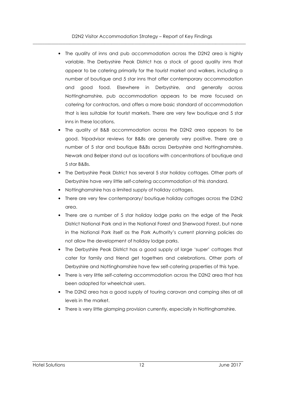- The quality of inns and pub accommodation across the D2N2 area is highly variable. The Derbyshire Peak District has a stock of good quality inns that appear to be catering primarily for the tourist market and walkers, including a number of boutique and 5 star inns that offer contemporary accommodation and good food. Elsewhere in Derbyshire, and generally across Nottinghamshire, pub accommodation appears to be more focused on catering for contractors, and offers a more basic standard of accommodation that is less suitable for tourist markets. There are very few boutique and 5 star inns in these locations.
- The quality of B&B accommodation across the D2N2 area appears to be good. Tripadvisor reviews for B&Bs are generally very positive. There are a number of 5 star and boutique B&Bs across Derbyshire and Nottinghamshire. Newark and Belper stand out as locations with concentrations of boutique and 5 star B&Bs.
- The Derbyshire Peak District has several 5 star holiday cottages. Other parts of Derbyshire have very little self-catering accommodation of this standard.
- Nottinghamshire has a limited supply of holiday cottages.
- There are very few contemporary/ boutique holiday cottages across the D2N2 area.
- There are a number of 5 star holiday lodge parks on the edge of the Peak District National Park and in the National Forest and Sherwood Forest, but none in the National Park itself as the Park Authority's current planning policies do not allow the development of holiday lodge parks.
- The Derbyshire Peak District has a good supply of large 'super' cottages that cater for family and friend get togethers and celebrations. Other parts of Derbyshire and Nottinghamshire have few self-catering properties of this type.
- There is very little self-catering accommodation across the D2N2 area that has been adapted for wheelchair users.
- The D2N2 area has a good supply of touring caravan and camping sites at all levels in the market.
- There is very little glamping provision currently, especially in Nottinghamshire.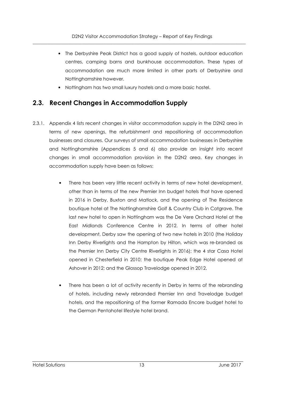- The Derbyshire Peak District has a good supply of hostels, outdoor education centres, camping barns and bunkhouse accommodation. These types of accommodation are much more limited in other parts of Derbyshire and Nottinghamshire however.
- Nottingham has two small luxury hostels and a more basic hostel.

## **2.3. Recent Changes in Accommodation Supply**

- 2.3.1. Appendix 4 lists recent changes in visitor accommodation supply in the D2N2 area in terms of new openings, the refurbishment and repositioning of accommodation businesses and closures. Our surveys of small accommodation businesses in Derbyshire and Nottinghamshire (Appendices 5 and 6) also provide an insight into recent changes in small accommodation provision in the D2N2 area. Key changes in accommodation supply have been as follows:
	- There has been very little recent activity in terms of new hotel development, other than in terms of the new Premier Inn budget hotels that have opened in 2016 in Derby, Buxton and Matlock, and the opening of The Residence boutique hotel at The Nottinghamshire Golf & Country Club in Cotgrave. The last new hotel to open in Nottingham was the De Vere Orchard Hotel at the East Midlands Conference Centre in 2012. In terms of other hotel development, Derby saw the opening of two new hotels in 2010 (the Holiday Inn Derby Riverlights and the Hampton by Hilton, which was re-branded as the Premier Inn Derby City Centre Riverlights in 2016); the 4 star Casa Hotel opened in Chesterfield in 2010; the boutique Peak Edge Hotel opened at Ashover in 2012; and the Glossop Travelodge opened in 2012.
	- There has been a lot of activity recently in Derby in terms of the rebranding of hotels, including newly rebranded Premier Inn and Travelodge budget hotels, and the repositioning of the former Ramada Encore budget hotel to the German Pentahotel lifestyle hotel brand.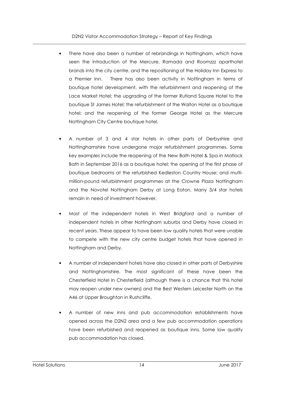- There have also been a number of rebrandings in Nottingham, which have seen the introduction of the Mercure, Ramada and Roomzzz aparthotel brands into the city centre, and the repositioning of the Holiday Inn Express to a Premier Inn. There has also been activity in Nottingham in terms of boutique hotel development, with the refurbishment and reopening of the Lace Market Hotel; the upgrading of the former Rutland Square Hotel to the boutique St James Hotel; the refurbishment of the Walton Hotel as a boutique hotel; and the reopening of the former George Hotel as the Mercure Nottingham City Centre boutique hotel.
- A number of 3 and 4 star hotels in other parts of Derbyshire and Nottinghamshire have undergone major refurbishment programmes. Some key examples include the reopening of the New Bath Hotel & Spa in Matlock Bath in September 2016 as a boutique hotel; the opening of the first phase of boutique bedrooms at the refurbished Kedleston Country House; and multimillion-pound refurbishment programmes at the Crowne Plaza Nottingham and the Novotel Nottingham Derby at Long Eaton. Many 3/4 star hotels remain in need of investment however.
- Most of the independent hotels in West Bridgford and a number of independent hotels in other Nottingham suburbs and Derby have closed in recent years. These appear to have been low quality hotels that were unable to compete with the new city centre budget hotels that have opened in Nottingham and Derby.
- A number of independent hotels have also closed in other parts of Derbyshire and Nottinghamshire. The most significant of these have been the Chesterfield Hotel in Chesterfield (although there is a chance that this hotel may reopen under new owners) and the Best Western Leicester North on the A46 at Upper Broughton in Rushcliffe.
- A number of new inns and pub accommodation establishments have opened across the D2N2 area and a few pub accommodation operations have been refurbished and reopened as boutique inns. Some low quality pub accommodation has closed.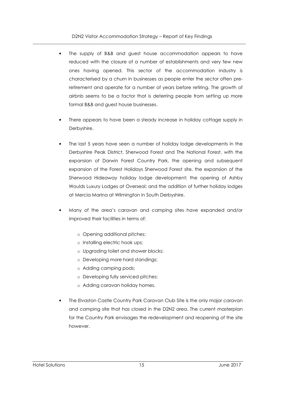- The supply of B&B and guest house accommodation appears to have reduced with the closure of a number of establishments and very few new ones having opened. This sector of the accommodation industry is characterised by a churn in businesses as people enter the sector often preretirement and operate for a number of years before retiring. The growth of airbnb seems to be a factor that is deterring people from setting up more formal B&B and guest house businesses.
- There appears to have been a steady increase in holiday cottage supply in Derbyshire.
- The last 5 years have seen a number of holiday lodge developments in the Derbyshire Peak District, Sherwood Forest and The National Forest, with the expansion of Darwin Forest Country Park, the opening and subsequent expansion of the Forest Holidays Sherwood Forest site, the expansion of the Sherwood Hideaway holiday lodge development; the opening of Ashby Woulds Luxury Lodges at Overseal; and the addition of further holiday lodges at Mercia Marina at Wilmington in South Derbyshire.
- Many of the area's caravan and camping sites have expanded and/or improved their facilities in terms of:
	- o Opening additional pitches;
	- o Installing electric hook ups;
	- o Upgrading toilet and shower blocks;
	- o Developing more hard standings;
	- o Adding camping pods;
	- o Developing fully serviced pitches;
	- o Adding caravan holiday homes.
- The Elvaston Castle Country Park Caravan Club Site is the only major caravan and camping site that has closed in the D2N2 area. The current masterplan for the Country Park envisages the redevelopment and reopening of the site however.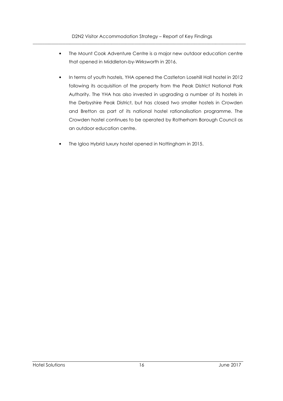- The Mount Cook Adventure Centre is a major new outdoor education centre that opened in Middleton-by-Wirksworth in 2016.
- In terms of youth hostels, YHA opened the Castleton Losehill Hall hostel in 2012 following its acquisition of the property from the Peak District National Park Authority. The YHA has also invested in upgrading a number of its hostels in the Derbyshire Peak District, but has closed two smaller hostels in Crowden and Bretton as part of its national hostel rationalisation programme. The Crowden hostel continues to be operated by Rotherham Borough Council as an outdoor education centre.
- The Igloo Hybrid luxury hostel opened in Nottingham in 2015.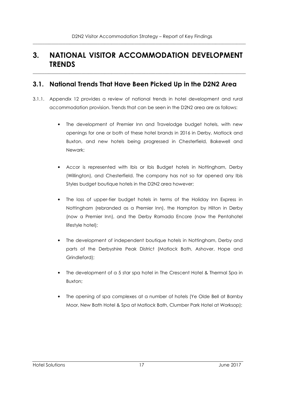## **3. NATIONAL VISITOR ACCOMMODATION DEVELOPMENT TRENDS**

 $\overline{\phantom{a}}$  ,  $\overline{\phantom{a}}$  ,  $\overline{\phantom{a}}$  ,  $\overline{\phantom{a}}$  ,  $\overline{\phantom{a}}$  ,  $\overline{\phantom{a}}$  ,  $\overline{\phantom{a}}$  ,  $\overline{\phantom{a}}$  ,  $\overline{\phantom{a}}$  ,  $\overline{\phantom{a}}$  ,  $\overline{\phantom{a}}$  ,  $\overline{\phantom{a}}$  ,  $\overline{\phantom{a}}$  ,  $\overline{\phantom{a}}$  ,  $\overline{\phantom{a}}$  ,  $\overline{\phantom{a}}$ 

#### **3.1. National Trends That Have Been Picked Up in the D2N2 Area**

- 3.1.1. Appendix 12 provides a review of national trends in hotel development and rural accommodation provision. Trends that can be seen in the D2N2 area are as follows:
	- The development of Premier Inn and Travelodge budget hotels, with new openings for one or both of these hotel brands in 2016 in Derby, Matlock and Buxton, and new hotels being progressed in Chesterfield, Bakewell and Newark;
	- Accor is represented with Ibis or Ibis Budget hotels in Nottingham, Derby (Willington), and Chesterfield. The company has not so far opened any Ibis Styles budget boutique hotels in the D2N2 area however;
	- The loss of upper-tier budget hotels in terms of the Holiday Inn Express in Nottingham (rebranded as a Premier Inn), the Hampton by Hilton in Derby (now a Premier Inn), and the Derby Ramada Encore (now the Pentahotel lifestyle hotel);
	- The development of independent boutique hotels in Nottingham, Derby and parts of the Derbyshire Peak District (Matlock Bath, Ashover, Hope and Grindleford);
	- The development of a 5 star spa hotel in The Crescent Hotel & Thermal Spa in Buxton;
	- The opening of spa complexes at a number of hotels (Ye Olde Bell at Barnby Moor, New Bath Hotel & Spa at Matlock Bath, Clumber Park Hotel at Worksop);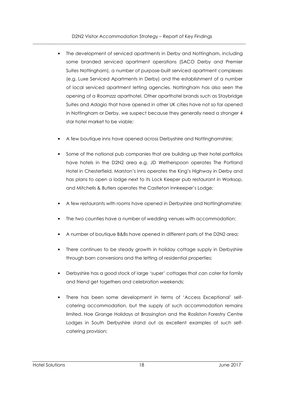- The development of serviced apartments in Derby and Nottingham, including some branded serviced apartment operations (SACO Derby and Premier Suites Nottingham), a number of purpose-built serviced apartment complexes (e.g. Luxe Serviced Apartments in Derby) and the establishment of a number of local serviced apartment letting agencies. Nottingham has also seen the opening of a Roomzzz aparthotel. Other aparthotel brands such as Staybridge Suites and Adagio that have opened in other UK cities have not so far opened in Nottingham or Derby, we suspect because they generally need a stronger 4 star hotel market to be viable;
- A few boutique inns have opened across Derbyshire and Nottinghamshire;
- Some of the national pub companies that are building up their hotel portfolios have hotels in the D2N2 area e.g. JD Wetherspoon operates The Portland Hotel in Chesterfield, Marston's Inns operates the King's Highway in Derby and has plans to open a lodge next to its Lock Keeper pub restaurant in Worksop, and Mitchells & Butlers operates the Castleton Innkeeper's Lodge;
- A few restaurants with rooms have opened in Derbyshire and Nottinghamshire;
- The two counties have a number of wedding venues with accommodation;
- A number of boutique B&Bs have opened in different parts of the D2N2 area;
- There continues to be steady growth in holiday cottage supply in Derbyshire through barn conversions and the letting of residential properties;
- Derbyshire has a good stock of large 'super' cottages that can cater for family and friend get togethers and celebration weekends;
- There has been some development in terms of 'Access Exceptional' selfcatering accommodation, but the supply of such accommodation remains limited. Hoe Grange Holidays at Brassington and the Rosliston Forestry Centre Lodges in South Derbyshire stand out as excellent examples of such selfcatering provision;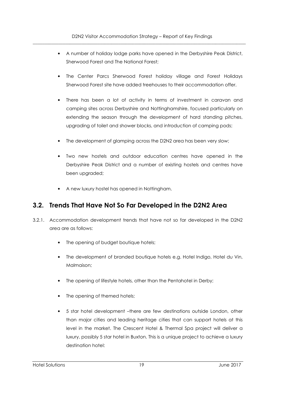- A number of holiday lodge parks have opened in the Derbyshire Peak District, Sherwood Forest and The National Forest;
- The Center Parcs Sherwood Forest holiday village and Forest Holidays Sherwood Forest site have added treehouses to their accommodation offer.
- There has been a lot of activity in terms of investment in caravan and camping sites across Derbyshire and Nottinghamshire, focused particularly on extending the season through the development of hard standing pitches, upgrading of toilet and shower blocks, and introduction of camping pods;
- The development of glamping across the D2N2 area has been very slow;
- Two new hostels and outdoor education centres have opened in the Derbyshire Peak District and a number of existing hostels and centres have been upgraded;
- A new luxury hostel has opened in Nottingham.

## **3.2. Trends That Have Not So Far Developed in the D2N2 Area**

- 3.2.1. Accommodation development trends that have not so far developed in the D2N2 area are as follows:
	- The opening of budget boutique hotels;
	- The development of branded boutique hotels e.g. Hotel Indigo, Hotel du Vin, Malmaison;
	- The opening of lifestyle hotels, other than the Pentahotel in Derby;
	- The opening of themed hotels;
	- 5 star hotel development –there are few destinations outside London, other than major cities and leading heritage cities that can support hotels at this level in the market. The Crescent Hotel & Thermal Spa project will deliver a luxury, possibly 5 star hotel in Buxton. This is a unique project to achieve a luxury destination hotel: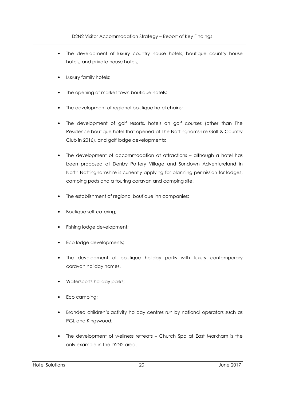- The development of luxury country house hotels, boutique country house hotels, and private house hotels;
- Luxury family hotels;
- The opening of market town boutique hotels;
- The development of regional boutique hotel chains;
- The development of golf resorts, hotels on golf courses (other than The Residence boutique hotel that opened at The Nottinghamshire Golf & Country Club in 2016), and golf lodge developments;
- The development of accommodation at attractions although a hotel has been proposed at Denby Pottery Village and Sundown Adventureland in North Nottinghamshire is currently applying for planning permission for lodges, camping pods and a touring caravan and camping site.
- The establishment of regional boutique inn companies;
- Boutique self-catering;
- Fishing lodge development;
- Eco lodge developments;
- The development of boutique holiday parks with luxury contemporary caravan holiday homes.
- Watersports holiday parks;
- Eco camping;
- Branded children's activity holiday centres run by national operators such as PGL and Kingswood;
- The development of wellness retreats Church Spa at East Markham is the only example in the D2N2 area.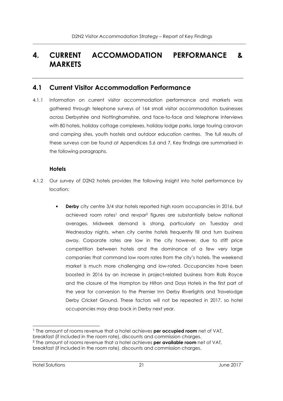## **4. CURRENT ACCOMMODATION PERFORMANCE & MARKETS**

#### **4.1 Current Visitor Accommodation Performance**

4.1.1 Information on current visitor accommodation performance and markets was gathered through telephone surveys of 164 small visitor accommodation businesses across Derbyshire and Nottinghamshire, and face-to-face and telephone interviews with 80 hotels, holiday cottage complexes, holiday lodge parks, large touring caravan and camping sites, youth hostels and outdoor education centres. The full results of these surveys can be found at Appendices 5,6 and 7. Key findings are summarised in the following paragraphs.

#### **Hotels**

- 4.1.2 Our survey of D2N2 hotels provides the following insight into hotel performance by location:
	- **Derby** city centre 3/4 star hotels reported high room occupancies in 2016, but achieved room rates<sup>1</sup> and revpar<sup>2</sup> figures are substantially below national averages. Midweek demand is strong, particularly on Tuesday and Wednesday nights, when city centre hotels frequently fill and turn business away. Corporate rates are low in the city however, due to stiff price competition between hotels and the dominance of a few very large companies that command low room rates from the city's hotels. The weekend market is much more challenging and low-rated. Occupancies have been boosted in 2016 by an increase in project-related business from Rolls Royce and the closure of the Hampton by Hilton and Days Hotels in the first part of the year for conversion to the Premier Inn Derby Riverlights and Travelodge Derby Cricket Ground. These factors will not be repeated in 2017, so hotel occupancies may drop back in Derby next year.

l 1 The amount of rooms revenue that a hotel achieves **per occupied room** net of VAT, breakfast (if included in the room rate), discounts and commission charges. 2 The amount of rooms revenue that a hotel achieves **per available room** net of VAT, breakfast (if included in the room rate), discounts and commission charges.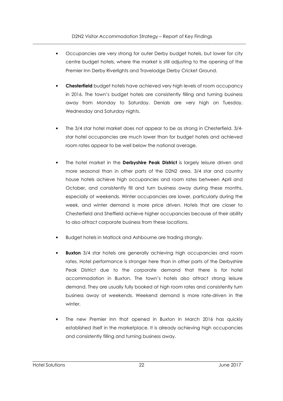- Occupancies are very strong for outer Derby budget hotels, but lower for city centre budget hotels, where the market is still adjusting to the opening of the Premier Inn Derby Riverlights and Travelodge Derby Cricket Ground.
- **Chesterfield** budget hotels have achieved very high levels of room occupancy in 2016. The town's budget hotels are consistently filling and turning business away from Monday to Saturday. Denials are very high on Tuesday, Wednesday and Saturday nights.
- The 3/4 star hotel market does not appear to be as strong in Chesterfield. 3/4 star hotel occupancies are much lower than for budget hotels and achieved room rates appear to be well below the national average.
- The hotel market in the **Derbyshire Peak District** is largely leisure driven and more seasonal than in other parts of the D2N2 area. 3/4 star and country house hotels achieve high occupancies and room rates between April and October, and consistently fill and turn business away during these months, especially at weekends. Winter occupancies are lower, particularly during the week, and winter demand is more price driven. Hotels that are closer to Chesterfield and Sheffield achieve higher occupancies because of their ability to also attract corporate business from these locations.
- Budget hotels in Matlock and Ashbourne are trading strongly.
- **Buxton** 3/4 star hotels are generally achieving high occupancies and room rates. Hotel performance is stronger here than in other parts of the Derbyshire Peak District due to the corporate demand that there is for hotel accommodation in Buxton. The town's hotels also attract strong leisure demand. They are usually fully booked at high room rates and consistently turn business away at weekends. Weekend demand is more rate-driven in the winter.
- The new Premier Inn that opened in Buxton in March 2016 has quickly established itself in the marketplace. It is already achieving high occupancies and consistently filling and turning business away.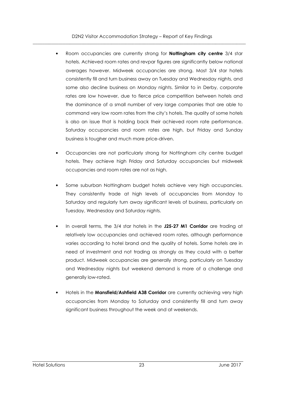- Room occupancies are currently strong for **Nottingham city centre** 3/4 star hotels. Achieved room rates and revpar figures are significantly below national averages however. Midweek occupancies are strong. Most 3/4 star hotels consistently fill and turn business away on Tuesday and Wednesday nights, and some also decline business on Monday nights. Similar to in Derby, corporate rates are low however, due to fierce price competition between hotels and the dominance of a small number of very large companies that are able to command very low room rates from the city's hotels. The quality of some hotels is also an issue that is holding back their achieved room rate performance. Saturday occupancies and room rates are high, but Friday and Sunday business is tougher and much more price-driven.
- Occupancies are not particularly strong for Nottingham city centre budget hotels. They achieve high Friday and Saturday occupancies but midweek occupancies and room rates are not as high.
- Some suburban Nottingham budget hotels achieve very high occupancies. They consistently trade at high levels of occupancies from Monday to Saturday and regularly turn away significant levels of business, particularly on Tuesday, Wednesday and Saturday nights.
- In overall terms, the 3/4 star hotels in the **J25-27 M1 Corridor** are trading at relatively low occupancies and achieved room rates, although performance varies according to hotel brand and the quality of hotels. Some hotels are in need of investment and not trading as strongly as they could with a better product. Midweek occupancies are generally strong, particularly on Tuesday and Wednesday nights but weekend demand is more of a challenge and generally low-rated.
- Hotels in the **Mansfield/Ashfield A38 Corridor** are currently achieving very high occupancies from Monday to Saturday and consistently fill and turn away significant business throughout the week and at weekends.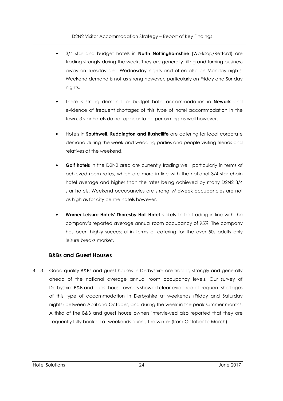- 3/4 star and budget hotels in **North Nottinghamshire** (Worksop/Retford) are trading strongly during the week. They are generally filling and turning business away on Tuesday and Wednesday nights and often also on Monday nights. Weekend demand is not as strong however, particularly on Friday and Sunday nights.
- There is strong demand for budget hotel accommodation in **Newark** and evidence of frequent shortages of this type of hotel accommodation in the town. 3 star hotels do not appear to be performing as well however.
- Hotels in **Southwell, Ruddington and Rushcliffe** are catering for local corporate demand during the week and wedding parties and people visiting friends and relatives at the weekend.
- **Golf hotels** in the D2N2 area are currently trading well, particularly in terms of achieved room rates, which are more in line with the national 3/4 star chain hotel average and higher than the rates being achieved by many D2N2 3/4 star hotels. Weekend occupancies are strong. Midweek occupancies are not as high as for city centre hotels however.
- **Warner Leisure Hotels' Thoresby Hall Hotel** is likely to be trading in line with the company's reported average annual room occupancy of 95%. The company has been highly successful in terms of catering for the over 50s adults only leisure breaks market.

#### **B&Bs and Guest Houses**

4.1.3. Good quality B&Bs and guest houses in Derbyshire are trading strongly and generally ahead of the national average annual room occupancy levels. Our survey of Derbyshire B&B and guest house owners showed clear evidence of frequent shortages of this type of accommodation in Derbyshire at weekends (Friday and Saturday nights) between April and October, and during the week in the peak summer months. A third of the B&B and guest house owners interviewed also reported that they are frequently fully booked at weekends during the winter (from October to March).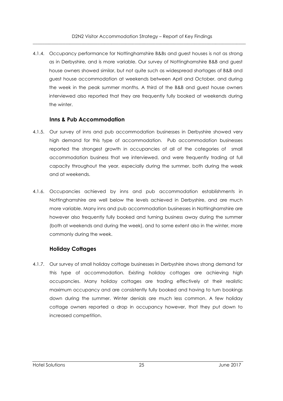4.1.4. Occupancy performance for Nottinghamshire B&Bs and guest houses is not as strong as in Derbyshire, and is more variable. Our survey of Nottinghamshire B&B and guest house owners showed similar, but not quite such as widespread shortages of B&B and guest house accommodation at weekends between April and October, and during the week in the peak summer months. A third of the B&B and guest house owners interviewed also reported that they are frequently fully booked at weekends during the winter.

#### **Inns & Pub Accommodation**

- 4.1.5. Our survey of inns and pub accommodation businesses in Derbyshire showed very high demand for this type of accommodation. Pub accommodation businesses reported the strongest growth in occupancies of all of the categories of small accommodation business that we interviewed, and were frequently trading at full capacity throughout the year, especially during the summer, both during the week and at weekends.
- 4.1.6. Occupancies achieved by inns and pub accommodation establishments in Nottinghamshire are well below the levels achieved in Derbyshire, and are much more variable. Many inns and pub accommodation businesses in Nottinghamshire are however also frequently fully booked and turning business away during the summer (both at weekends and during the week), and to some extent also in the winter, more commonly during the week.

#### **Holiday Cottages**

4.1.7. Our survey of small holiday cottage businesses in Derbyshire shows strong demand for this type of accommodation. Existing holiday cottages are achieving high occupancies. Many holiday cottages are trading effectively at their realistic maximum occupancy and are consistently fully booked and having to turn bookings down during the summer. Winter denials are much less common. A few holiday cottage owners reported a drop in occupancy however, that they put down to increased competition.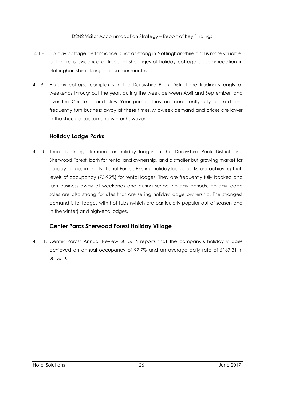- 4.1.8. Holiday cottage performance is not as strong in Nottinghamshire and is more variable, but there is evidence of frequent shortages of holiday cottage accommodation in Nottinghamshire during the summer months.
- 4.1.9. Holiday cottage complexes in the Derbyshire Peak District are trading strongly at weekends throughout the year, during the week between April and September, and over the Christmas and New Year period. They are consistently fully booked and frequently turn business away at these times. Midweek demand and prices are lower in the shoulder season and winter however.

#### **Holiday Lodge Parks**

4.1.10. There is strong demand for holiday lodges in the Derbyshire Peak District and Sherwood Forest, both for rental and ownership, and a smaller but growing market for holiday lodges in The National Forest. Existing holiday lodge parks are achieving high levels of occupancy (75-92%) for rental lodges. They are frequently fully booked and turn business away at weekends and during school holiday periods. Holiday lodge sales are also strong for sites that are selling holiday lodge ownership. The strongest demand is for lodges with hot tubs (which are particularly popular out of season and in the winter) and high-end lodges.

#### **Center Parcs Sherwood Forest Holiday Village**

4.1.11. Center Parcs' Annual Review 2015/16 reports that the company's holiday villages achieved an annual occupancy of 97.7% and an average daily rate of £167.31 in 2015/16.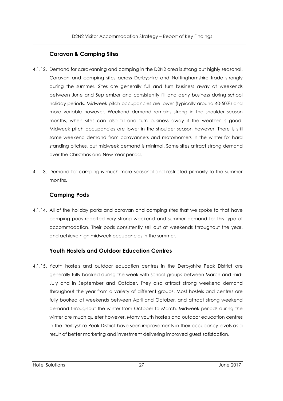#### **Caravan & Camping Sites**

- 4.1.12. Demand for caravanning and camping in the D2N2 area is strong but highly seasonal. Caravan and camping sites across Derbyshire and Nottinghamshire trade strongly during the summer. Sites are generally full and turn business away at weekends between June and September and consistently fill and deny business during school holiday periods. Midweek pitch occupancies are lower (typically around 40-50%) and more variable however. Weekend demand remains strong in the shoulder season months, when sites can also fill and turn business away if the weather is good. Midweek pitch occupancies are lower in the shoulder season however. There is still some weekend demand from caravanners and motorhomers in the winter for hard standing pitches, but midweek demand is minimal. Some sites attract strong demand over the Christmas and New Year period.
- 4.1.13. Demand for camping is much more seasonal and restricted primarily to the summer months.

#### **Camping Pods**

4.1.14. All of the holiday parks and caravan and camping sites that we spoke to that have camping pods reported very strong weekend and summer demand for this type of accommodation. Their pods consistently sell out at weekends throughout the year, and achieve high midweek occupancies in the summer.

#### **Youth Hostels and Outdoor Education Centres**

4.1.15. Youth hostels and outdoor education centres in the Derbyshire Peak District are generally fully booked during the week with school groups between March and mid-July and in September and October. They also attract strong weekend demand throughout the year from a variety of different groups. Most hostels and centres are fully booked at weekends between April and October, and attract strong weekend demand throughout the winter from October to March. Midweek periods during the winter are much quieter however. Many youth hostels and outdoor education centres in the Derbyshire Peak District have seen improvements in their occupancy levels as a result of better marketing and investment delivering improved guest satisfaction.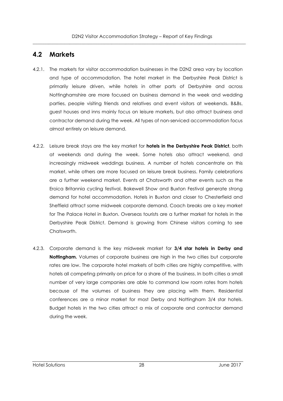#### **4.2 Markets**

- 4.2.1. The markets for visitor accommodation businesses in the D2N2 area vary by location and type of accommodation. The hotel market in the Derbyshire Peak District is primarily leisure driven, while hotels in other parts of Derbyshire and across Nottinghamshire are more focused on business demand in the week and wedding parties, people visiting friends and relatives and event visitors at weekends. B&Bs, guest houses and inns mainly focus on leisure markets, but also attract business and contractor demand during the week. All types of non-serviced accommodation focus almost entirely on leisure demand.
- 4.2.2. Leisure break stays are the key market for **hotels in the Derbyshire Peak District**, both at weekends and during the week. Some hotels also attract weekend, and increasingly midweek weddings business. A number of hotels concentrate on this market, while others are more focused on leisure break business. Family celebrations are a further weekend market. Events at Chatsworth and other events such as the Eroica Britannia cycling festival, Bakewell Show and Buxton Festival generate strong demand for hotel accommodation. Hotels in Buxton and closer to Chesterfield and Sheffield attract some midweek corporate demand. Coach breaks are a key market for The Palace Hotel in Buxton. Overseas tourists are a further market for hotels in the Derbyshire Peak District. Demand is growing from Chinese visitors coming to see Chatsworth.
- 4.2.3. Corporate demand is the key midweek market for **3/4 star hotels in Derby and Nottingham.** Volumes of corporate business are high in the two cities but corporate rates are low. The corporate hotel markets of both cities are highly competitive, with hotels all competing primarily on price for a share of the business. In both cities a small number of very large companies are able to command low room rates from hotels because of the volumes of business they are placing with them. Residential conferences are a minor market for most Derby and Nottingham 3/4 star hotels. Budget hotels in the two cities attract a mix of corporate and contractor demand during the week.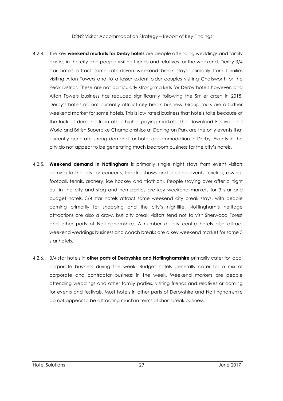- 4.2.4. The key **weekend markets for Derby hotels** are people attending weddings and family parties in the city and people visiting friends and relatives for the weekend. Derby 3/4 star hotels attract some rate-driven weekend break stays, primarily from families visiting Alton Towers and to a lesser extent older couples visiting Chatsworth or the Peak District. These are not particularly strong markets for Derby hotels however, and Alton Towers business has reduced significantly following the Smiler crash in 2015. Derby's hotels do not currently attract city break business. Group tours are a further weekend market for some hotels. This is low rated business that hotels take because of the lack of demand from other higher paying markets. The Download Festival and World and British Superbike Championships at Donington Park are the only events that currently generate strong demand for hotel accommodation in Derby. Events in the city do not appear to be generating much bedroom business for the city's hotels.
- 4.2.5. **Weekend demand in Nottingham** is primarily single night stays from event visitors coming to the city for concerts, theatre shows and sporting events (cricket, rowing, football, tennis, archery, ice hockey and triathlon). People staying over after a night out in the city and stag and hen parties are key weekend markets for 3 star and budget hotels. 3/4 star hotels attract some weekend city break stays, with people coming primarily for shopping and the city's nightlife. Nottingham's heritage attractions are also a draw, but city break visitors tend not to visit Sherwood Forest and other parts of Nottinghamshire. A number of city centre hotels also attract weekend weddings business and coach breaks are a key weekend market for some 3 star hotels.
- 4.2.6. 3/4 star hotels in **other parts of Derbyshire and Nottinghamshire** primarily cater for local corporate business during the week. Budget hotels generally cater for a mix of corporate and contractor business in the week. Weekend markets are people attending weddings and other family parties, visiting friends and relatives or coming for events and festivals. Most hotels in other parts of Derbyshire and Nottinghamshire do not appear to be attracting much in terms of short break business.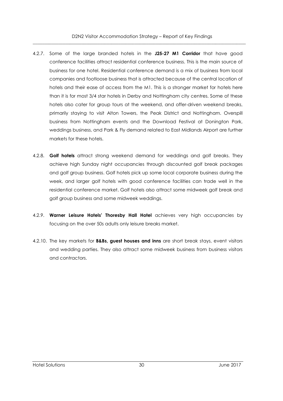- 4.2.7. Some of the large branded hotels in the **J25-27 M1 Corridor** that have good conference facilities attract residential conference business. This is the main source of business for one hotel. Residential conference demand is a mix of business from local companies and footloose business that is attracted because of the central location of hotels and their ease of access from the M1. This is a stronger market for hotels here than it is for most 3/4 star hotels in Derby and Nottingham city centres. Some of these hotels also cater for group tours at the weekend, and offer-driven weekend breaks, primarily staying to visit Alton Towers, the Peak District and Nottingham. Overspill business from Nottingham events and the Download Festival at Donington Park, weddings business, and Park & Fly demand related to East Midlands Airport are further markets for these hotels.
- 4.2.8. **Golf hotels** attract strong weekend demand for weddings and golf breaks. They achieve high Sunday night occupancies through discounted golf break packages and golf group business. Golf hotels pick up some local corporate business during the week, and larger golf hotels with good conference facilities can trade well in the residential conference market. Golf hotels also attract some midweek golf break and golf group business and some midweek weddings.
- 4.2.9. **Warner Leisure Hotels' Thoresby Hall Hotel** achieves very high occupancies by focusing on the over 50s adults only leisure breaks market.
- 4.2.10. The key markets for **B&Bs, guest houses and inns** are short break stays, event visitors and wedding parties. They also attract some midweek business from business visitors and contractors.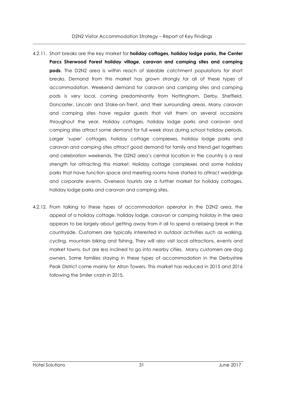- 4.2.11. Short breaks are the key market for **holiday cottages, holiday lodge parks, the Center Parcs Sherwood Forest holiday village, caravan and camping sites and camping pods**. The D2N2 area is within reach of sizeable catchment populations for short breaks. Demand from this market has grown strongly for all of these types of accommodation. Weekend demand for caravan and camping sites and camping pods is very local, coming predominantly from Nottingham, Derby, Sheffield, Doncaster, Lincoln and Stoke-on-Trent, and their surrounding areas. Many caravan and camping sites have regular guests that visit them on several occasions throughout the year. Holiday cottages, holiday lodge parks and caravan and camping sites attract some demand for full week stays during school holiday periods. Larger 'super' cottages, holiday cottage complexes, holiday lodge parks and caravan and camping sites attract good demand for family and friend get togethers and celebration weekends. The D2N2 area's central location in the country is a real strength for attracting this market. Holiday cottage complexes and some holiday parks that have function space and meeting rooms have started to attract weddings and corporate events. Overseas tourists are a further market for holiday cottages, holiday lodge parks and caravan and camping sites.
- 4.2.12. From talking to these types of accommodation operator in the D2N2 area, the appeal of a holiday cottage, holiday lodge, caravan or camping holiday in the area appears to be largely about getting away from it all to spend a relaxing break in the countryside. Customers are typically interested in outdoor activities such as walking, cycling, mountain biking and fishing. They will also visit local attractions, events and market towns, but are less inclined to go into nearby cities. Many customers are dog owners. Some families staying in these types of accommodation in the Derbyshire Peak District come mainly for Alton Towers. This market has reduced in 2015 and 2016 following the Smiler crash in 2015.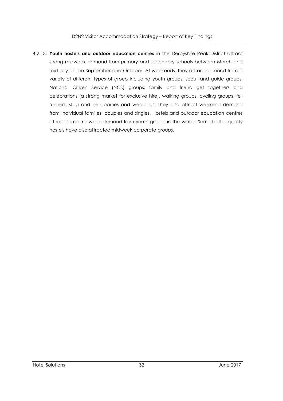4.2.13. **Youth hostels and outdoor education centres** in the Derbyshire Peak District attract strong midweek demand from primary and secondary schools between March and mid-July and in September and October. At weekends, they attract demand from a variety of different types of group including youth groups, scout and guide groups, National Citizen Service (NCS) groups, family and friend get togethers and celebrations (a strong market for exclusive hire), walking groups, cycling groups, fell runners, stag and hen parties and weddings. They also attract weekend demand from individual families, couples and singles. Hostels and outdoor education centres attract some midweek demand from youth groups in the winter. Some better quality hostels have also attracted midweek corporate groups.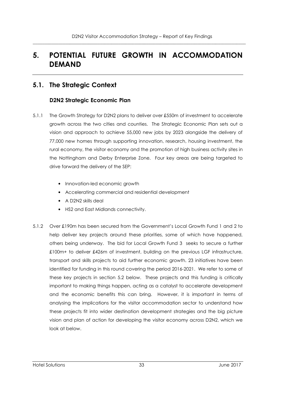## **5. POTENTIAL FUTURE GROWTH IN ACCOMMODATION DEMAND**

### **5.1. The Strategic Context**

#### **D2N2 Strategic Economic Plan**

- 5.1.1 The Growth Strategy for D2N2 plans to deliver over £550m of investment to accelerate growth across the two cities and counties. The Strategic Economic Plan sets out a vision and approach to achieve 55,000 new jobs by 2023 alongside the delivery of 77,000 new homes through supporting innovation, research, housing investment, the rural economy, the visitor economy and the promotion of high business activity sites in the Nottingham and Derby Enterprise Zone. Four key areas are being targeted to drive forward the delivery of the SEP:
	- Innovation-led economic growth
	- Accelerating commercial and residential development
	- A D2N2 skills deal
	- HS2 and East Midlands connectivity.
- 5.1.2 Over £190m has been secured from the Government's Local Growth Fund 1 and 2 to help deliver key projects around these priorities, some of which have happened, others being underway. The bid for Local Growth Fund 3 seeks to secure a further £100m+ to deliver £426m of investment, building on the previous LGF infrastructure, transport and skills projects to aid further economic growth. 23 initiatives have been identified for funding in this round covering the period 2016-2021. We refer to some of these key projects in section 5.2 below. These projects and this funding is critically important to making things happen, acting as a catalyst to accelerate development and the economic benefits this can bring. However, it is important in terms of analysing the implications for the visitor accommodation sector to understand how these projects fit into wider destination development strategies and the big picture vision and plan of action for developing the visitor economy across D2N2, which we look at below.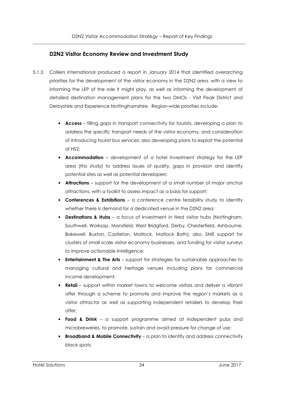## **D2N2 Visitor Economy Review and Investment Study**

- 5.1.3 Colliers International produced a report in January 2014 that identified overarching priorities for the development of the visitor economy in the D2N2 area, with a view to informing the LEP of the role it might play, as well as informing the development of detailed destination management plans for the two DMOs - Visit Peak District and Derbyshire and Experience Nottinghamshire. Region-wide priorities include:
	- **Access** filling gaps in transport connectivity for tourists, developing a plan to address the specific transport needs of the visitor economy, and consideration of introducing tourist bus services; also developing plans to exploit the potential of HS2;
	- **Accommodation** development of a hotel investment strategy for the LEP area (this study) to address issues of quality, gaps in provision and identify potential sites as well as potential developers;
	- **Attractions** support for the development of a small number of major anchor attractions, with a toolkit to assess impact as a basis for support;
	- **Conferences & Exhibitions** a conference centre feasibility study to identify whether there is demand for a dedicated venue in the D2N2 area;
	- **Destinations & Hubs** a focus of investment in tired visitor hubs (Nottingham, Southwell, Worksop, Mansfield, West Bridgford, Derby, Chesterfield, Ashbourne, Bakewell, Buxton, Castleton, Matlock, Matlock Bath); also, SME support for clusters of small scale visitor economy businesses, and funding for visitor surveys to improve actionable intelligence;
	- **Entertainment & The Arts** support for strategies for sustainable approaches to managing cultural and heritage venues including plans for commercial income development;
	- **Retail** support within market towns to welcome visitors and deliver a vibrant offer through a scheme to promote and improve the region's markets as a visitor attractor as well as supporting independent retailers to develop their offer;
	- **Food & Drink** a support programme aimed at independent pubs and microbreweries, to promote, sustain and avoid pressure for change of use;
	- **Broadband & Mobile Connectivity**  a plan to identify and address connectivity black-spots.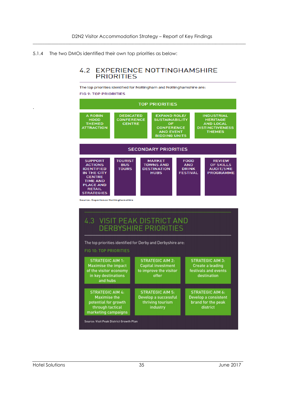5.1.4 The two DMOs identified their own top priorities as below:

## **4.2 EXPERIENCE NOTTINGHAMSHIRE PRIORITIES**

The top priorities identified for Nottingham and Nottinghamshire are:

**FIG 9: TOP PRIORITIES** 



Source: Visit Peak District Growth Plan

.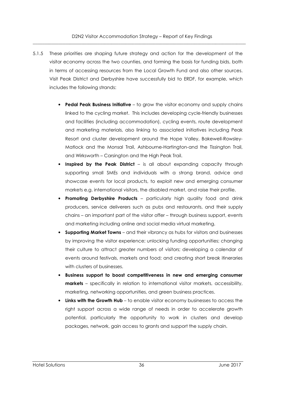- 5.1.5 These priorities are shaping future strategy and action for the development of the visitor economy across the two counties, and forming the basis for funding bids, both in terms of accessing resources from the Local Growth Fund and also other sources. Visit Peak District and Derbyshire have successfully bid to ERDF, for example, which includes the following strands:
	- **Pedal Peak Business Initiative** to grow the visitor economy and supply chains linked to the cycling market. This includes developing cycle-friendly businesses and facilities (including accommodation), cycling events, route development and marketing materials, also linking to associated initiatives including Peak Resort and cluster development around the Hope Valley, Bakewell-Rowsley-Matlock and the Monsal Trail, Ashbourne-Hartington-and the Tissington Trail, and Wirksworth – Carsington and the High Peak Trail.
	- **Inspired by the Peak District** is all about expanding capacity through supporting small SMEs and individuals with a strong brand, advice and showcase events for local products, to exploit new and emerging consumer markets e.g. international visitors, the disabled market, and raise their profile.
	- **Promoting Derbyshire Products**  particularly high quality food and drink producers, service deliverers such as pubs and restaurants, and their supply chains – an important part of the visitor offer – through business support, events and marketing including online and social media virtual marketing.
	- **Supporting Market Towns**  and their vibrancy as hubs for visitors and businesses by improving the visitor experience; unlocking funding opportunities; changing their culture to attract greater numbers of visitors; developing a calendar of events around festivals, markets and food; and creating short break itineraries with clusters of businesses.
	- **Business support to boost competitiveness in new and emerging consumer markets** – specifically in relation to international visitor markets, accessibility, marketing, networking opportunities, and green business practices.
	- **Links with the Growth Hub**  to enable visitor economy businesses to access the right support across a wide range of needs in order to accelerate growth potential, particularly the opportunity to work in clusters and develop packages, network, gain access to grants and support the supply chain.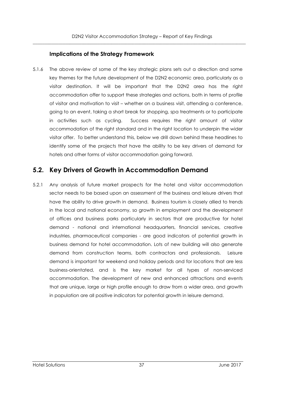## **Implications of the Strategy Framework**

5.1.6 The above review of some of the key strategic plans sets out a direction and some key themes for the future development of the D2N2 economic area, particularly as a visitor destination. It will be important that the D2N2 area has the right accommodation offer to support these strategies and actions, both in terms of profile of visitor and motivation to visit – whether on a business visit, attending a conference, going to an event, taking a short break for shopping, spa treatments or to participate in activities such as cycling. Success requires the right amount of visitor accommodation of the right standard and in the right location to underpin the wider visitor offer. To better understand this, below we drill down behind these headlines to identify some of the projects that have the ability to be key drivers of demand for hotels and other forms of visitor accommodation going forward.

# **5.2. Key Drivers of Growth in Accommodation Demand**

5.2.1 Any analysis of future market prospects for the hotel and visitor accommodation sector needs to be based upon an assessment of the business and leisure drivers that have the ability to drive growth in demand. Business tourism is closely allied to trends in the local and national economy, so growth in employment and the development of offices and business parks particularly in sectors that are productive for hotel demand - national and international headquarters, financial services, creative industries, pharmaceutical companies - are good indicators of potential growth in business demand for hotel accommodation. Lots of new building will also generate demand from construction teams, both contractors and professionals. Leisure demand is important for weekend and holiday periods and for locations that are less business-orientated, and is the key market for all types of non-serviced accommodation. The development of new and enhanced attractions and events that are unique, large or high profile enough to draw from a wider area, and growth in population are all positive indicators for potential growth in leisure demand.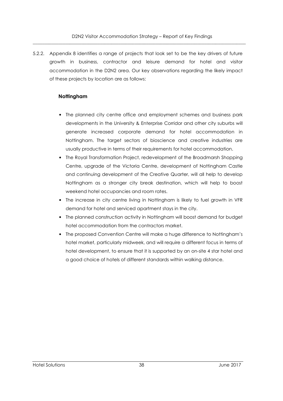5.2.2. Appendix 8 identifies a range of projects that look set to be the key drivers of future growth in business, contractor and leisure demand for hotel and visitor accommodation in the D2N2 area. Our key observations regarding the likely impact of these projects by location are as follows:

## **Nottingham**

- The planned city centre office and employment schemes and business park developments in the University & Enterprise Corridor and other city suburbs will generate increased corporate demand for hotel accommodation in Nottingham. The target sectors of bioscience and creative industries are usually productive in terms of their requirements for hotel accommodation.
- The Royal Transformation Project, redevelopment of the Broadmarsh Shopping Centre, upgrade of the Victoria Centre, development of Nottingham Castle and continuing development of the Creative Quarter, will all help to develop Nottingham as a stronger city break destination, which will help to boost weekend hotel occupancies and room rates.
- The increase in city centre living in Nottingham is likely to fuel growth in VFR demand for hotel and serviced apartment stays in the city.
- The planned construction activity in Nottingham will boost demand for budget hotel accommodation from the contractors market.
- The proposed Convention Centre will make a huge difference to Nottingham's hotel market, particularly midweek, and will require a different focus in terms of hotel development, to ensure that it is supported by an on-site 4 star hotel and a good choice of hotels of different standards within walking distance.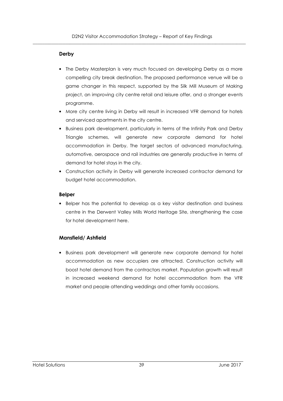#### **Derby**

- The Derby Masterplan is very much focused on developing Derby as a more compelling city break destination. The proposed performance venue will be a game changer in this respect, supported by the Silk Mill Museum of Making project, an improving city centre retail and leisure offer, and a stronger events programme.
- More city centre living in Derby will result in increased VFR demand for hotels and serviced apartments in the city centre.
- Business park development, particularly in terms of the Infinity Park and Derby Triangle schemes, will generate new corporate demand for hotel accommodation in Derby. The target sectors of advanced manufacturing, automotive, aerospace and rail industries are generally productive in terms of demand for hotel stays in the city.
- Construction activity in Derby will generate increased contractor demand for budget hotel accommodation.

#### **Belper**

• Belper has the potential to develop as a key visitor destination and business centre in the Derwent Valley Mills World Heritage Site, strengthening the case for hotel development here.

## **Mansfield/ Ashfield**

• Business park development will generate new corporate demand for hotel accommodation as new occupiers are attracted. Construction activity will boost hotel demand from the contractors market. Population growth will result in increased weekend demand for hotel accommodation from the VFR market and people attending weddings and other family occasions.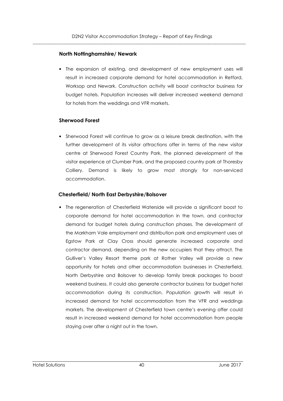#### **North Nottinghamshire/ Newark**

• The expansion of existing, and development of new employment uses will result in increased corporate demand for hotel accommodation in Retford, Worksop and Newark. Construction activity will boost contractor business for budget hotels. Population increases will deliver increased weekend demand for hotels from the weddings and VFR markets.

#### **Sherwood Forest**

• Sherwood Forest will continue to grow as a leisure break destination, with the further development of its visitor attractions offer in terms of the new visitor centre at Sherwood Forest Country Park, the planned development of the visitor experience at Clumber Park, and the proposed country park at Thoresby Colliery. Demand is likely to grow most strongly for non-serviced accommodation.

#### **Chesterfield/ North East Derbyshire/Bolsover**

• The regeneration of Chesterfield Waterside will provide a significant boost to corporate demand for hotel accommodation in the town, and contractor demand for budget hotels during construction phases. The development of the Markham Vale employment and distribution park and employment uses at Egstow Park at Clay Cross should generate increased corporate and contractor demand, depending on the new occupiers that they attract. The Gulliver's Valley Resort theme park at Rother Valley will provide a new opportunity for hotels and other accommodation businesses in Chesterfield, North Derbyshire and Bolsover to develop family break packages to boost weekend business. It could also generate contractor business for budget hotel accommodation during its construction. Population growth will result in increased demand for hotel accommodation from the VFR and weddings markets. The development of Chesterfield town centre's evening offer could result in increased weekend demand for hotel accommodation from people staying over after a night out in the town.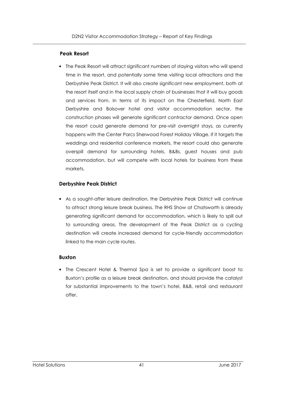### **Peak Resort**

• The Peak Resort will attract significant numbers of staying visitors who will spend time in the resort, and potentially some time visiting local attractions and the Derbyshire Peak District. It will also create significant new employment, both at the resort itself and in the local supply chain of businesses that it will buy goods and services from. In terms of its impact on the Chesterfield, North East Derbyshire and Bolsover hotel and visitor accommodation sector, the construction phases will generate significant contractor demand. Once open the resort could generate demand for pre-visit overnight stays, as currently happens with the Center Parcs Sherwood Forest Holiday Village. If it targets the weddings and residential conference markets, the resort could also generate overspill demand for surrounding hotels, B&Bs, guest houses and pub accommodation, but will compete with local hotels for business from these markets.

## **Derbyshire Peak District**

• As a sought-after leisure destination, the Derbyshire Peak District will continue to attract strong leisure break business. The RHS Show at Chatsworth is already generating significant demand for accommodation, which is likely to spill out to surrounding areas. The development of the Peak District as a cycling destination will create increased demand for cycle-friendly accommodation linked to the main cycle routes.

#### **Buxton**

• The Crescent Hotel & Thermal Spa is set to provide a significant boost to Buxton's profile as a leisure break destination, and should provide the catalyst for substantial improvements to the town's hotel, B&B, retail and restaurant offer.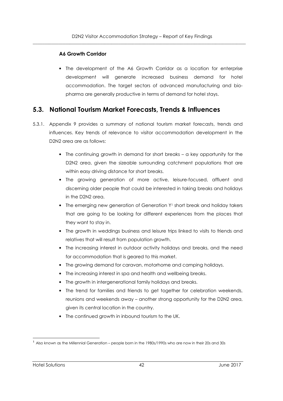## **A6 Growth Corridor**

• The development of the A6 Growth Corridor as a location for enterprise development will generate increased business demand for hotel accommodation. The target sectors of advanced manufacturing and biopharma are generally productive in terms of demand for hotel stays.

# **5.3. National Tourism Market Forecasts, Trends & Influences**

- 5.3.1. Appendix 9 provides a summary of national tourism market forecasts, trends and influences. Key trends of relevance to visitor accommodation development in the D2N2 area are as follows:
	- The continuing growth in demand for short breaks a key opportunity for the D2N2 area, given the sizeable surrounding catchment populations that are within easy driving distance for short breaks.
	- The growing generation of more active, leisure-focused, affluent and discerning older people that could be interested in taking breaks and holidays in the D2N2 area.
	- The emerging new generation of Generation Y<sup>1</sup> short break and holiday takers that are going to be looking for different experiences from the places that they want to stay in.
	- The growth in weddings business and leisure trips linked to visits to friends and relatives that will result from population growth.
	- The increasing interest in outdoor activity holidays and breaks, and the need for accommodation that is geared to this market.
	- The growing demand for caravan, motorhome and camping holidays.
	- The increasing interest in spa and health and wellbeing breaks.
	- The growth in intergenerational family holidays and breaks.
	- The trend for families and friends to get together for celebration weekends, reunions and weekends away – another strong opportunity for the D2N2 area, given its central location in the country.
	- The continued growth in inbound tourism to the UK.

j <sup>1</sup> Also known as the Millennial Generation – people born in the 1980s/1990s who are now in their 20s and 30s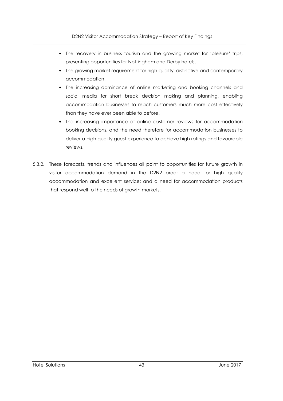- The recovery in business tourism and the growing market for 'bleisure' trips, presenting opportunities for Nottingham and Derby hotels.
- The growing market requirement for high quality, distinctive and contemporary accommodation.
- The increasing dominance of online marketing and booking channels and social media for short break decision making and planning, enabling accommodation businesses to reach customers much more cost effectively than they have ever been able to before.
- The increasing importance of online customer reviews for accommodation booking decisions, and the need therefore for accommodation businesses to deliver a high quality guest experience to achieve high ratings and favourable reviews.
- 5.3.2. These forecasts, trends and influences all point to opportunities for future growth in visitor accommodation demand in the D2N2 area; a need for high quality accommodation and excellent service; and a need for accommodation products that respond well to the needs of growth markets.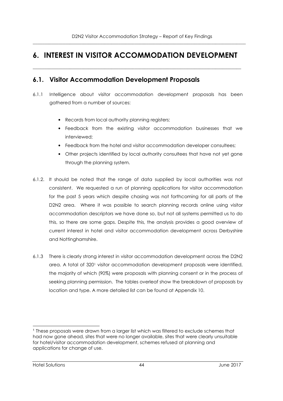# **6. INTEREST IN VISITOR ACCOMMODATION DEVELOPMENT**

 $\overline{\phantom{a}}$  , and the contribution of the contribution of the contribution of the contribution of the contribution of the contribution of the contribution of the contribution of the contribution of the contribution of the

# **6.1. Visitor Accommodation Development Proposals**

- 6.1.1 Intelligence about visitor accommodation development proposals has been gathered from a number of sources:
	- Records from local authority planning registers;
	- Feedback from the existing visitor accommodation businesses that we interviewed;
	- Feedback from the hotel and visitor accommodation developer consultees;
	- Other projects identified by local authority consultees that have not yet gone through the planning system.
- 6.1.2. It should be noted that the range of data supplied by local authorities was not consistent. We requested a run of planning applications for visitor accommodation for the past 5 years which despite chasing was not forthcoming for all parts of the D2N2 area. Where it was possible to search planning records online using visitor accommodation descriptors we have done so, but not all systems permitted us to do this, so there are some gaps. Despite this, the analysis provides a good overview of current interest in hotel and visitor accommodation development across Derbyshire and Nottinghamshire.
- 6.1.3 There is clearly strong interest in visitor accommodation development across the D2N2 area. A total of 320<sup>1</sup> visitor accommodation development proposals were identified, the majority of which (90%) were proposals with planning consent or in the process of seeking planning permission. The tables overleaf show the breakdown of proposals by location and type. A more detailed list can be found at Appendix 10.

l 1 These proposals were drawn from a larger list which was filtered to exclude schemes that had now gone ahead, sites that were no longer available, sites that were clearly unsuitable for hotel/visitor accommodation development, schemes refused at planning and applications for change of use.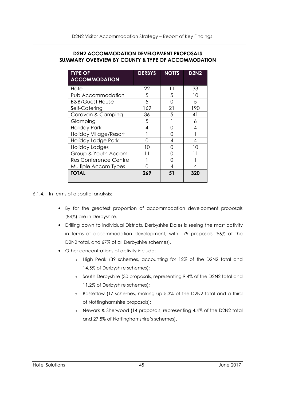#### **D2N2 ACCOMMODATION DEVELOPMENT PROPOSALS SUMMARY OVERVIEW BY COUNTY & TYPE OF ACCOMMODATION**

| <b>TYPE OF</b><br><b>ACCOMMODATION</b> | <b>DERBYS</b> | <b>NOTTS</b> | <b>D2N2</b> |
|----------------------------------------|---------------|--------------|-------------|
| Hotel                                  | 22            | 11           | 33          |
| Pub Accommodation                      | 5             | 5            | 10          |
| <b>B&amp;B/Guest House</b>             | 5             | ∩            | 5           |
| Self-Catering                          | 169           | 21           | 190         |
| Caravan & Camping                      | 36            | 5            | 41          |
| Glamping                               | 5             |              | 6           |
| <b>Holiday Park</b>                    | 4             | ∩            | 4           |
| Holiday Village/Resort                 |               | ∩            |             |
| Holiday Lodge Park                     | ∩             | 4            | 4           |
| Holiday Lodges                         | 10            | ∩            | 10          |
| Group & Youth Accom                    |               | ∩            |             |
| <b>Res Conference Centre</b>           |               | ∩            |             |
| Multiple Accom Types                   | Ω             | 4            | 4           |
| <b>TOTAL</b>                           | 269           | 51           | 320         |

6.1.4. In terms of a spatial analysis:

- By far the greatest proportion of accommodation development proposals (84%) are in Derbyshire.
- Drilling down to individual Districts, Derbyshire Dales is seeing the most activity in terms of accommodation development, with 179 proposals (56% of the D2N2 total, and 67% of all Derbyshire schemes).
- Other concentrations of activity include:
	- o High Peak (39 schemes, accounting for 12% of the D2N2 total and 14.5% of Derbyshire schemes);
	- o South Derbyshire (30 proposals, representing 9.4% of the D2N2 total and 11.2% of Derbyshire schemes);
	- o Bassetlaw (17 schemes, making up 5.3% of the D2N2 total and a third of Nottinghamshire proposals);
	- o Newark & Sherwood (14 proposals, representing 4.4% of the D2N2 total and 27.5% of Nottinghamshire's schemes).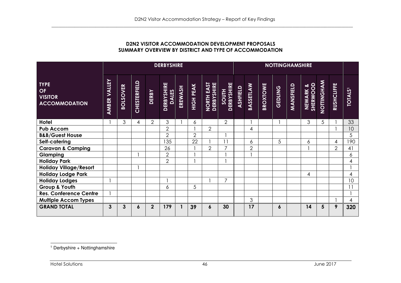### **D2N2 VISITOR ACCOMMODATION DEVELOPMENT PROPOSALS SUMMARY OVERVIEW BY DISTRICT AND TYPE OF ACCOMMODATION**

|                                                             |                                        |                 |              |                | <b>DERBYSHIRE</b>                 |         |                  |                                  |                     |          |                |          | <b>NOTTINGHAMSHIRE</b> |           |                             |                  |                   |                |
|-------------------------------------------------------------|----------------------------------------|-----------------|--------------|----------------|-----------------------------------|---------|------------------|----------------------------------|---------------------|----------|----------------|----------|------------------------|-----------|-----------------------------|------------------|-------------------|----------------|
| <b>TYPE</b><br>OF<br><b>VISITOR</b><br><b>ACCOMMODATION</b> | <b>ALLEY</b><br>$\geq$<br><b>AMBER</b> | <b>BOLSOVER</b> | CHESTERFIELD | <b>DERBY</b>   | <b>DERBYSHIRE</b><br><b>DALES</b> | EREWASH | <b>HIGH PEAK</b> | <b>NORTH EAST<br/>DERBYSHIRE</b> | SOUTH<br>DERBYSHIRE | ASHFIELD | ASSETLAW<br>ക് | BROXTOWE | <b>GEDLING</b>         | MANSFIELD | <b>SHERWOOD</b><br>NEWARK & | <b>NOTINGHAM</b> | <b>RUSHCLIFFE</b> | <b>TOTALS'</b> |
| <b>Hotel</b>                                                |                                        | 3               | 4            | $\overline{2}$ | 3                                 |         | 6                |                                  | $\overline{2}$      |          |                |          |                        |           | 3                           | 5                |                   | 33             |
| <b>Pub Accom</b>                                            |                                        |                 |              |                | $\overline{2}$                    |         |                  | $\overline{2}$                   |                     |          | 4              |          |                        |           |                             |                  |                   | 10             |
| <b>B&amp;B/Guest House</b>                                  |                                        |                 |              |                | $\overline{2}$                    |         | $\overline{2}$   |                                  |                     |          |                |          |                        |           |                             |                  |                   | 5              |
| Self-catering                                               |                                        |                 |              |                | 135                               |         | 22               |                                  | 11                  |          | 6              |          | 5                      |           | 6                           |                  | 4                 | 190            |
| <b>Caravan &amp; Camping</b>                                |                                        |                 |              |                | 26                                |         |                  | $\overline{2}$                   | $\overline{7}$      |          | $\overline{2}$ |          |                        |           |                             |                  | $\overline{2}$    | 41             |
| Glamping                                                    |                                        |                 |              |                | $\overline{2}$                    |         |                  |                                  |                     |          |                |          |                        |           |                             |                  |                   | 6              |
| <b>Holiday Park</b>                                         |                                        |                 |              |                | $\overline{2}$                    |         |                  |                                  |                     |          |                |          |                        |           |                             |                  |                   | 4              |
| <b>Holiday Village/Resort</b>                               |                                        |                 |              |                |                                   |         |                  |                                  |                     |          |                |          |                        |           |                             |                  |                   |                |
| <b>Holiday Lodge Park</b>                                   |                                        |                 |              |                |                                   |         |                  |                                  |                     |          |                |          |                        |           | 4                           |                  |                   | 4              |
| <b>Holiday Lodges</b>                                       |                                        |                 |              |                |                                   |         |                  |                                  | $\overline{7}$      |          |                |          |                        |           |                             |                  |                   | 10             |
| Group & Youth                                               |                                        |                 |              |                | 6                                 |         | 5                |                                  |                     |          |                |          |                        |           |                             |                  |                   | 11             |
| <b>Res. Conference Centre</b>                               |                                        |                 |              |                |                                   |         |                  |                                  |                     |          |                |          |                        |           |                             |                  |                   |                |
| <b>Multiple Accom Types</b>                                 |                                        |                 |              |                |                                   |         |                  |                                  |                     |          | 3              |          |                        |           |                             |                  |                   | 4              |
| <b>GRAND TOTAL</b>                                          | 3                                      | 3               | 6            | $\mathbf{2}$   | 179                               |         | 39               | 6                                | 30                  |          | 17             |          | 6                      |           | 14                          | 5                | 9                 | 320            |

<sup>&</sup>lt;sup>1</sup> Derbyshire + Nottinghamshire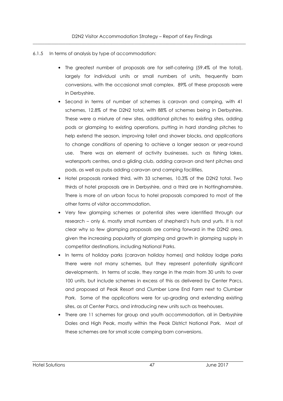### 6.1.5 In terms of analysis by type of accommodation:

- The greatest number of proposals are for self-catering (59.4% of the total), largely for individual units or small numbers of units, frequently barn conversions, with the occasional small complex. 89% of these proposals were in Derbyshire.
- Second in terms of number of schemes is caravan and camping, with 41 schemes, 12.8% of the D2N2 total, with 88% of schemes being in Derbyshire. These were a mixture of new sites, additional pitches to existing sites, adding pods or glamping to existing operations, putting in hard standing pitches to help extend the season, improving toilet and shower blocks, and applications to change conditions of opening to achieve a longer season or year-round use. There was an element of activity businesses, such as fishing lakes, watersports centres, and a gliding club, adding caravan and tent pitches and pods, as well as pubs adding caravan and camping facilities.
- Hotel proposals ranked third, with 33 schemes, 10.3% of the D2N2 total. Two thirds of hotel proposals are in Derbyshire, and a third are in Nottinghamshire. There is more of an urban focus to hotel proposals compared to most of the other forms of visitor accommodation.
- Very few glamping schemes or potential sites were identified through our research – only 6, mostly small numbers of shepherd's huts and yurts. It is not clear why so few glamping proposals are coming forward in the D2N2 area, given the increasing popularity of glamping and growth in glamping supply in competitor destinations, including National Parks.
- In terms of holiday parks (caravan holiday homes) and holiday lodge parks there were not many schemes, but they represent potentially significant developments. In terms of scale, they range in the main from 30 units to over 100 units, but include schemes in excess of this as delivered by Center Parcs, and proposed at Peak Resort and Clumber Lane End Farm next to Clumber Park. Some of the applications were for up-grading and extending existing sites, as at Center Parcs, and introducing new units such as treehouses.
- There are 11 schemes for group and youth accommodation, all in Derbyshire Dales and High Peak, mostly within the Peak District National Park. Most of these schemes are for small scale camping barn conversions.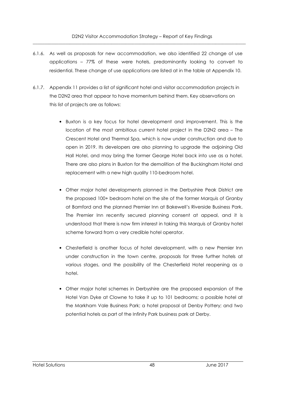- 6.1.6. As well as proposals for new accommodation, we also identified 22 change of use applications – 77% of these were hotels, predominantly looking to convert to residential. These change of use applications are listed at in the table at Appendix 10.
- 6.1.7. Appendix 11 provides a list of significant hotel and visitor accommodation projects in the D2N2 area that appear to have momentum behind them. Key observations on this list of projects are as follows:
	- Buxton is a key focus for hotel development and improvement. This is the location of the most ambitious current hotel project in the D2N2 area – The Crescent Hotel and Thermal Spa, which is now under construction and due to open in 2019. Its developers are also planning to upgrade the adjoining Old Hall Hotel, and may bring the former George Hotel back into use as a hotel. There are also plans in Buxton for the demolition of the Buckingham Hotel and replacement with a new high quality 110-bedroom hotel.
	- Other major hotel developments planned in the Derbyshire Peak District are the proposed 100+ bedroom hotel on the site of the former Marquis of Granby at Bamford and the planned Premier Inn at Bakewell's Riverside Business Park. The Premier Inn recently secured planning consent at appeal, and it is understood that there is now firm interest in taking this Marquis of Granby hotel scheme forward from a very credible hotel operator.
	- Chesterfield is another focus of hotel development, with a new Premier Inn under construction in the town centre, proposals for three further hotels at various stages, and the possibility of the Chesterfield Hotel reopening as a hotel.
	- Other major hotel schemes in Derbyshire are the proposed expansion of the Hotel Van Dyke at Clowne to take it up to 101 bedrooms; a possible hotel at the Markham Vale Business Park; a hotel proposal at Denby Pottery; and two potential hotels as part of the Infinity Park business park at Derby.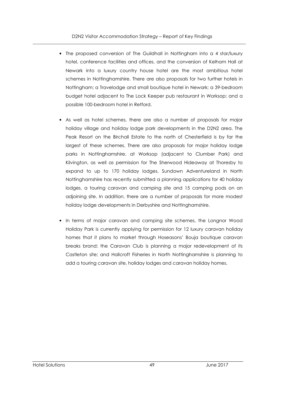- The proposed conversion of The Guildhall in Nottingham into a 4 star/luxury hotel, conference facilities and offices, and the conversion of Kelham Hall at Newark into a luxury country house hotel are the most ambitious hotel schemes in Nottinghamshire. There are also proposals for two further hotels in Nottingham; a Travelodge and small boutique hotel in Newark; a 39-bedroom budget hotel adjacent to The Lock Keeper pub restaurant in Worksop; and a possible 100-bedroom hotel in Retford.
- As well as hotel schemes, there are also a number of proposals for major holiday village and holiday lodge park developments in the D2N2 area. The Peak Resort on the Birchall Estate to the north of Chesterfield is by far the largest of these schemes. There are also proposals for major holiday lodge parks in Nottinghamshire, at Worksop (adjacent to Clumber Park) and Kilvington, as well as permission for The Sherwood Hideaway at Thoresby to expand to up to 170 holiday lodges. Sundown Adventureland in North Nottinghamshire has recently submitted a planning applications for 40 holiday lodges, a touring caravan and camping site and 15 camping pods on an adjoining site. In addition, there are a number of proposals for more modest holiday lodge developments in Derbyshire and Nottinghamshire.
- In terms of major caravan and camping site schemes, the Longnor Wood Holiday Park is currently applying for permission for 12 luxury caravan holiday homes that it plans to market through Hoseasons' Bouja boutique caravan breaks brand; the Caravan Club is planning a major redevelopment of its Castleton site; and Hallcroft Fisheries in North Nottinghamshire is planning to add a touring caravan site, holiday lodges and caravan holiday homes.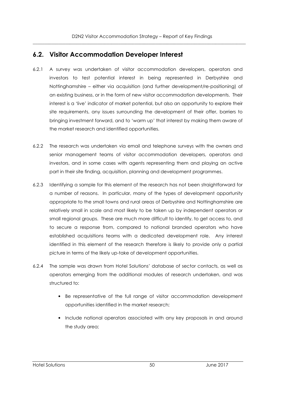# **6.2. Visitor Accommodation Developer Interest**

- 6.2.1 A survey was undertaken of visitor accommodation developers, operators and investors to test potential interest in being represented in Derbyshire and Nottinghamshire – either via acquisition (and further development/re-positioning) of an existing business, or in the form of new visitor accommodation developments. Their interest is a 'live' indicator of market potential, but also an opportunity to explore their site requirements, any issues surrounding the development of their offer, barriers to bringing investment forward, and to 'warm up' that interest by making them aware of the market research and identified opportunities.
- 6.2.2 The research was undertaken via email and telephone surveys with the owners and senior management teams of visitor accommodation developers, operators and investors, and in some cases with agents representing them and playing an active part in their site finding, acquisition, planning and development programmes.
- 6.2.3 Identifying a sample for this element of the research has not been straightforward for a number of reasons. In particular, many of the types of development opportunity appropriate to the small towns and rural areas of Derbyshire and Nottinghamshire are relatively small in scale and most likely to be taken up by independent operators or small regional groups. These are much more difficult to identify, to get access to, and to secure a response from, compared to national branded operators who have established acquisitions teams with a dedicated development role. Any interest identified in this element of the research therefore is likely to provide only a partial picture in terms of the likely up-take of development opportunities.
- 6.2.4 The sample was drawn from Hotel Solutions' database of sector contacts, as well as operators emerging from the additional modules of research undertaken, and was structured to:
	- Be representative of the full range of visitor accommodation development opportunities identified in the market research;
	- Include national operators associated with any key proposals in and around the study area;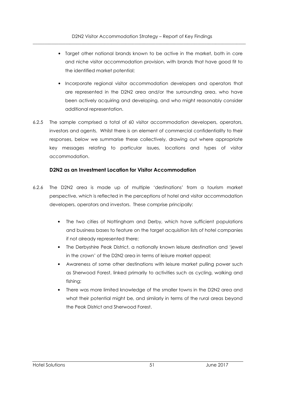- Target other national brands known to be active in the market, both in core and niche visitor accommodation provision, with brands that have good fit to the identified market potential;
- Incorporate regional visitor accommodation developers and operators that are represented in the D2N2 area and/or the surrounding area, who have been actively acquiring and developing, and who might reasonably consider additional representation.
- 6.2.5 The sample comprised a total of 60 visitor accommodation developers, operators, investors and agents. Whilst there is an element of commercial confidentiality to their responses, below we summarise these collectively, drawing out where appropriate key messages relating to particular issues, locations and types of visitor accommodation.

## **D2N2 as an Investment Location for Visitor Accommodation**

- 6.2.6 The D2N2 area is made up of multiple 'destinations' from a tourism market perspective, which is reflected in the perceptions of hotel and visitor accommodation developers, operators and investors. These comprise principally:
	- The two cities of Nottingham and Derby, which have sufficient populations and business bases to feature on the target acquisition lists of hotel companies if not already represented there;
	- The Derbyshire Peak District, a nationally known leisure destination and 'jewel in the crown' of the D2N2 area in terms of leisure market appeal;
	- Awareness of some other destinations with leisure market pulling power such as Sherwood Forest, linked primarily to activities such as cycling, walking and fishing;
	- There was more limited knowledge of the smaller towns in the D2N2 area and what their potential might be, and similarly in terms of the rural areas beyond the Peak District and Sherwood Forest.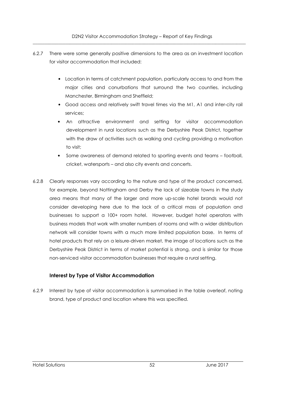- 6.2.7 There were some generally positive dimensions to the area as an investment location for visitor accommodation that included:
	- Location in terms of catchment population, particularly access to and from the major cities and conurbations that surround the two counties, including Manchester, Birmingham and Sheffield;
	- Good access and relatively swift travel times via the M1, A1 and inter-city rail services;
	- An attractive environment and setting for visitor accommodation development in rural locations such as the Derbyshire Peak District, together with the draw of activities such as walking and cycling providing a motivation to visit;
	- Some awareness of demand related to sporting events and teams football, cricket, watersports – and also city events and concerts.
- 6.2.8 Clearly responses vary according to the nature and type of the product concerned, for example, beyond Nottingham and Derby the lack of sizeable towns in the study area means that many of the larger and more up-scale hotel brands would not consider developing here due to the lack of a critical mass of population and businesses to support a 100+ room hotel. However, budget hotel operators with business models that work with smaller numbers of rooms and with a wider distribution network will consider towns with a much more limited population base. In terms of hotel products that rely on a leisure-driven market, the image of locations such as the Derbyshire Peak District in terms of market potential is strong, and is similar for those non-serviced visitor accommodation businesses that require a rural setting.

# **Interest by Type of Visitor Accommodation**

6.2.9 Interest by type of visitor accommodation is summarised in the table overleaf, noting brand, type of product and location where this was specified.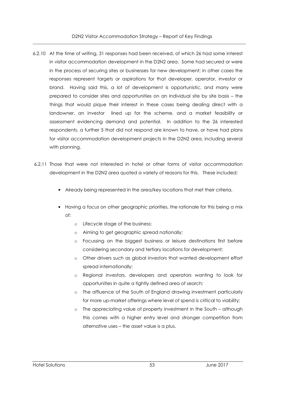- 6.2.10 At the time of writing, 31 responses had been received, of which 26 had some interest in visitor accommodation development in the D2N2 area. Some had secured or were in the process of securing sites or businesses for new development; in other cases the responses represent targets or aspirations for that developer, operator, investor or brand. Having said this, a lot of development is opportunistic, and many were prepared to consider sites and opportunities on an individual site by site basis – the things that would pique their interest in these cases being dealing direct with a landowner, an investor lined up for the scheme, and a market feasibility or assessment evidencing demand and potential. In addition to the 26 interested respondents, a further 5 that did not respond are known to have, or have had plans for visitor accommodation development projects in the D2N2 area, including several with planning.
- 6.2.11 Those that were not interested in hotel or other forms of visitor accommodation development in the D2N2 area quoted a variety of reasons for this. These included:
	- Already being represented in the area/key locations that met their criteria.
	- Having a focus on other geographic priorities, the rationale for this being a mix of:
		- o Lifecycle stage of the business;
		- o Aiming to get geographic spread nationally;
		- o Focussing on the biggest business or leisure destinations first before considering secondary and tertiary locations for development;
		- o Other drivers such as global investors that wanted development effort spread internationally;
		- o Regional investors, developers and operators wanting to look for opportunities in quite a tightly defined area of search;
		- o The affluence of the South of England drawing investment particularly for more up-market offerings where level of spend is critical to viability;
		- o The appreciating value of property investment in the South although this comes with a higher entry level and stronger competition from alternative uses – the asset value is a plus.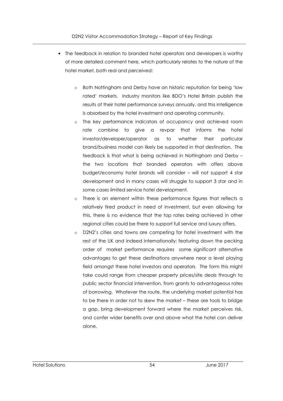- The feedback in relation to branded hotel operators and developers is worthy of more detailed comment here, which particularly relates to the nature of the hotel market, both real and perceived:
	- o Both Nottingham and Derby have an historic reputation for being 'low rated' markets. Industry monitors like BDO's Hotel Britain publish the results of their hotel performance surveys annually, and this intelligence is absorbed by the hotel investment and operating community.
	- o The key performance indicators of occupancy and achieved room rate combine to give a revpar that informs the hotel investor/developer/operator as to whether their particular brand/business model can likely be supported in that destination. The feedback is that what is being achieved in Nottingham and Derby – the two locations that branded operators with offers above budget/economy hotel brands will consider – will not support 4 star development and in many cases will struggle to support 3 star and in some cases limited service hotel development.
	- o There is an element within these performance figures that reflects a relatively tired product in need of investment, but even allowing for this, there is no evidence that the top rates being achieved in other regional cities could be there to support full service and luxury offers.
	- o D2N2's cities and towns are competing for hotel investment with the rest of the UK and indeed internationally; featuring down the pecking order of market performance requires some significant alternative advantages to get these destinations anywhere near a level playing field amongst these hotel investors and operators. The form this might take could range from cheaper property prices/site deals through to public sector financial intervention, from grants to advantageous rates of borrowing. Whatever the route, the underlying market potential has to be there in order not to skew the market – these are tools to bridge a gap, bring development forward where the market perceives risk, and confer wider benefits over and above what the hotel can deliver alone.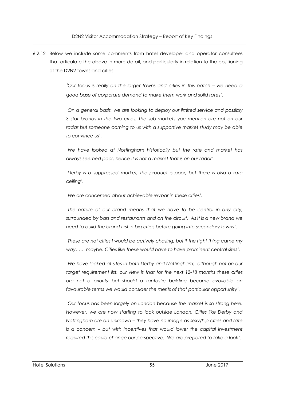6.2.12 Below we include some comments from hotel developer and operator consultees that articulate the above in more detail, and particularly in relation to the positioning of the D2N2 towns and cities.

> *'Our f*ocus *is really on the larger towns and cities in this patch – we need a good base of corporate demand to make them work and solid rates'.*

> 'On a general basis, we are looking to deploy our limited service and possibly *3 star brands in the two cities. The sub-markets you mention are not on our*  radar but someone coming to us with a supportive market study may be able *to convince us'.*

> *'We have looked at Nottingham historically but the rate and market has always seemed poor, hence it is not a market that is on our radar'.*

> 'Derby is a suppressed market, the product is poor, but there is also a rate *ceiling'.*

*'We are concerned about achievable revpar in these cities'.* 

*'The nature of our brand means that we have to be central in any city, surrounded by bars and restaurants and on the circuit. As it is a new brand we need to build the brand first in big cities before going into secondary towns'.* 

*'These are not cities I would be actively chasing, but if the right thing came my way…… maybe. Cities like these would have to have prominent central sites'.* 

*'We have looked at sites in both Derby and Nottingham; although not on our target requirement list, our view is that for the next 12-18 months these cities are not a priority but should a fantastic building become available on*  favourable terms we would consider the merits of that particular opportunity'.

'Our focus has been largely on London because the market is so strong here. *However, we are now starting to look outside London. Cities like Derby and Nottingham are an unknown – they have no image as sexy/hip cities and rate is a concern – but with incentives that would lower the capital investment required this could change our perspective. We are prepared to take a look'.*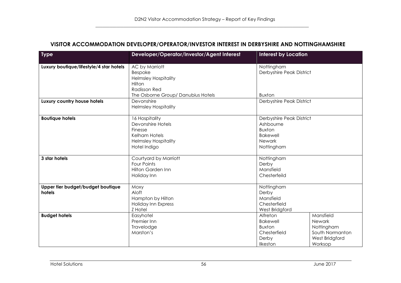## **VISITOR ACCOMMODATION DEVELOPER/OPERATOR/INVESTOR INTEREST IN DERBYSHIRE AND NOTTINGHAMSHIRE**

| <b>Type</b>                                                                 | Developer/Operator/Investor/Agent Interest<br><b>Interest by Location</b>                                                       |                                                                                                                                                                        |  |  |
|-----------------------------------------------------------------------------|---------------------------------------------------------------------------------------------------------------------------------|------------------------------------------------------------------------------------------------------------------------------------------------------------------------|--|--|
| Luxury boutique/lifestyle/4 star hotels                                     | AC by Marriott<br>Bespoke<br><b>Helmsley Hospitality</b><br>Hilton<br><b>Radisson Red</b><br>The Osborne Group/ Danubius Hotels | Nottingham<br>Derbyshire Peak District<br><b>Buxton</b>                                                                                                                |  |  |
| Luxury country house hotels                                                 | Devonshire<br><b>Helmsley Hospitality</b>                                                                                       | Derbyshire Peak District                                                                                                                                               |  |  |
| <b>Boutique hotels</b>                                                      | 16 Hospitality<br>Devonshire Hotels<br>Finesse<br><b>Kelham Hotels</b><br><b>Helmsley Hospitality</b><br>Hotel Indigo           | Derbyshire Peak District<br>Ashbourne<br><b>Buxton</b><br><b>Bakewell</b><br>Newark<br>Nottingham                                                                      |  |  |
| 3 star hotels                                                               | Courtyard by Marriott<br><b>Four Points</b><br><b>Hilton Garden Inn</b><br>Holiday Inn                                          | Nottingham<br>Derby<br>Mansfield<br>Chesterfeild                                                                                                                       |  |  |
| Upper tier budget/budget boutique<br>hotels                                 | Moxy<br>Aloft<br>Hampton by Hilton<br>Holiday Inn Express<br>Z Hotel                                                            | Nottingham<br>Derby<br>Mansfield<br>Chesterfield<br>West Bridgford                                                                                                     |  |  |
| <b>Budget hotels</b><br>Easyhotel<br>Premier Inn<br>Travelodge<br>Marston's |                                                                                                                                 | Alfreton<br>Mansfield<br><b>Bakewell</b><br>Newark<br><b>Buxton</b><br>Nottingham<br>South Normanton<br>Chesterfield<br>Derby<br>West Bridgford<br>Ilkeston<br>Worksop |  |  |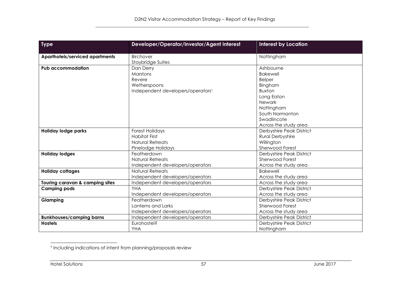| <b>Type</b>                                                                                         | Developer/Operator/Investor/Agent Interest                                                       | <b>Interest by Location</b>                                                                                                                                                |
|-----------------------------------------------------------------------------------------------------|--------------------------------------------------------------------------------------------------|----------------------------------------------------------------------------------------------------------------------------------------------------------------------------|
| <b>Aparthotels/serviced apartments</b>                                                              | Birchover<br>Staybridge Suites                                                                   | Nottingham                                                                                                                                                                 |
| <b>Pub accommodation</b>                                                                            | Dan Derry<br>Marstons<br>Revere<br>Wetherspoons<br>Independent developers/operators <sup>1</sup> | Ashbourne<br><b>Bakewell</b><br><b>Belper</b><br>Bingham<br><b>Buxton</b><br>Long Eaton<br>Newark<br>Nottingham<br>South Normanton<br>Swadlincote<br>Across the study area |
| <b>Holiday lodge parks</b>                                                                          | <b>Forest Holidays</b><br><b>Habitat First</b><br><b>Natural Retreats</b><br>Pinelodge Holidays  | Derbyshire Peak District<br><b>Rural Derbyshire</b><br>Willington<br>Sherwood Forest                                                                                       |
| Featherdown<br><b>Holiday lodges</b><br><b>Natural Retreats</b><br>Independent developers/operators |                                                                                                  | Derbyshire Peak District<br>Sherwood Forest<br>Across the study area                                                                                                       |
| <b>Holiday cottages</b>                                                                             | Natural Retreats<br>Independent developers/operators                                             | <b>Bakewell</b><br>Across the study area                                                                                                                                   |
| Touring caravan & camping sites                                                                     | Independent developers/operators                                                                 | Across the study area                                                                                                                                                      |
| <b>Camping pods</b>                                                                                 | <b>YHA</b><br>Independent developers/operators                                                   | Derbyshire Peak District<br>Across the study area                                                                                                                          |
| Glamping                                                                                            | Featherdown<br>Lanterns and Larks<br>Independent developers/operators                            | Derbyshire Peak District<br>Sherwood Forest<br>Across the study area                                                                                                       |
| <b>Bunkhouses/camping barns</b>                                                                     | Independent developers/operators                                                                 | Derbyshire Peak District                                                                                                                                                   |
| <b>Hostels</b>                                                                                      | Eurohostel?<br><b>YHA</b>                                                                        | Derbyshire Peak District<br>Nottingham                                                                                                                                     |

<sup>1</sup> Including indications of intent from planning/proposals review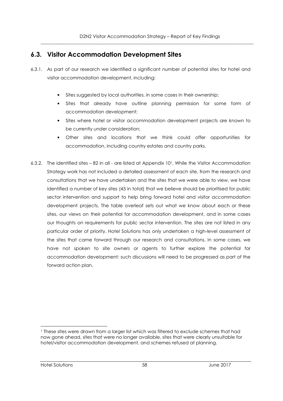# **6.3. Visitor Accommodation Development Sites**

- 6.3.1. As part of our research we identified a significant number of potential sites for hotel and visitor accommodation development, including:
	- Sites suggested by local authorities, in some cases in their ownership;
	- Sites that already have outline planning permission for some form of accommodation development;
	- Sites where hotel or visitor accommodation development projects are known to be currently under consideration;
	- Other sites and locations that we think could offer opportunities for accommodation, including country estates and country parks.
- 6.3.2. The identified sites 82 in all are listed at Appendix 101. While the Visitor Accommodation Strategy work has not included a detailed assessment of each site, from the research and consultations that we have undertaken and the sites that we were able to view, we have identified a number of key sites (43 in total) that we believe should be prioritised for public sector intervention and support to help bring forward hotel and visitor accommodation development projects. The table overleaf sets out what we know about each or these sites, our views on their potential for accommodation development, and in some cases our thoughts on requirements for public sector intervention. The sites are not listed in any particular order of priority. Hotel Solutions has only undertaken a high-level assessment of the sites that came forward through our research and consultations. In some cases, we have not spoken to site owners or agents to further explore the potential for accommodation development: such discussions will need to be progressed as part of the forward action plan.

j

<sup>1</sup> These sites were drawn from a larger list which was filtered to exclude schemes that had now gone ahead, sites that were no longer available, sites that were clearly unsuitable for hotel/visitor accommodation development, and schemes refused at planning.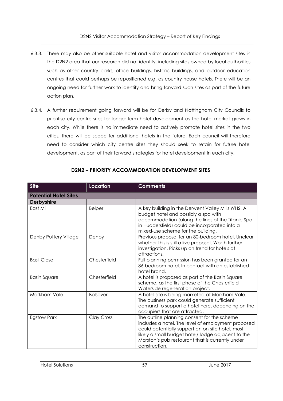- 6.3.3. There may also be other suitable hotel and visitor accommodation development sites in the D2N2 area that our research did not identify, including sites owned by local authorities such as other country parks, office buildings, historic buildings, and outdoor education centres that could perhaps be repositioned e.g. as country house hotels. There will be an ongoing need for further work to identify and bring forward such sites as part of the future action plan.
- 6.3.4. A further requirement going forward will be for Derby and Nottingham City Councils to prioritise city centre sites for longer-term hotel development as the hotel market grows in each city. While there is no immediate need to actively promote hotel sites in the two cities, there will be scope for additional hotels in the future. Each council will therefore need to consider which city centre sites they should seek to retain for future hotel development, as part of their forward strategies for hotel development in each city.

| <b>Site</b>                  | <b>Location</b>   | <b>Comments</b>                                                                                                                                                                                                                                                                 |
|------------------------------|-------------------|---------------------------------------------------------------------------------------------------------------------------------------------------------------------------------------------------------------------------------------------------------------------------------|
| <b>Potential Hotel Sites</b> |                   |                                                                                                                                                                                                                                                                                 |
| <b>Derbyshire</b>            |                   |                                                                                                                                                                                                                                                                                 |
| East Mill                    | <b>Belper</b>     | A key building in the Derwent Valley Mills WHS. A<br>budget hotel and possibly a spa with<br>accommodation (along the lines of the Titanic Spa<br>in Huddersfield) could be incorporated into a<br>mixed-use scheme for the building.                                           |
| Denby Pottery Village        | Denby             | Previous proposal for an 80-bedroom hotel. Unclear<br>whether this is still a live proposal. Worth further<br>investigation. Picks up on trend for hotels at<br>attractions.                                                                                                    |
| <b>Basil Close</b>           | Chesterfield      | Full planning permission has been granted for an<br>86-bedroom hotel. In contact with an established<br>hotel brand.                                                                                                                                                            |
| <b>Basin Square</b>          | Chesterfield      | A hotel is proposed as part of the Basin Square<br>scheme, as the first phase of the Chesterfield<br>Waterside regeneration project.                                                                                                                                            |
| Markham Vale                 | <b>Bolsover</b>   | A hotel site is being marketed at Markham Vale.<br>The business park could generate sufficient<br>demand to support a hotel here, depending on the<br>occupiers that are attracted.                                                                                             |
| <b>Egstow Park</b>           | <b>Clay Cross</b> | The outline planning consent for the scheme<br>includes a hotel. The level of employment proposed<br>could potentially support an on-site hotel, most<br>likely a small budget hotel/lodge adjacent to the<br>Marston's pub restaurant that is currently under<br>construction. |

# **D2N2 – PRIORITY ACCOMMODATION DEVELOPMENT SITES**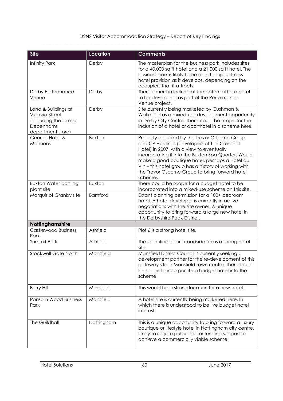| <b>Site</b>                                                                                       | <b>Location</b> | <b>Comments</b>                                                                                                                                                                                                                                                                                                                                                           |
|---------------------------------------------------------------------------------------------------|-----------------|---------------------------------------------------------------------------------------------------------------------------------------------------------------------------------------------------------------------------------------------------------------------------------------------------------------------------------------------------------------------------|
| Infinity Park                                                                                     | Derby           | The masterplan for the business park includes sites<br>for a 40,000 sq ft hotel and a 21,000 sq ft hotel. The<br>business park is likely to be able to support new<br>hotel provision as it develops, depending on the<br>occupiers that it attracts.                                                                                                                     |
| Derby Performance<br>Venue                                                                        | Derby           | There is merit in looking at the potential for a hotel<br>to be developed as part of the Performance<br>Venue project.                                                                                                                                                                                                                                                    |
| Land & Buildings at<br>Victoria Street<br>(including the former<br>Debenhams<br>department store) | Derby           | Site currently being marketed by Cushman &<br>Wakefield as a mixed-use development opportunity<br>in Derby City Centre. There could be scope for the<br>inclusion of a hotel or aparthotel in a scheme here                                                                                                                                                               |
| George Hotel &<br>Mansions                                                                        | <b>Buxton</b>   | Property acquired by the Trevor Osborne Group<br>and CP Holdings (developers of The Crescent<br>Hotel) in 2007, with a view to eventually<br>incorporating it into the Buxton Spa Quarter. Would<br>make a good boutique hotel, perhaps a Hotel du<br>Vin - this hotel group has a history of working with<br>the Trevor Osborne Group to bring forward hotel<br>schemes. |
| <b>Buxton Water bottling</b>                                                                      | <b>Buxton</b>   | There could be scope for a budget hotel to be                                                                                                                                                                                                                                                                                                                             |
| plant site<br>Marquis of Granby site                                                              | <b>Bamford</b>  | incorporated into a mixed-use scheme on this site.<br>Extant planning permission for a 100+ bedroom<br>hotel. A hotel developer is currently in active<br>negotiations with the site owner. A unique<br>opportunity to bring forward a large new hotel in<br>the Derbyshire Peak District.                                                                                |
| Nottinghamshire                                                                                   |                 |                                                                                                                                                                                                                                                                                                                                                                           |
| <b>Castlewood Business</b><br>Park                                                                | Ashfield        | Plot 6 is a strong hotel site.                                                                                                                                                                                                                                                                                                                                            |
| Summit Park                                                                                       | Ashfield        | The identified leisure/roadside site is a strong hotel<br>site.                                                                                                                                                                                                                                                                                                           |
| <b>Stockwell Gate North</b>                                                                       | Mansfield       | Mansfield District Council is currently seeking a<br>development partner for the re-development of this<br>gateway site in Mansfield town centre. There could<br>be scope to incorporate a budget hotel into the<br>scheme.                                                                                                                                               |
| <b>Berry Hill</b>                                                                                 | Mansfield       | This would be a strong location for a new hotel.                                                                                                                                                                                                                                                                                                                          |
| <b>Ransom Wood Business</b><br>Park                                                               | Mansfield       | A hotel site is currently being marketed here. In<br>which there is understood to be live budget hotel<br>interest.                                                                                                                                                                                                                                                       |
| The Guildhall                                                                                     | Nottingham      | This is a unique opportunity to bring forward a luxury<br>boutique or lifestyle hotel in Nottingham city centre.<br>Likely to require public sector funding support to<br>achieve a commercially viable scheme.                                                                                                                                                           |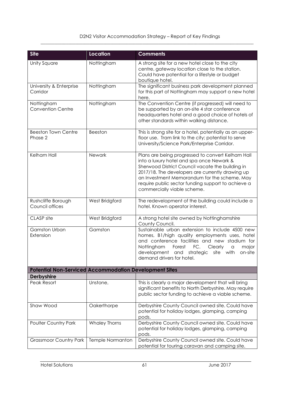| <b>Site</b>                                                   | Location                | <b>Comments</b>                                                                                                                                                                                                                                                                                                                             |
|---------------------------------------------------------------|-------------------------|---------------------------------------------------------------------------------------------------------------------------------------------------------------------------------------------------------------------------------------------------------------------------------------------------------------------------------------------|
| <b>Unity Square</b>                                           | Nottingham              | A strong site for a new hotel close to the city<br>centre, gateway location close to the station.<br>Could have potential for a lifestyle or budget<br>boutique hotel.                                                                                                                                                                      |
| University & Enterprise<br>Corridor                           | Nottingham              | The significant business park development planned<br>for this part of Nottingham may support a new hotel<br>here.                                                                                                                                                                                                                           |
| Nottingham<br><b>Convention Centre</b>                        | Nottingham              | The Convention Centre (if progressed) will need to<br>be supported by an on-site 4 star conference<br>headquarters hotel and a good choice of hotels of<br>other standards within walking distance.                                                                                                                                         |
| <b>Beeston Town Centre</b><br>Phase 2                         | Beeston                 | This is strong site for a hotel, potentially as an upper-<br>floor use. Tram link to the city; potential to serve<br>University/Science Park/Enterprise Corridor.                                                                                                                                                                           |
| Kelham Hall                                                   | Newark                  | Plans are being progressed to convert Kelham Hall<br>into a luxury hotel and spa once Newark &<br>Sherwood District Council vacate the building in<br>2017/18. The developers are currently drawing up<br>an Investment Memorandum for the scheme. May<br>require public sector funding support to achieve a<br>commercially viable scheme. |
| Rushcliffe Borough<br>Council offices                         | West Bridgford          | The redevelopment of the building could include a<br>hotel. Known operator interest.                                                                                                                                                                                                                                                        |
| CLASP site                                                    | West Bridgford          | A strong hotel site owned by Nottinghamshire<br>County Council.                                                                                                                                                                                                                                                                             |
| <b>Gamston Urban</b><br>Extension                             | Gamston                 | Sustainable urban extension to include 4500 new<br>homes, B1/high quality employments uses, hotel<br>and conference facilities and new stadium for<br>FC.<br>Nottingham<br>Forest<br>Clearly<br>major<br>$\alpha$<br>development and<br>strategic<br>site with<br>on-site<br>demand drivers for hotel.                                      |
| <b>Potential Non-Serviced Accommodation Development Sites</b> |                         |                                                                                                                                                                                                                                                                                                                                             |
| <b>Derbyshire</b><br>Peak Resort                              | Unstone,                | This is clearly a major development that will bring                                                                                                                                                                                                                                                                                         |
|                                                               |                         | significant benefits to North Derbyshire. May require<br>public sector funding to achieve a viable scheme.                                                                                                                                                                                                                                  |
| Shaw Wood                                                     | Oakerthorpe             | Derbyshire County Council owned site. Could have<br>potential for holiday lodges, glamping, camping<br>pods.                                                                                                                                                                                                                                |
| <b>Poulter Country Park</b>                                   | <b>Whaley Thorns</b>    | Derbyshire County Council owned site. Could have<br>potential for holiday lodges, glamping, camping<br>pods.                                                                                                                                                                                                                                |
| <b>Grassmoor Country Park</b>                                 | <b>Temple Normanton</b> | Derbyshire County Council owned site. Could have<br>potential for touring caravan and camping site.                                                                                                                                                                                                                                         |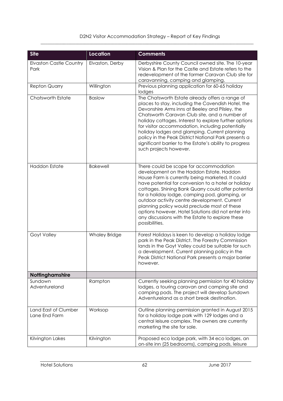| <b>Site</b>                            | <b>Location</b>      | <b>Comments</b>                                                                                                                                                                                                                                                                                                                                                                                                                                                                                                                     |
|----------------------------------------|----------------------|-------------------------------------------------------------------------------------------------------------------------------------------------------------------------------------------------------------------------------------------------------------------------------------------------------------------------------------------------------------------------------------------------------------------------------------------------------------------------------------------------------------------------------------|
| <b>Elvaston Castle Country</b><br>Park | Elvaston, Derby      | Derbyshire County Council owned site. The 10-year<br>Vision & Plan for the Castle and Estate refers to the<br>redevelopment of the former Caravan Club site for<br>caravanning, camping and glamping.                                                                                                                                                                                                                                                                                                                               |
| <b>Repton Quarry</b>                   | Willington           | Previous planning application for 60-65 holiday<br>lodges                                                                                                                                                                                                                                                                                                                                                                                                                                                                           |
| Chatsworth Estate                      | <b>Baslow</b>        | The Chatsworth Estate already offers a range of<br>places to stay, including the Cavendish Hotel, the<br>Devonshire Arms inns at Beeley and Pilsley, the<br>Chatsworth Caravan Club site, and a number of<br>holiday cottages. Interest to explore further options<br>for visitor accommodation, including potentially<br>holiday lodges and glamping. Current planning<br>policy in the Peak District National Park presents a<br>significant barrier to the Estate's ability to progress<br>such projects however.                |
| <b>Haddon Estate</b>                   | <b>Bakewell</b>      | There could be scope for accommodation<br>development on the Haddon Estate. Haddon<br>House Farm is currently being marketed. It could<br>have potential for conversion to a hotel or holiday<br>cottages. Shining Bank Quarry could offer potential<br>for a holiday lodge, camping pod, glamping, or<br>outdoor activity centre development. Current<br>planning policy would preclude most of these<br>options however. Hotel Solutions did not enter into<br>any discussions with the Estate to explore these<br>possibilities. |
| Goyt Valley                            | <b>Whaley Bridge</b> | Forest Holidays is keen to develop a holiday lodge<br>park in the Peak District. The Forestry Commission<br>lands in the Goyt Valley could be suitable for such<br>a development. Current planning policy in the<br>Peak District National Park presents a major barrier<br>however.                                                                                                                                                                                                                                                |
| Nottinghamshire                        |                      |                                                                                                                                                                                                                                                                                                                                                                                                                                                                                                                                     |
| Sundown<br>Adventureland               | Rampton              | Currently seeking planning permission for 40 holiday<br>lodges, a touring caravan and camping site and<br>camping pods. The project will develop Sundown<br>Adventureland as a short break destination.                                                                                                                                                                                                                                                                                                                             |
| Land East of Clumber<br>Lane End Farm  | Worksop              | Outline planning permission granted in August 2015<br>for a holiday lodge park with 129 lodges and a<br>central leisure complex. The owners are currently<br>marketing the site for sale.                                                                                                                                                                                                                                                                                                                                           |
| Kilvington Lakes                       | Kilvington           | Proposed eco lodge park, with 34 eco lodges, an<br>on-site inn (25 bedrooms), camping pods, leisure                                                                                                                                                                                                                                                                                                                                                                                                                                 |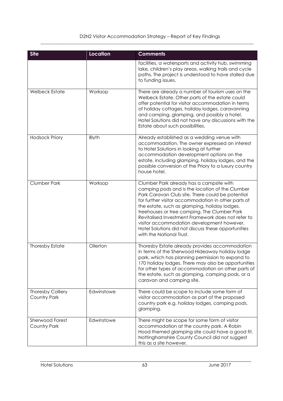| <b>Site</b>                            | Location   | <b>Comments</b>                                                                                                                                                                                                                                                                                                                                                                                                                                                                                |
|----------------------------------------|------------|------------------------------------------------------------------------------------------------------------------------------------------------------------------------------------------------------------------------------------------------------------------------------------------------------------------------------------------------------------------------------------------------------------------------------------------------------------------------------------------------|
|                                        |            | facilities, a watersports and activity hub, swimming<br>lake, children's play areas, walking trails and cycle<br>paths. The project is understood to have stalled due<br>to funding issues.                                                                                                                                                                                                                                                                                                    |
| <b>Welbeck Estate</b>                  | Worksop    | There are already a number of tourism uses on the<br>Welbeck Estate. Other parts of the estate could<br>offer potential for visitor accommodation in terms<br>of holiday cottages, holiday lodges, caravanning<br>and camping, glamping, and possibly a hotel.<br>Hotel Solutions did not have any discussions with the<br>Estate about such possibilities.                                                                                                                                    |
| <b>Hodsock Priory</b>                  | Blyth      | Already established as a wedding venue with<br>accommodation. The owner expressed an interest<br>to Hotel Solutions in looking at further<br>accommodation development options on the<br>estate, including glamping, holiday lodges, and the<br>possible conversion of the Priory to a luxury country<br>house hotel.                                                                                                                                                                          |
| <b>Clumber Park</b>                    | Worksop    | Clumber Park already has a campsite with<br>camping pods and is the location of the Clumber<br>Park Caravan Club site. There could be potential<br>for further visitor accommodation in other parts of<br>the estate, such as glamping, holiday lodges,<br>treehouses or tree camping. The Clumber Park<br>Revitalised Investment Framework does not refer to<br>visitor accommodation development however.<br>Hotel Solutions did not discuss these opportunities<br>with the National Trust. |
| <b>Thoresby Estate</b>                 | Ollerton   | Thoresby Estate already provides accommodation<br>in terms of the Sherwood Hideaway holiday lodge<br>park, which has planning permission to expand to<br>170 holiday lodges. There may also be opportunities<br>for other types of accommodation on other parts of<br>the estate, such as glamping, camping pods, or a<br>caravan and camping site.                                                                                                                                            |
| Thoresby Colliery<br>Country Park      | Edwinstowe | There could be scope to include some form of<br>visitor accommodation as part of the proposed<br>country park e.g. holiday lodges, camping pods,<br>glamping.                                                                                                                                                                                                                                                                                                                                  |
| <b>Sherwood Forest</b><br>Country Park | Edwinstowe | There might be scope for some form of visitor<br>accommodation at the country park. A Robin<br>Hood themed glamping site could have a good fit.<br>Nottinghamshire County Council did not suggest<br>this as a site however.                                                                                                                                                                                                                                                                   |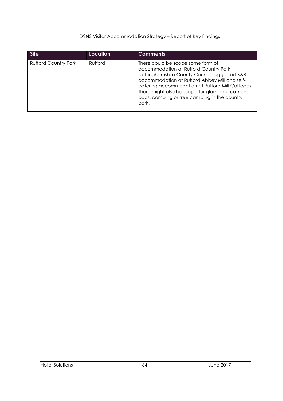| <b>Site</b>                 | Location | <b>Comments</b>                                                                                                                                                                                                                                                                                                                              |
|-----------------------------|----------|----------------------------------------------------------------------------------------------------------------------------------------------------------------------------------------------------------------------------------------------------------------------------------------------------------------------------------------------|
| <b>Rufford Country Park</b> | Rufford  | There could be scope some form of<br>accommodation at Rufford Country Park.<br>Nottinghamshire County Council suggested B&B<br>accommodation at Rufford Abbey Mill and self-<br>catering accommodation at Rufford Mill Cottages.<br>There might also be scope for glamping, camping<br>pods, camping or tree camping in the country<br>park. |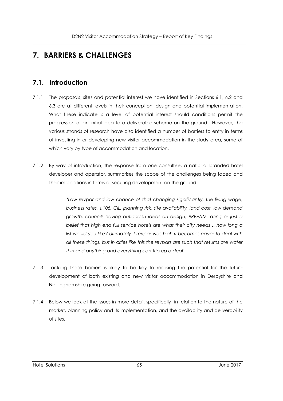# **7. BARRIERS & CHALLENGES**

# **7.1. Introduction**

- 7.1.1 The proposals, sites and potential interest we have identified in Sections 6.1, 6.2 and 6.3 are at different levels in their conception, design and potential implementation. What these indicate is a level of potential interest should conditions permit the progression of an initial idea to a deliverable scheme on the ground. However, the various strands of research have also identified a number of barriers to entry in terms of investing in or developing new visitor accommodation in the study area, some of which vary by type of accommodation and location.
- 7.1.2 By way of introduction, the response from one consultee, a national branded hotel developer and operator, summarises the scope of the challenges being faced and their implications in terms of securing development on the ground:

*'Low revpar and low chance of that changing significantly, the living wage, business rates, s.106, CIL, planning risk, site availability, land cost, low demand growth, councils having outlandish ideas on design, BREEAM rating or just a belief that high end full service hotels are what their city needs… how long a list would you like? Ultimately if revpar was high it becomes easier to deal with all these things, but in cities like this the revpars are such that returns are wafer thin and anything and everything can trip up a deal'.* 

- 7.1.3 Tackling these barriers is likely to be key to realising the potential for the future development of both existing and new visitor accommodation in Derbyshire and Nottinghamshire going forward.
- 7.1.4 Below we look at the issues in more detail, specifically in relation to the nature of the market, planning policy and its implementation, and the availability and deliverability of sites.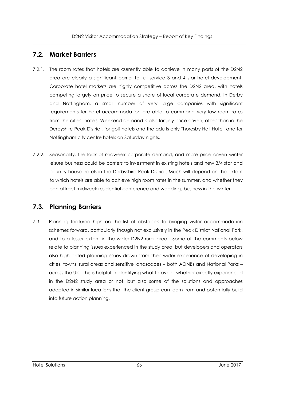# **7.2. Market Barriers**

- 7.2.1. The room rates that hotels are currently able to achieve in many parts of the D2N2 area are clearly a significant barrier to full service 3 and 4 star hotel development. Corporate hotel markets are highly competitive across the D2N2 area, with hotels competing largely on price to secure a share of local corporate demand. In Derby and Nottingham, a small number of very large companies with significant requirements for hotel accommodation are able to command very low room rates from the cities' hotels. Weekend demand is also largely price driven, other than in the Derbyshire Peak District, for golf hotels and the adults only Thoresby Hall Hotel, and for Nottingham city centre hotels on Saturday nights.
- 7.2.2. Seasonality, the lack of midweek corporate demand, and more price driven winter leisure business could be barriers to investment in existing hotels and new 3/4 star and country house hotels in the Derbyshire Peak District. Much will depend on the extent to which hotels are able to achieve high room rates in the summer, and whether they can attract midweek residential conference and weddings business in the winter.

# **7.3. Planning Barriers**

7.3.1 Planning featured high on the list of obstacles to bringing visitor accommodation schemes forward, particularly though not exclusively in the Peak District National Park, and to a lesser extent in the wider D2N2 rural area. Some of the comments below relate to planning issues experienced in the study area, but developers and operators also highlighted planning issues drawn from their wider experience of developing in cities, towns, rural areas and sensitive landscapes – both AONBs and National Parks – across the UK. This is helpful in identifying what to avoid, whether directly experienced in the D2N2 study area or not, but also some of the solutions and approaches adopted in similar locations that the client group can learn from and potentially build into future action planning.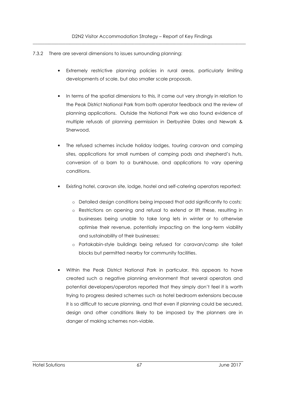- 7.3.2 There are several dimensions to issues surrounding planning:
	- Extremely restrictive planning policies in rural areas, particularly limiting developments of scale, but also smaller scale proposals.
	- In terms of the spatial dimensions to this, it came out very strongly in relation to the Peak District National Park from both operator feedback and the review of planning applications. Outside the National Park we also found evidence of multiple refusals of planning permission in Derbyshire Dales and Newark & Sherwood.
	- The refused schemes include holiday lodges, touring caravan and camping sites, applications for small numbers of camping pods and shepherd's huts, conversion of a barn to a bunkhouse, and applications to vary opening conditions.
	- Existing hotel, caravan site, lodge, hostel and self-catering operators reported:
		- o Detailed design conditions being imposed that add significantly to costs;
		- o Restrictions on opening and refusal to extend or lift these, resulting in businesses being unable to take long lets in winter or to otherwise optimise their revenue, potentially impacting on the long-term viability and sustainability of their businesses;
		- o Portakabin-style buildings being refused for caravan/camp site toilet blocks but permitted nearby for community facilities.
	- Within the Peak District National Park in particular, this appears to have created such a negative planning environment that several operators and potential developers/operators reported that they simply don't feel it is worth trying to progress desired schemes such as hotel bedroom extensions because it is so difficult to secure planning, and that even if planning could be secured, design and other conditions likely to be imposed by the planners are in danger of making schemes non-viable.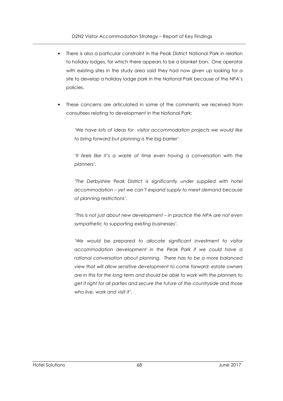- There is also a particular constraint in the Peak District National Park in relation to holiday lodges, for which there appears to be a blanket ban. One operator with existing sites in the study area said they had now given up looking for a site to develop a holiday lodge park in the National Park because of the NPA's policies.
- These concerns are articulated in some of the comments we received from consultees relating to development in the National Park:

*'We have lots of ideas for visitor accommodation projects we would like to bring forward but planning is the big barrier'* 

*'It feels like it's a waste of time even having a conversation with the planners'.* 

'The Derbyshire Peak District is significantly under supplied with hotel *accommodation – yet we can't expand supply to meet demand because of planning restrictions'.* 

*'This is not just about new development – in practice the NPA are not even sympathetic to supporting existing businesses'.* 

'We would be prepared to allocate significant investment to visitor *accommodation development in the Peak Park if we could have a rational conversation about planning. There has to be a more balanced view that will allow sensitive development to come forward: estate owners are in this for the long term and should be able to work with the planners to get it right for all parties and secure the future of the countryside and those who live, work and visit it'.*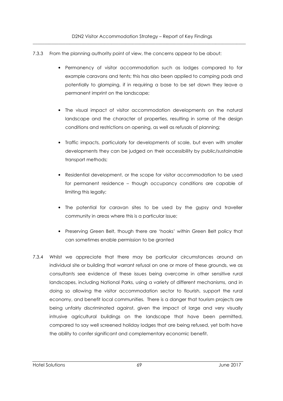- 7.3.3 From the planning authority point of view, the concerns appear to be about:
	- Permanency of visitor accommodation such as lodges compared to for example caravans and tents; this has also been applied to camping pods and potentially to glamping, if in requiring a base to be set down they leave a permanent imprint on the landscape;
	- The visual impact of visitor accommodation developments on the natural landscape and the character of properties, resulting in some of the design conditions and restrictions on opening, as well as refusals of planning;
	- Traffic impacts, particularly for developments of scale, but even with smaller developments they can be judged on their accessibility by public/sustainable transport methods;
	- Residential development, or the scope for visitor accommodation to be used for permanent residence – though occupancy conditions are capable of limiting this legally;
	- The potential for caravan sites to be used by the gypsy and traveller community in areas where this is a particular issue;
	- Preserving Green Belt, though there are 'hooks' within Green Belt policy that can sometimes enable permission to be granted
- 7.3.4 Whilst we appreciate that there may be particular circumstances around an individual site or building that warrant refusal on one or more of these grounds, we as consultants see evidence of these issues being overcome in other sensitive rural landscapes, including National Parks, using a variety of different mechanisms, and in doing so allowing the visitor accommodation sector to flourish, support the rural economy, and benefit local communities. There is a danger that tourism projects are being unfairly discriminated against, given the impact of large and very visually intrusive agricultural buildings on the landscape that have been permitted, compared to say well screened holiday lodges that are being refused, yet both have the ability to confer significant and complementary economic benefit.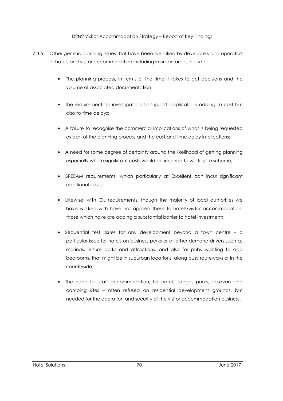D2N2 Visitor Accommodation Strategy – Report of Key Findings  $\overline{\phantom{a}}$  , and the contribution of the contribution of the contribution of the contribution of the contribution of the contribution of the contribution of the contribution of the contribution of the contribution of the

- 7.3.5 Other generic planning issues that have been identified by developers and operators of hotels and visitor accommodation including in urban areas include:
	- The planning process, in terms of the time it takes to get decisions and the volume of associated documentation;
	- The requirement for investigations to support applications adding to cost but also to time delays;
	- A failure to recognise the commercial implications of what is being requested as part of the planning process and the cost and time delay implications;
	- A need for some degree of certainty around the likelihood of getting planning especially where significant costs would be incurred to work up a scheme;
	- BREEAM requirements, which particularly at Excellent can incur significant additional costs;
	- Likewise, with CIL requirements, though the majority of local authorities we have worked with have not applied these to hotels/visitor accommodation, those which have are adding a substantial barrier to hotel investment;
	- Sequential test issues for any development beyond a town centre a particular issue for hotels on business parks or at other demand drivers such as marinas, leisure parks and attractions, and also for pubs wanting to add bedrooms, that might be in suburban locations, along busy routeways or in the countryside;
	- The need for staff accommodation, for hotels, lodges parks, caravan and camping sites – often refused on residential development grounds, but needed for the operation and security of the visitor accommodation business.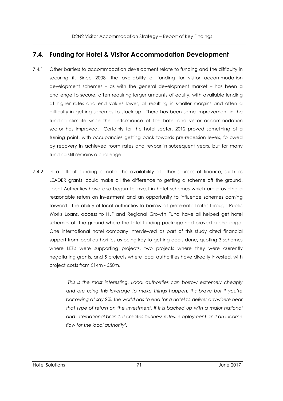# **7.4. Funding for Hotel & Visitor Accommodation Development**

- 7.4.1 Other barriers to accommodation development relate to funding and the difficulty in securing it. Since 2008, the availability of funding for visitor accommodation development schemes – as with the general development market – has been a challenge to secure, often requiring larger amounts of equity, with available lending at higher rates and end values lower, all resulting in smaller margins and often a difficulty in getting schemes to stack up. There has been some improvement in the funding climate since the performance of the hotel and visitor accommodation sector has improved. Certainly for the hotel sector, 2012 proved something of a turning point, with occupancies getting back towards pre-recession levels, followed by recovery in achieved room rates and revpar in subsequent years, but for many funding still remains a challenge.
- 7.4.2 In a difficult funding climate, the availability of other sources of finance, such as LEADER grants, could make all the difference to getting a scheme off the ground. Local Authorities have also begun to invest in hotel schemes which are providing a reasonable return on investment and an opportunity to influence schemes coming forward. The ability of local authorities to borrow at preferential rates through Public Works Loans, access to HLF and Regional Growth Fund have all helped get hotel schemes off the ground where the total funding package had proved a challenge. One international hotel company interviewed as part of this study cited financial support from local authorities as being key to getting deals done, quoting 3 schemes where LEPs were supporting projects, two projects where they were currently negotiating grants, and 5 projects where local authorities have directly invested, with project costs from £14m - £50m.

'*This is the most interesting. Local authorities can borrow extremely cheaply and are using this leverage to make things happen. It's brave but if you're borrowing at say 2%, the world has to end for a hotel to deliver anywhere near that type of return on the investment. If it is backed up with a major national and international brand, it creates business rates, employment and an income flow for the local authority'.*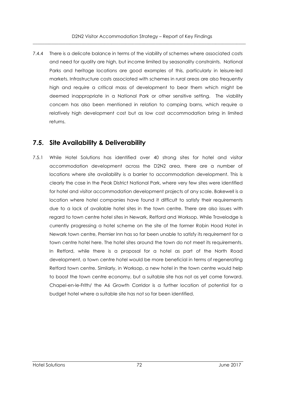7.4.4 There is a delicate balance in terms of the viability of schemes where associated costs and need for quality are high, but income limited by seasonality constraints. National Parks and heritage locations are good examples of this, particularly in leisure-led markets. Infrastructure costs associated with schemes in rural areas are also frequently high and require a critical mass of development to bear them which might be deemed inappropriate in a National Park or other sensitive setting. The viability concern has also been mentioned in relation to camping barns, which require a relatively high development cost but as low cost accommodation bring in limited returns.

# **7.5. Site Availability & Deliverability**

7.5.1 While Hotel Solutions has identified over 40 strong sites for hotel and visitor accommodation development across the D2N2 area, there are a number of locations where site availability is a barrier to accommodation development. This is clearly the case in the Peak District National Park, where very few sites were identified for hotel and visitor accommodation development projects of any scale. Bakewell is a location where hotel companies have found it difficult to satisfy their requirements due to a lack of available hotel sites in the town centre. There are also issues with regard to town centre hotel sites in Newark, Retford and Worksop. While Travelodge is currently progressing a hotel scheme on the site of the former Robin Hood Hotel in Newark town centre, Premier Inn has so far been unable to satisfy its requirement for a town centre hotel here. The hotel sites around the town do not meet its requirements. In Retford, while there is a proposal for a hotel as part of the North Road development, a town centre hotel would be more beneficial in terms of regenerating Retford town centre. Similarly, in Worksop, a new hotel in the town centre would help to boost the town centre economy, but a suitable site has not as yet come forward. Chapel-en-le-Frith/ the A6 Growth Corridor is a further location of potential for a budget hotel where a suitable site has not so far been identified.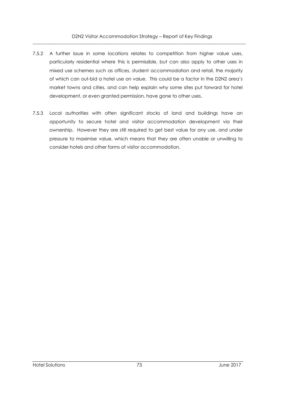- 7.5.2 A further issue in some locations relates to competition from higher value uses, particularly residential where this is permissible, but can also apply to other uses in mixed use schemes such as offices, student accommodation and retail, the majority of which can out-bid a hotel use on value. This could be a factor in the D2N2 area's market towns and cities, and can help explain why some sites put forward for hotel development, or even granted permission, have gone to other uses.
- 7.5.3 Local authorities with often significant stocks of land and buildings have an opportunity to secure hotel and visitor accommodation development via their ownership. However they are still required to get best value for any use, and under pressure to maximise value, which means that they are often unable or unwilling to consider hotels and other forms of visitor accommodation.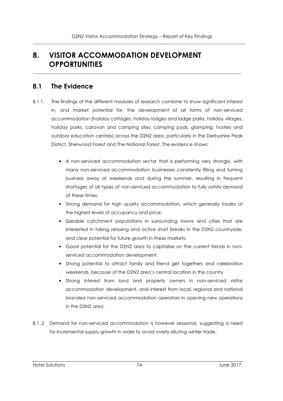# **8. VISITOR ACCOMMODATION DEVELOPMENT OPPORTUNITIES**

# **8.1 The Evidence**

8.1.1. The findings of the different modules of research combine to show significant interest in, and market potential for, the development of all forms of non-serviced accommodation (holiday cottages, holiday lodges and lodge parks, holiday villages, holiday parks, caravan and camping sites, camping pods, glamping, hostels and outdoor education centres) across the D2N2 area, particularly in the Derbyshire Peak District, Sherwood Forest and The National Forest. The evidence shows:

 $\overline{\phantom{a}}$  , and the contribution of the contribution of the contribution of the contribution of the contribution of the contribution of the contribution of the contribution of the contribution of the contribution of the

- A non-serviced accommodation sector that is performing very strongly, with many non-serviced accommodation businesses consitently filling and turning business away at weekends and during the summer, resulting in frequent shortages of all types of non-serviced accommodation to fully satisfy demand at these times;
- Strong demand for high quality accommodation, which generally trades at the highest levels of occupancy and price;
- Sizeable catchment populations in surrounding towns and cities that are interested in taking relaxing and active short breaks in the D2N2 countryside, and clear potential for future growth in these markets;
- Good potential for the D2N2 area to capitalise on the current trends in nonserviced accommodation development;
- Strong potential to attract family and friend get togethers and celebration weekends, because of the D2N2 area's central location in the country
- Strong interest from land and property owners in non-serviced visitor accommodation development, and interest from local, regional and national branded non-serviced accommodation operators in opening new operations in the D2N2 area.
- 8.1..2 Demand for non-serviced accommodation is however seasonal, suggesting a need for incremental supply growth in order to avoid overly diluting winter trade.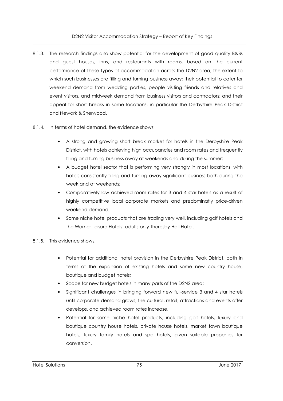D2N2 Visitor Accommodation Strategy – Report of Key Findings  $\overline{\phantom{a}}$  , and the contribution of the contribution of the contribution of the contribution of the contribution of the contribution of the contribution of the contribution of the contribution of the contribution of the

- 8.1.3. The research findings also show potential for the development of good quality B&Bs and guest houses, inns, and restaurants with rooms, based on the current performance of these types of accommodation across the D2N2 area; the extent to which such businesses are filling and turning business away; their potential to cater for weekend demand from wedding parties, people visiting friends and relatives and event visitors, and midweek demand from business visitors and contractors; and their appeal for short breaks in some locations, in particular the Derbyshire Peak District and Newark & Sherwood.
- 8.1.4. In terms of hotel demand, the evidence shows:
	- A strong and growing short break market for hotels in the Derbyshire Peak District, with hotels achieving high occupancies and room rates and frequently filling and turning business away at weekends and during the summer;
	- A budget hotel sector that is performing very strongly in most locations, with hotels consistently filling and turning away significant business both during the week and at weekends;
	- Comparatively low achieved room rates for 3 and 4 star hotels as a result of highly competitive local corporate markets and predominatly price-driven weekend demand;
	- Some niche hotel products that are trading very well, including golf hotels and the Warner Leisure Hotels' adults only Thoresby Hall Hotel.

#### 8.1.5. This evidence shows:

- Potential for additional hotel provision in the Derbyshire Peak District, both in terms of the expansion of existing hotels and some new country house, boutique and budget hotels;
- Scope for new budget hotels in many parts of the D2N2 area;
- Significant challenges in bringing forward new full-service 3 and 4 star hotels until corporate demand grows, the cultural, retail, attractions and events offer develops, and achieved room rates increase.
- Potential for some niche hotel products, including golf hotels, luxury and boutique country house hotels, private house hotels, market town boutique hotels, luxury family hotels and spa hotels, given suitable properties for conversion.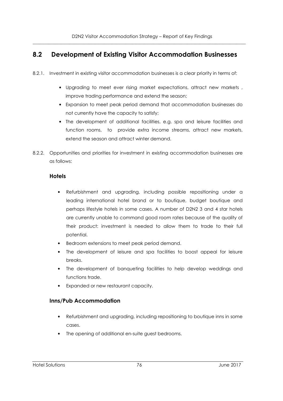# **8.2 Development of Existing Visitor Accommodation Businesses**

- 8.2.1. Investment in existing visitor accommodation businesses is a clear priority in terms of:
	- Upgrading to meet ever rising market expectations, attract new markets , improve trading performance and extend the season;
	- Expansion to meet peak period demand that accommodation businesses do not currently have the capacity to satisfy;
	- The development of additional facilities, e.g. spa and leisure facilities and function rooms, to provide extra income streams, attract new markets, extend the season and attract winter demand.
- 8.2.2. Opportunities and priorities for investment in existing accommodation businesses are as follows:

### **Hotels**

- Refurbishment and upgrading, including possible repositioning under a leading international hotel brand or to boutique, budget boutique and perhaps lifestyle hotels in some cases. A number of D2N2 3 and 4 star hotels are currently unable to command good room rates because of the quality of their product: investment is needed to allow them to trade to their full potential.
- Bedroom extensions to meet peak period demand.
- The development of leisure and spa facilities to boost appeal for leisure breaks.
- The development of banqueting facilities to help develop weddings and functions trade.
- Expanded or new restaurant capacity.

# **Inns/Pub Accommodation**

- Refurbishment and upgrading, including repositioning to boutique inns in some cases.
- The opening of additional en-suite guest bedrooms.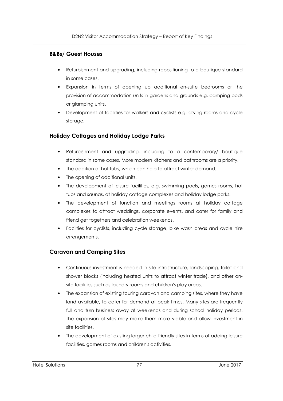### **B&Bs/ Guest Houses**

- Refurbishment and upgrading, including repositioning to a boutique standard in some cases.
- Expansion in terms of opening up additional en-suite bedrooms or the provision of accommodation units in gardens and grounds e.g. camping pods or glamping units.
- Development of facilities for walkers and cyclists e.g. drying rooms and cycle storage.

# **Holiday Cottages and Holiday Lodge Parks**

- Refurbishment and upgrading, including to a contemporary/ boutique standard in some cases. More modern kitchens and bathrooms are a priority.
- The addition of hot tubs, which can help to attract winter demand.
- The opening of additional units.
- The development of leisure facilities, e.g. swimming pools, games rooms, hot tubs and saunas, at holiday cottage complexes and holiday lodge parks.
- The development of function and meetings rooms at holiday cottage complexes to attract weddings, corporate events, and cater for family and friend get togethers and celebration weekends.
- Facilties for cyclists, including cycle storage, bike wash areas and cycle hire arrengements.

# **Caravan and Camping Sites**

- Continuous investment is needed in site infrastructure, landscaping, toilet and shower blocks (including heated units to attract winter trade), and other onsite facilities such as laundry rooms and children's play areas.
- The expansion of existing touring caravan and camping sites, where they have land available, to cater for demand at peak times. Many sites are frequently full and turn business away at weekends and during school holiday periods. The expansion of sites may make them more viable and allow investment in site facilities.
- The development of existing larger child-friendly sites in terms of adding leisure facilities, games rooms and children's activities.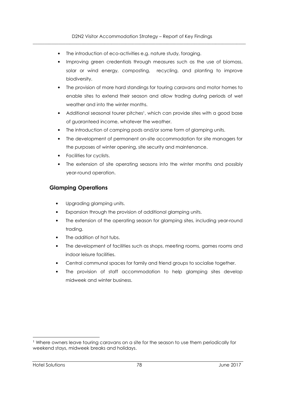- The introduction of eco-activities e.g. nature study, foraging.
- Improving green credentials through measures such as the use of biomass, solar or wind energy, composting, recycling, and planting to improve biodiversity.
- The provision of more hard standings for touring caravans and motor homes to enable sites to extend their season and allow trading during periods of wet weather and into the winter months.
- Additional seasonal tourer pitches<sup>1</sup>, which can provide sites with a good base of guaranteed income, whatever the weather.
- The introduction of camping pods and/or some form of glamping units.
- The development of permanent on-site accommodation for site managers for the purposes of winter opening, site security and maintenance.
- Facilities for cyclists.
- The extension of site operating seasons into the winter months and possibly year-round operation.

# **Glamping Operations**

- Upgrading glamping units.
- Expansion through the provision of additional glamping units.
- The extension of the operating season for glamping sites, including year-round trading.
- The addition of hot tubs.
- The development of facilities such as shops, meeting rooms, games rooms and indoor leisure facilities.
- Central communal spaces for family and friend groups to socialise together.
- The provision of staff accommodation to help glamping sites develop midweek and winter business.

 $\overline{a}$ 

<sup>&</sup>lt;sup>1</sup> Where owners leave touring caravans on a site for the season to use them periodically for weekend stays, midweek breaks and holidays.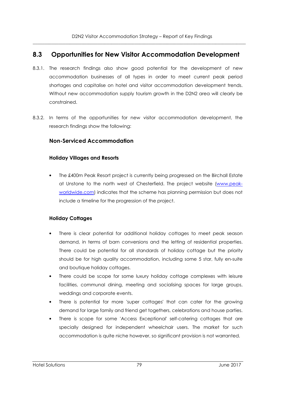# **8.3 Opportunities for New Visitor Accommodation Development**

- 8.3.1. The research findings also show good potential for the development of new accommodation businesses of all types in order to meet current peak period shortages and capitalise on hotel and visitor accommodation development trends. Without new accommodation supply tourism growth in the D2N2 area will clearly be constrained.
- 8.3.2. In terms of the opportunities for new visitor accommodation development, the research findings show the following:

# **Non-Serviced Accommodation**

#### **Holiday Villages and Resorts**

• The £400m Peak Resort project is currently being progressed on the Birchall Estate at Unstone to the north west of Chesterfield. The project website (www.peakworldwide.com) indicates that the scheme has planning permission but does not include a timeline for the progression of the project.

# **Holiday Cottages**

- There is clear potential for additional holiday cottages to meet peak season demand, in terms of barn conversions and the letting of residential properties. There could be potential for all standards of holiday cottage but the priority should be for high quality accommodation, including some 5 star, fully en-suite and boutique holiday cottages.
- There could be scope for some luxury holiday cottage complexes with leisure facilities, communal dining, meeting and socialising spaces for large groups, weddings and corporate events.
- There is potential for more 'super cottages' that can cater for the growing demand for large family and friend get togethers, celebrations and house parties.
- There is scope for some 'Access Exceptional' self-catering cottages that are specially designed for independent wheelchair users. The market for such accommodation is quite niche however, so significant provision is not warranted.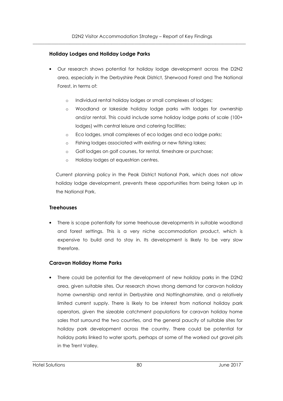#### **Holiday Lodges and Holiday Lodge Parks**

- Our research shows potential for holiday lodge development across the D2N2 area, especially in the Derbyshire Peak District, Sherwood Forest and The National Forest, in terms of:
	- o Individual rental holiday lodges or small complexes of lodges;
	- o Woodland or lakeside holiday lodge parks with lodges for ownership and/or rental. This could include some holiday lodge parks of scale (100+ lodges) with central leisure and catering facilities;
	- o Eco lodges, small complexes of eco lodges and eco lodge parks;
	- o Fishing lodges associated with existing or new fishing lakes;
	- o Golf lodges on golf courses, for rental, timeshare or purchase;
	- o Holiday lodges at equestrian centres.

Current planning policy in the Peak District National Park, which does not allow holiday lodge development, prevents these opportunities from being taken up in the National Park.

#### **Treehouses**

• There is scope potentially for some treehouse developments in suitable woodland and forest settings. This is a very niche accommodation product, which is expensive to build and to stay in. Its development is likely to be very slow therefore.

#### **Caravan Holiday Home Parks**

• There could be potential for the development of new holiday parks in the D2N2 area, given suitable sites. Our research shows strong demand for caravan holiday home ownership and rental in Derbyshire and Nottinghamshire, and a relatively limited current supply. There is likely to be interest from national holiday park operators, given the sizeable catchment populations for caravan holiday home sales that surround the two counties, and the general paucity of suitable sites for holiday park development across the country. There could be potential for holiday parks linked to water sports, perhaps at some of the worked out gravel pits in the Trent Valley.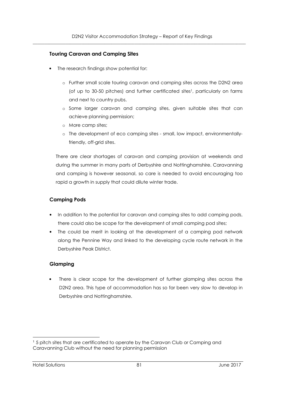#### **Touring Caravan and Camping Sites**

- The research findings show potential for:
	- o Further small scale touring caravan and camping sites across the D2N2 area (of up to 30-50 pitches) and further certificated sites<sup>1</sup>, particularly on farms and next to country pubs.
	- o Some larger caravan and camping sites, given suitable sites that can achieve planning permission;
	- o More camp sites;
	- o The development of eco camping sites small, low impact, environmentallyfriendly, off-grid sites.

There are clear shortages of caravan and camping provision at weekends and during the summer in many parts of Derbyshire and Nottinghamshire. Caravanning and camping is however seasonal, so care is needed to avoid encouraging too rapid a growth in supply that could dilute winter trade.

### **Camping Pods**

- In addition to the potential for caravan and camping sites to add camping pods, there could also be scope for the development of small camping pod sites;
- The could be merit in looking at the development of a camping pod network along the Pennine Way and linked to the developing cycle route network in the Derbyshire Peak District.

#### **Glamping**

There is clear scope for the development of further glamping sites across the D2N2 area. This type of accommodation has so far been very slow to develop in Derbyshire and Nottinghamshire.

 $\overline{a}$ <sup>1</sup> 5 pitch sites that are certificated to operate by the Caravan Club or Camping and Caravanning Club without the need for planning permission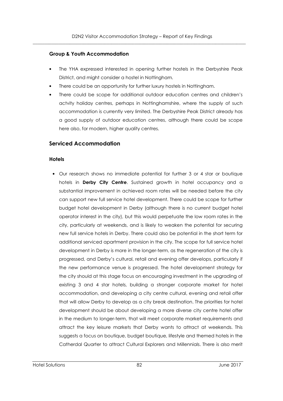#### **Group & Youth Accommodation**

- The YHA expressed interested in opening further hostels in the Derbyshire Peak District, and might consider a hostel in Nottingham.
- There could be an opportunity for further luxury hostels in Nottingham.
- There could be scope for additional outdoor education centres and children's actvity holiday centres, perhaps in Nottinghamshire, where the supply of such accommodation is currently very limited. The Derbyshire Peak District already has a good supply of outdoor education centres, although there could be scope here also, for modern, higher quality centres.

#### **Serviced Accommodation**

#### **Hotels**

• Our research shows no immediate potential for further 3 or 4 star or boutique hotels in **Derby City Centre**. Sustained growth in hotel occupancy and a substantial improvement in achieved room rates will be needed before the city can support new full service hotel development. There could be scope for further budget hotel development in Derby (although there is no current budget hotel operator interest in the city), but this would perpetuate the low room rates in the city, particularly at weekends, and is likely to weaken the potential for securing new full service hotels in Derby. There could also be potential in the short term for additional serviced apartment provision in the city. The scope for full service hotel development in Derby is more in the longer-term, as the regeneration of the city is progressed, and Derby's cultural, retail and evening offer develops, particularly if the new performance venue is progressed. The hotel development strategy for the city should at this stage focus on encouraging investment in the upgrading of existing 3 and 4 star hotels, building a stronger corporate market for hotel accommodation, and developing a city centre cultural, evening and retail offer that will allow Derby to develop as a city break destination. The priorities for hotel development should be about developing a more diverse city centre hotel offer in the medium to longer-term, that will meet corporate market requirements and attract the key leisure markets that Derby wants to attract at weekends. This suggests a focus on boutique, budget boutique, lifestyle and themed hotels in the Catherdal Quarter to attract Cultural Explorers and Millennials. There is also merit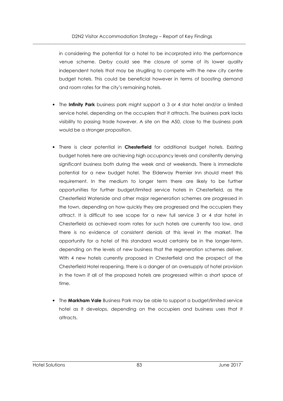in considering the potential for a hotel to be incorprated into the performance venue scheme. Derby could see the closure of some of its lower quality independent hotels that may be struglling to compete with the new city centre budget hotels. This could be beneficial however in terms of boosting demand and room rates for the city's remaining hotels.

- The **Infinity Park** business park might support a 3 or 4 star hotel and/or a limited service hotel, depending on the occupiers that it attracts. The business park lacks visibility to passing trade however. A site on the A50, close to the business park would be a stronger proposition.
- There is clear potential in **Chesterfield** for additional budget hotels. Existing budget hotels here are achieving high occupancy levels and consitently denying significant business both during the week and at weekends. There is immediate potential for a new budget hotel. The Elderway Premier Inn should meet this requirement. In the medium to longer term there are likely to be further opportunities for further budget/limited service hotels in Chesterfield, as the Chesterfield Waterside and other major regeneration schemes are progressed in the town, depending on how quickly they are progressed and the occupiers they attract. It is difficult to see scope for a new full service 3 or 4 star hotel in Chesterfield as achieved room rates for such hotels are currently too low, and there is no evidence of consistent denials at this level in the market. The opportunity for a hotel of this standard would certainly be in the longer-term, depending on the levels of new business that the regeneration schemes deliver. With 4 new hotels currently proposed in Chesterfield and the prospect of the Chesterfield Hotel reopening, there is a danger of an oversupply of hotel provision in the town if all of the proposed hotels are progressed within a short space of time.
- The **Markham Vale** Business Park may be able to support a budget/limited service hotel as it develops, depending on the occupiers and business uses that it attracts.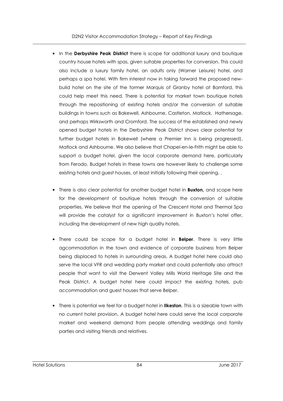D2N2 Visitor Accommodation Strategy – Report of Key Findings  $\overline{\phantom{a}}$  , and the contribution of the contribution of the contribution of the contribution of the contribution of the contribution of the contribution of the contribution of the contribution of the contribution of the

- In the **Derbyshire Peak District** there is scope for additional luxury and boutique country house hotels with spas, given suitable properties for conversion. This could also include a luxury family hotel, an adults only (Warner Leisure) hotel, and perhaps a spa hotel. With firm interest now in taking forward the proposed newbuild hotel on the site of the former Marquis of Granby hotel at Bamford, this could help meet this need. There is potential for market town boutique hotels through the repositioning of existing hotels and/or the conversion of suitable buildings in towns such as Bakewell, Ashbourne, Castleton, Matlock, Hathersage, and perhaps Wirksworth and Cromford. The success of the established and newly opened budget hotels in the Derbyshire Peak District shows clear potential for further budget hotels in Bakewell (where a Premier Inn is being progressed), Matlock and Ashbourne. We also believe that Chapel-en-le-Frith might be able to support a budget hotel, given the local corporate demand here, particularly from Ferodo. Budget hotels in these towns are however likely to challenge some existing hotels and guest houses, at least initially following their opening. .
- There is also clear potential for another budget hotel in **Buxton,** and scope here for the development of boutique hotels through the conversion of suitable properties. We believe that the opening of The Crescent Hotel and Thermal Spa will provide the catalyst for a significant improvement in Buxton's hotel offer, including the development of new high quality hotels.
- There could be scope for a budget hotel in **Belper**. There is very little agcommodation in the town and evidence of corporate business from Belper being displaced to hotels in surrounding areas. A budget hotel here could also serve the local VFR and wedding party market and could potentially also attract people that want to visit the Derwent Valley Mills World Heritage Site and the Peak District. A budget hotel here could impact the existing hotels, pub accommodation and guest houses that serve Belper.
- There is potential we feel for a budget hotel in **Ilkeston**. This is a sizeable town with no current hotel provision. A budget hotel here could serve the local corporate market and weekend demand from people attending weddings and family parties and visiting friends and relatives.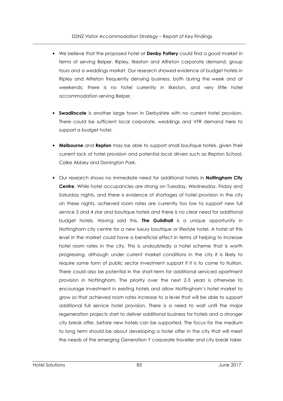- We believe that the proposed hotel at **Denby Pottery** could find a good market in terms of serving Belper, Ripley, Ilkeston and Alfreton corporate demand, group tours and a weddings market. Our research showed evidence of budget hotels in Ripley and Alfreton frequently denying business, both during the week and at weekends; there is no hotel currently in Ilkeston, and very little hotel accommodation serving Belper.
- **Swadlincote** is another large town in Derbyshire with no current hotel provision. There could be sufficient local corporate, weddings and VFR demand here to support a budget hotel.
- **Melbourne** and **Repton** may be able to support small boutique hotels, given their current lack of hotel provision and potential local drivers such as Repton School, Calke Abbey and Donington Park.
- Our research shows no immediate need for additional hotels in **Nottingham City Centre**. While hotel occupancies are strong on Tuesday, Wednesday, Friday and Saturday nights, and there is evidence of shortages of hotel provision in the city on these nights, achieved room rates are currently too low to support new full service 3 and 4 star and boutique hotels and there is no clear need for additional budget hotels. Having said this, **The Guildhall** is a unique opportunity in Nottingham city centre for a new luxury boutique or lifestyle hotel. A hotel at this level in the market could have a beneficial effect in terms of helping to increase hotel room rates in the city. This is undoubtedly a hotel scheme that is worth progressing, although under current market conditions in the city it is likely to require some form of public sector investment support if it is to come to fruition. There could also be potential in the short-term for additional serviced apartment provision in Nottingham. The priority over the next 2-3 years is otherwise to encourage investment in existing hotels and allow Nottingham's hotel market to grow so that achieved room rates increase to a level that will be able to support additional full service hotel provision. There is a need to wait until the major regeneration projects start to deliver additional business for hotels and a stronger city break offer, before new hotels can be supported. The focus for the medium to long term should be about developing a hotel offer in the city that will meet the needs of the emerging Generation Y corporate traveller and city break taker.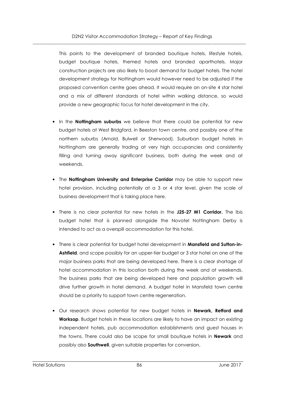This points to the development of branded boutique hotels, lifestyle hotels, budget boutique hotels, themed hotels and branded aparthotels. Major construction projects are also likely to boost demand for budget hotels. The hotel development strategy for Nottingham would however need to be adjusted if the proposed convention centre goes ahead. It would require an on-site 4 star hotel and a mix of different standards of hotel within walking distance, so would provide a new geographic focus for hotel development in the city.

- In the **Nottingham suburbs** we believe that there could be potential for new budget hotels at West Bridgford, in Beeston town centre, and possibly one of the northern suburbs (Arnold, Bulwell or Sherwood). Suburban budget hotels in Nottingham are generally trading at very high occupancies and consistently filling and turning away significant business, both during the week and at weekends.
- The **Nottingham University and Enterprise Corridor** may be able to support new hotel provision, including potentially at a 3 or 4 star level, given the scale of business development that is taking place here.
- There is no clear potential for new hotels in the **J25-27 M1 Corridor.** The Ibis budget hotel that is planned alongside the Novotel Nottingham Derby is intended to act as a overspill accommodation for this hotel.
- There is clear potential for budget hotel development in **Mansfield and Sutton-in-Ashfield**, and scope possibly for an upper-tier budget or 3 star hotel on one of the major business parks that are being developed here. There is a clear shortage of hotel accommodation in this location both during the week and at weekends. The business parks that are being developed here and population growth will drive further growth in hotel demand. A budget hotel in Mansfeld town centre should be a priority to support town centre regeneration.
- Our research shows potential for new budget hotels in **Newark, Retford and Worksop**. Budget hotels in these locations are likely to have an impact on existing independent hotels, pub accommodation establishments and guest houses in the towns. There could also be scope for small boutique hotels in **Newark** and possibly also **Southwell**, given suitable properties for conversion.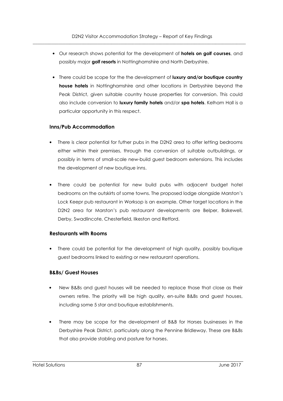- Our research shows potential for the development of **hotels on golf courses**, and possibly major **golf resorts** in Nottinghamshire and North Derbyshire.
- There could be scope for the the development of **luxury and/or boutique country house hotels** in Nottinghamshire and other locations in Derbyshire beyond the Peak District, given suitable country house properties for conversion. This could also include conversion to **luxury family hotels** and/or **spa hotels**. Kelham Hall is a particular opportunity in this respect.

#### **Inns/Pub Accommodation**

- There is clear potential for futher pubs in the D2N2 area to offer letting bedrooms either within their premises, through the conversion of suitable outbuildings, or possibly in terms of small-scale new-build guest bedroom extensions. This includes the development of new boutique inns.
- There could be potential for new build pubs with adjacent budget hotel bedrooms on the outskirts of some towns. The proposed lodge alongside Marston's Lock Keepr pub restaurant in Worksop is an example. Other target locations in the D2N2 area for Marston's pub restaurant developments are Belper, Bakewell, Derby, Swadlincote, Chesterfield, Ilkeston and Retford.

#### **Restaurants with Rooms**

• There could be potential for the development of high quality, possibly boutique guest bedrooms linked to existing or new restaurant operations.

# **B&Bs/ Guest Houses**

- New B&Bs and guest houses will be needed to replace those that close as their owners retire. The priority will be high quality, en-suite B&Bs and guest houses, including some 5 star and boutique establishments.
- There may be scope for the development of B&B for Horses businesses in the Derbyshire Peak District, particularly along the Pennine Bridleway. These are B&Bs that also provide stabling and pasture for horses.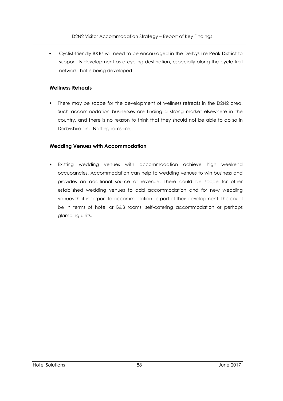• Cyclist-friendly B&Bs will need to be encouraged in the Derbyshire Peak District to support its development as a cycling destination, especially along the cycle trail network that is being developed.

#### **Wellness Retreats**

• There may be scope for the development of wellness retreats in the D2N2 area. Such accommodation businesses are finding a strong market elsewhere in the country, and there is no reason to think that they should not be able to do so in Derbyshire and Nottinghamshire.

#### **Wedding Venues with Accommodation**

Existing wedding venues with accommodation achieve high weekend occupancies. Accommodation can help to wedding venues to win business and provides an additional source of revenue. There could be scope for other established wedding venues to add accommodation and for new wedding venues that incorporate accommodation as part of their development. This could be in terms of hotel or B&B rooms, self-catering accommodation or perhaps glamping units.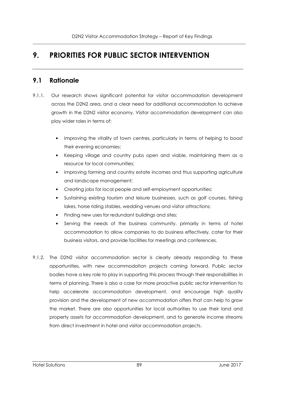# **9. PRIORITIES FOR PUBLIC SECTOR INTERVENTION**

# **9.1 Rationale**

- 9.1.1. Our research shows significant potential for visitor accommodation development across the D2N2 area, and a clear need for additional accommodation to achieve growth in the D2N2 visitor economy. Visitor accommodation development can also play wider roles in terms of:
	- Improving the vitality of town centres, particularly in terms of helping to boost their evening economies;
	- Keeping village and country pubs open and viable, maintaining them as a resource for local communities;
	- Improving farming and country estate incomes and thus supporting agriculture and landscape management;
	- Creating jobs for local people and self-employment opportunities;
	- Sustaining existing tourism and leisure businesses, such as golf courses, fishing lakes, horse riding stables, wedding venues and visitor attractions;
	- Finding new uses for redundant buildings and sites;
	- Serving the needs of the business community, primarily in terms of hotel accommodation to allow companies to do business effectively, cater for their business visitors, and provide facilities for meetings and conferences.
- 9.1.2. The D2N2 visitor accommodation sector is clearly already responding to these opportunities, with new accommodation projects coming forward. Public sector bodies have a key role to play in supporting this process through their responsibilities in terms of planning. There is also a case for more proactive public sector intervention to help accelerate accommodation development, and encourage high quality provision and the development of new accommodation offers that can help to grow the market. There are also opportunities for local authorities to use their land and property assets for accommodation development, and to generate income streams from direct investment in hotel and visitor accommodation projects.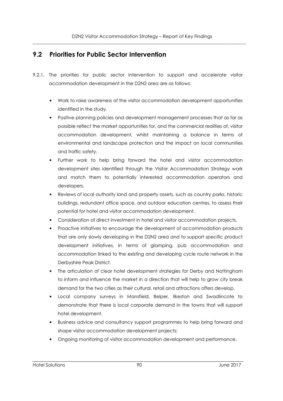# **9.2 Priorities for Public Sector Intervention**

- 9.2.1. The priorities for public sector intervention to support and accelerate visitor accommodation development in the D2N2 area are as follows:
	- Work to raise awareness of the visitor accommodation development opportunities identified in the study.
	- Positive planning policies and development management processes that as far as possible reflect the market opportunities for, and the commercial realities of, visitor accommodation development, whilst maintaining a balance in terms of environmental and landscape protection and the impact on local communities and traffic safety.
	- Further work to help bring forward the hotel and visitor accommodation development sites identified through the Visitor Accommodation Strategy work and match them to potentially interested accommodation operators and developers.
	- Reviews of local authority land and property assets, such as country parks, historic buildings, redundant office space, and outdoor education centres, to assess their potential for hotel and visitor accommodation development.
	- Consideration of direct investment in hotel and visitor accommodation projects.
	- Proactive initiatives to encourage the development of accommodation products that are only slowly developing in the D2N2 area and to support specific product development initiatives, in terms of glamping, pub accommodation and accommodation linked to the existing and developing cycle route network in the Derbyshire Peak District.
	- The articulation of clear hotel development strategies for Derby and Nottingham to inform and influence the market in a direction that will help to grow city break demand for the two cities as their cultural, retail and attractions offers develop.
	- Local company surveys in Mansfield, Belper, Ilkeston and Swadlincote to demonstrate that there is local corporate demand in the towns that will support hotel development.
	- Business advice and consultancy support programmes to help bring forward and shape visitor accommodation development projects;
	- Ongoing monitoring of visitor accommodation development and performance.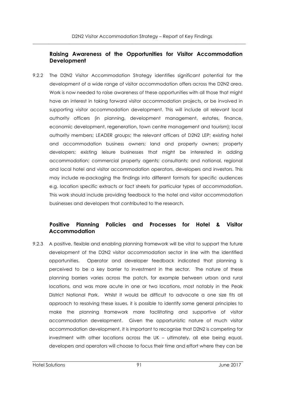# **Raising Awareness of the Opportunities for Visitor Accommodation Development**

9.2.2 The D2N2 Visitor Accommodation Strategy identifies significant potential for the development of a wide range of visitor accommodation offers across the D2N2 area. Work is now needed to raise awareness of these opportunities with all those that might have an interest in taking forward visitor accommodation projects, or be involved in supporting visitor accommodation development. This will include all relevant local authority officers (in planning, development management, estates, finance, economic development, regeneration, town centre management and tourism); local authority members; LEADER groups; the relevant officers of D2N2 LEP; existing hotel and accommodation business owners; land and property owners; property developers; existing leisure businesses that might be interested in adding accommodation; commercial property agents; consultants; and national, regional and local hotel and visitor accommodation operators, developers and investors. This may include re-packaging the findings into different formats for specific audiences e.g. location specific extracts or fact sheets for particular types of accommodation. This work should include providing feedback to the hotel and visitor accommodation businesses and developers that contributed to the research.

# **Positive Planning Policies and Processes for Hotel & Visitor Accommodation**

9.2.3 A positive, flexible and enabling planning framework will be vital to support the future development of the D2N2 visitor accommodation sector in line with the identified opportunities. Operator and developer feedback indicated that planning is perceived to be a key barrier to investment in the sector. The nature of these planning barriers varies across the patch, for example between urban and rural locations, and was more acute in one or two locations, most notably in the Peak District National Park. Whilst it would be difficult to advocate a one size fits all approach to resolving these issues, it is possible to identify some general principles to make the planning framework more facilitating and supportive of visitor accommodation development. Given the opportunistic nature of much visitor accommodation development, it is important to recognise that D2N2 is competing for investment with other locations across the UK – ultimately, all else being equal, developers and operators will choose to focus their time and effort where they can be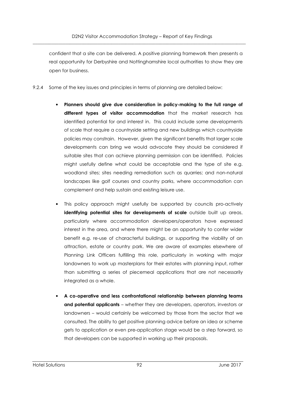confident that a site can be delivered. A positive planning framework then presents a real opportunity for Derbyshire and Nottinghamshire local authorities to show they are open for business.

- 9.2.4 Some of the key issues and principles in terms of planning are detailed below:
	- **Planners should give due consideration in policy-making to the full range of different types of visitor accommodation** that the market research has identified potential for and interest in. This could include some developments of scale that require a countryside setting and new buildings which countryside policies may constrain. However, given the significant benefits that larger scale developments can bring we would advocate they should be considered if suitable sites that can achieve planning permission can be identified. Policies might usefully define what could be acceptable and the type of site e.g. woodland sites; sites needing remediation such as quarries; and non-natural landscapes like golf courses and country parks, where accommodation can complement and help sustain and existing leisure use.
	- This policy approach might usefully be supported by councils pro-actively **identifying potential sites for developments of scale** outside built up areas, particularly where accommodation developers/operators have expressed interest in the area, and where there might be an opportunity to confer wider benefit e.g. re-use of characterful buildings, or supporting the viability of an attraction, estate or country park. We are aware of examples elsewhere of Planning Link Officers fulfilling this role, particularly in working with major landowners to work up masterplans for their estates with planning input, rather than submitting a series of piecemeal applications that are not necessarily integrated as a whole.
	- **A co-operative and less confrontational relationship between planning teams and potential applicants** – whether they are developers, operators, investors or landowners – would certainly be welcomed by those from the sector that we consulted. The ability to get positive planning advice before an idea or scheme gets to application or even pre-application stage would be a step forward, so that developers can be supported in working up their proposals.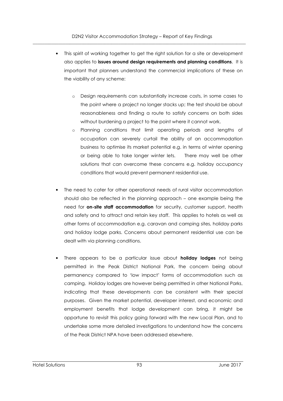D2N2 Visitor Accommodation Strategy – Report of Key Findings  $\overline{\phantom{a}}$  , and the contribution of the contribution of the contribution of the contribution of the contribution of the contribution of the contribution of the contribution of the contribution of the contribution of the

- This spirit of working together to get the right solution for a site or development also applies to **issues around design requirements and planning conditions**. It is important that planners understand the commercial implications of these on the viability of any scheme:
	- o Design requirements can substantially increase costs, in some cases to the point where a project no longer stacks up; the test should be about reasonableness and finding a route to satisfy concerns on both sides without burdening a project to the point where it cannot work.
	- o Planning conditions that limit operating periods and lengths of occupation can severely curtail the ability of an accommodation business to optimise its market potential e.g. in terms of winter opening or being able to take longer winter lets. There may well be other solutions that can overcome these concerns e.g. holiday occupancy conditions that would prevent permanent residential use.
- The need to cater for other operational needs of rural visitor accommodation should also be reflected in the planning approach – one example being the need for **on-site staff accommodation** for security, customer support, health and safety and to attract and retain key staff. This applies to hotels as well as other forms of accommodation e.g. caravan and camping sites, holiday parks and holiday lodge parks. Concerns about permanent residential use can be dealt with via planning conditions.
- There appears to be a particular issue about **holiday lodges** not being permitted in the Peak District National Park, the concern being about permanency compared to 'low impact' forms of accommodation such as camping. Holiday lodges are however being permitted in other National Parks, indicating that these developments can be consistent with their special purposes. Given the market potential, developer interest, and economic and employment benefits that lodge development can bring, it might be opportune to revisit this policy going forward with the new Local Plan, and to undertake some more detailed investigations to understand how the concerns of the Peak District NPA have been addressed elsewhere.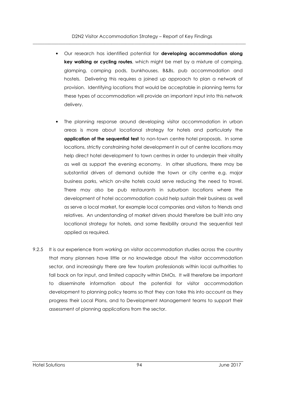D2N2 Visitor Accommodation Strategy – Report of Key Findings  $\overline{\phantom{a}}$  , and the contribution of the contribution of the contribution of the contribution of the contribution of the contribution of the contribution of the contribution of the contribution of the contribution of the

- Our research has identified potential for **developing accommodation along key walking or cycling routes**, which might be met by a mixture of camping, glamping, camping pods, bunkhouses, B&Bs, pub accommodation and hostels. Delivering this requires a joined up approach to plan a network of provision. Identifying locations that would be acceptable in planning terms for these types of accommodation will provide an important input into this network delivery.
- The planning response around developing visitor accommodation in urban areas is more about locational strategy for hotels and particularly the **application of the sequential test** to non-town centre hotel proposals. In some locations, strictly constraining hotel development in out of centre locations may help direct hotel development to town centres in order to underpin their vitality as well as support the evening economy. In other situations, there may be substantial drivers of demand outside the town or city centre e.g. major business parks, which on-site hotels could serve reducing the need to travel. There may also be pub restaurants in suburban locations where the development of hotel accommodation could help sustain their business as well as serve a local market, for example local companies and visitors to friends and relatives. An understanding of market drivers should therefore be built into any locational strategy for hotels, and some flexibility around the sequential test applied as required.
- 9.2.5 It is our experience from working on visitor accommodation studies across the country that many planners have little or no knowledge about the visitor accommodation sector, and increasingly there are few tourism professionals within local authorities to fall back on for input, and limited capacity within DMOs. It will therefore be important to disseminate information about the potential for visitor accommodation development to planning policy teams so that they can take this into account as they progress their Local Plans, and to Development Management teams to support their assessment of planning applications from the sector.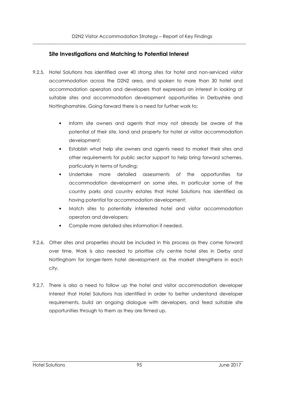# **Site Investigations and Matching to Potential Interest**

- 9.2.5. Hotel Solutions has identified over 40 strong sites for hotel and non-serviced visitor accommodation across the D2N2 area, and spoken to more than 30 hotel and accommodation operators and developers that expressed an interest in looking at suitable sites and accommodation development opportunities in Derbyshire and Nottinghamshire. Going forward there is a need for further work to:
	- Inform site owners and agents that may not already be aware of the potential of their site, land and property for hotel or visitor accommodation development;
	- Establish what help site owners and agents need to market their sites and other requirements for public sector support to help bring forward schemes, particularly in terms of funding;
	- Undertake more detailed assessments of the opportunities for accommodation development on some sites, in particular some of the country parks and country estates that Hotel Solutions has identified as having potential for accommodation development;
	- Match sites to potentially interested hotel and visitor accommodation operators and developers;
	- Compile more detailed sites information if needed.
- 9.2.6. Other sites and properties should be included in this process as they come forward over time. Work is also needed to prioritise city centre hotel sites in Derby and Nottingham for longer-term hotel development as the market strengthens in each city.
- 9.2.7. There is also a need to follow up the hotel and visitor accommodation developer interest that Hotel Solutions has identified in order to better understand developer requirements, build an ongoing dialogue with developers, and feed suitable site opportunities through to them as they are firmed up.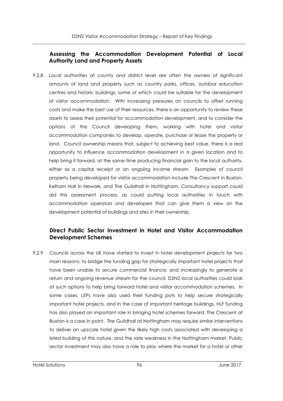# **Assessing the Accommodation Development Potential of Local Authority Land and Property Assets**

9.2.8 Local authorities at county and district level are often the owners of significant amounts of land and property such as country parks, offices, outdoor education centres and historic buildings, some of which could be suitable for the development of visitor accommodation. With increasing pressures on councils to offset running costs and make the best use of their resources, there is an opportunity to review these assets to assess their potential for accommodation development, and to consider the options of the Council developing them, working with hotel and visitor accommodation companies to develop, operate, purchase or lease the property or land. Council ownership means that, subject to achieving best value, there is a real opportunity to influence accommodation development in a given location and to help bring it forward, at the same time producing financial gain to the local authority, either as a capital receipt or an ongoing income stream. Examples of council property being developed for visitor accommodation include The Crescent in Buxton, Kelham Hall in Newark, and The Guildhall in Nottingham. Consultancy support could aid this assessment process, as could putting local authorities in touch with accommodation operators and developers that can give them a view on the development potential of buildings and sites in their ownership.

# **Direct Public Sector Investment in Hotel and Visitor Accommodation Development Schemes**

9.2.9 Councils across the UK have started to invest in hotel development projects for two main reasons: to bridge the funding gap for strategically important hotel projects that have been unable to secure commercial finance, and increasingly to generate a return and ongoing revenue stream for the council. D2N2 local authorities could look at such options to help bring forward hotel and visitor accommodation schemes. In some cases, LEPs have also used their funding pots to help secure strategically important hotel projects, and in the case of important heritage buildings, HLF funding has also played an important role in bringing hotel schemes forward. The Crescent at Buxton is a case in point. The Guildhall at Nottingham may require similar interventions to deliver an upscale hotel given the likely high costs associated with developing a listed building of this nature, and the rate weakness in the Nottingham market. Public sector investment may also have a role to play where the market for a hotel or other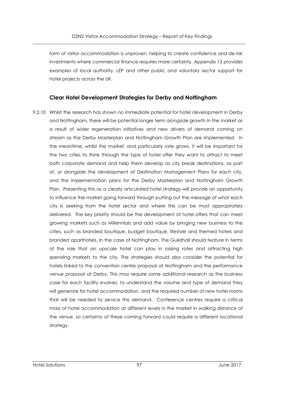form of visitor accommodation is unproven, helping to create confidence and de-risk investments where commercial finance requires more certainty. Appendix 13 provides examples of local authority, LEP and other public and voluntary sector support for hotel projects across the UK.

#### **Clear Hotel Development Strategies for Derby and Nottingham**

9.2.10 Whilst the research has shown no immediate potential for hotel development in Derby and Nottingham, there will be potential longer term alongside growth in the market as a result of wider regeneration initiatives and new drivers of demand coming on stream as the Derby Masterplan and Nottingham Growth Plan are implemented. In the meantime, whilst the market, and particularly rate grows, it will be important for the two cities to think through the type of hotel offer they want to attract to meet both corporate demand and help them develop as city break destinations, as part of, or alongside the development of Destination Management Plans for each city, and the implementation plans for the Derby Masterplan and Nottingham Growth Plan. Presenting this as a clearly articulated hotel strategy will provide an opportunity to influence the market going forward through putting out the message of what each city is seeking from the hotel sector and where this can be most appropriately delivered. The key priority should be the development of hotel offers that can meet growing markets such as Millennials and add value by bringing new business to the cities, such as branded boutique, budget boutique, lifestyle and themed hotels and branded aparthotels. In the case of Nottingham, The Guildhall should feature in terms of the role that an upscale hotel can play in raising rates and attracting high spending markets to the city. The strategies should also consider the potential for hotels linked to the convention centre proposal at Nottingham and the performance venue proposal at Derby. This may require some additional research as the business case for each facility evolves, to understand the volume and type of demand they will generate for hotel accommodation, and the required number of new hotel rooms that will be needed to service this demand. Conference centres require a critical mass of hotel accommodation at different levels in the market in walking distance of the venue, so certainty of these coming forward could require a different locational strategy.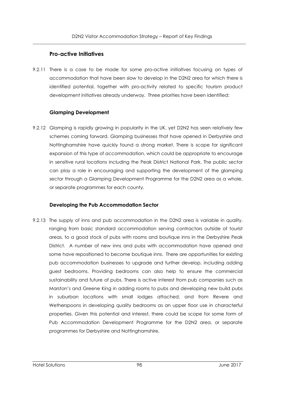#### **Pro-active Initiatives**

9.2.11 There is a case to be made for some pro-active initiatives focusing on types of accommodation that have been slow to develop in the D2N2 area for which there is identified potential, together with pro-activity related to specific tourism product development initiatives already underway. Three priorities have been identified:

#### **Glamping Development**

9.2.12 Glamping is rapidly growing in popularity in the UK, yet D2N2 has seen relatively few schemes coming forward. Glamping businesses that have opened in Derbyshire and Nottinghamshire have quickly found a strong market. There is scope for significant expansion of this type of accommodation, which could be appropriate to encourage in sensitive rural locations including the Peak District National Park. The public sector can play a role in encouraging and supporting the development of the glamping sector through a Glamping Development Programme for the D2N2 area as a whole, or separate programmes for each county.

#### **Developing the Pub Accommodation Sector**

9.2.13 The supply of inns and pub accommodation in the D2N2 area is variable in quality, ranging from basic standard accommodation serving contractors outside of tourist areas, to a good stock of pubs with rooms and boutique inns in the Derbyshire Peak District. A number of new inns and pubs with accommodation have opened and some have repositioned to become boutique inns. There are opportunities for existing pub accommodation businesses to upgrade and further develop, including adding guest bedrooms. Providing bedrooms can also help to ensure the commercial sustainability and future of pubs. There is active interest from pub companies such as Marston's and Greene King in adding rooms to pubs and developing new build pubs in suburban locations with small lodges attached, and from Revere and Wetherspoons in developing quality bedrooms as an upper floor use in characterful properties. Given this potential and interest, there could be scope for some form of Pub Accommodation Development Programme for the D2N2 area, or separate programmes for Derbyshire and Nottinghamshire.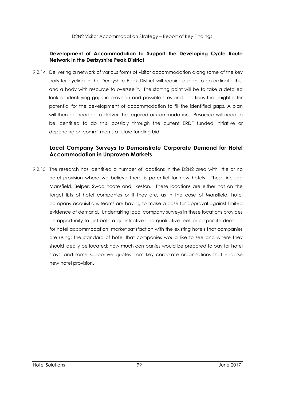#### **Development of Accommodation to Support the Developing Cycle Route Network in the Derbyshire Peak District**

9.2.14 Delivering a network of various forms of visitor accommodation along some of the key trails for cycling in the Derbyshire Peak District will require a plan to co-ordinate this, and a body with resource to oversee it. The starting point will be to take a detailed look at identifying gaps in provision and possible sites and locations that might offer potential for the development of accommodation to fill the identified gaps. A plan will then be needed to deliver the required accommodation. Resource will need to be identified to do this, possibly through the current ERDF funded initiative or depending on commitments a future funding bid.

# **Local Company Surveys to Demonstrate Corporate Demand for Hotel Accommodation in Unproven Markets**

9.2.15 The research has identified a number of locations in the D2N2 area with little or no hotel provision where we believe there is potential for new hotels. These include Mansfield, Belper, Swadlincote and Ilkeston. These locations are either not on the target lists of hotel companies or if they are, as in the case of Mansfield, hotel company acquisitions teams are having to make a case for approval against limited evidence of demand. Undertaking local company surveys in these locations provides an opportunity to get both a quantitative and qualitative feel for corporate demand for hotel accommodation; market satisfaction with the existing hotels that companies are using; the standard of hotel that companies would like to see and where they should ideally be located; how much companies would be prepared to pay for hotel stays, and some supportive quotes from key corporate organisations that endorse new hotel provision.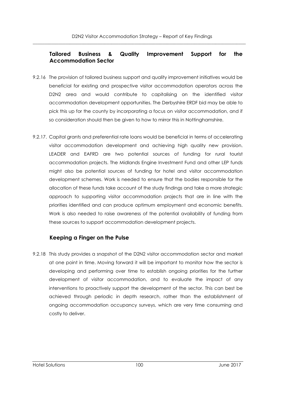# **Tailored Business & Quality Improvement Support for the Accommodation Sector**

- 9.2.16 The provision of tailored business support and quality improvement initiatives would be beneficial for existing and prospective visitor accommodation operators across the D2N2 area and would contribute to capitalising on the identified visitor accommodation development opportunities. The Derbyshire ERDF bid may be able to pick this up for the county by incorporating a focus on visitor accommodation, and if so consideration should then be given to how to mirror this in Nottinghamshire.
- 9.2.17. Capital grants and preferential rate loans would be beneficial in terms of accelerating visitor accommodation development and achieving high quality new provision. LEADER and EAFRD are two potential sources of funding for rural tourist accommodation projects. The Midlands Engine Investment Fund and other LEP funds might also be potential sources of funding for hotel and visitor accommodation development schemes. Work is needed to ensure that the bodies responsible for the allocation of these funds take account of the study findings and take a more strategic approach to supporting visitor accommodation projects that are in line with the priorities identified and can produce optimum employment and economic benefits. Work is also needed to raise awareness of the potential availability of funding from these sources to support accommodation development projects.

# **Keeping a Finger on the Pulse**

9.2.18 This study provides a snapshot of the D2N2 visitor accommodation sector and market at one point in time. Moving forward it will be important to monitor how the sector is developing and performing over time to establish ongoing priorities for the further development of visitor accommodation, and to evaluate the impact of any interventions to proactively support the development of the sector. This can best be achieved through periodic in depth research, rather than the establishment of ongoing accommodation occupancy surveys, which are very time consuming and costly to deliver.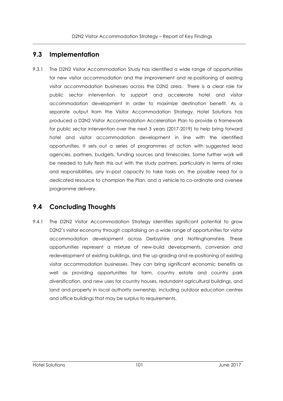# **9.3 Implementation**

9.3.1 The D2N2 Visitor Accommodation Study has identified a wide range of opportunities for new visitor accommodation and the improvement and re-positioning of existing visitor accommodation businesses across the D2N2 area. There is a clear role for public sector intervention to support and accelerate hotel and visitor accommodation development in order to maximize destination benefit. As a separate output from the Visitor Accommodation Strategy, Hotel Solutions has produced a D2N2 Visitor Accommodation Acceleration Plan to provide a framework for public sector intervention over the next 3 years (2017-2019) to help bring forward hotel and visitor accommodation development in line with the identified opportunities. It sets out a series of programmes of action with suggested lead agencies, partners, budgets, funding sources and timescales. Some further work will be needed to fully flesh this out with the study partners, particularly in terms of roles and responsibilities, any in-post capacity to take tasks on, the possible need for a dedicated resource to champion the Plan, and a vehicle to co-ordinate and oversee programme delivery.

# **9.4 Concluding Thoughts**

9.4.1 The D2N2 Visitor Accommodation Strategy identifies significant potential to grow D2N2's visitor economy through capitalising on a wide range of opportunities for visitor accommodation development across Derbyshire and Nottinghamshire. These opportunities represent a mixture of new-build developments, conversion and redevelopment of existing buildings, and the up-grading and re-positioning of existing visitor accommodation businesses. They can bring significant economic benefits as well as providing opportunities for farm, country estate and country park diversification, and new uses for country houses, redundant agricultural buildings, and land and property in local authority ownership, including outdoor education centres and office buildings that may be surplus to requirements.